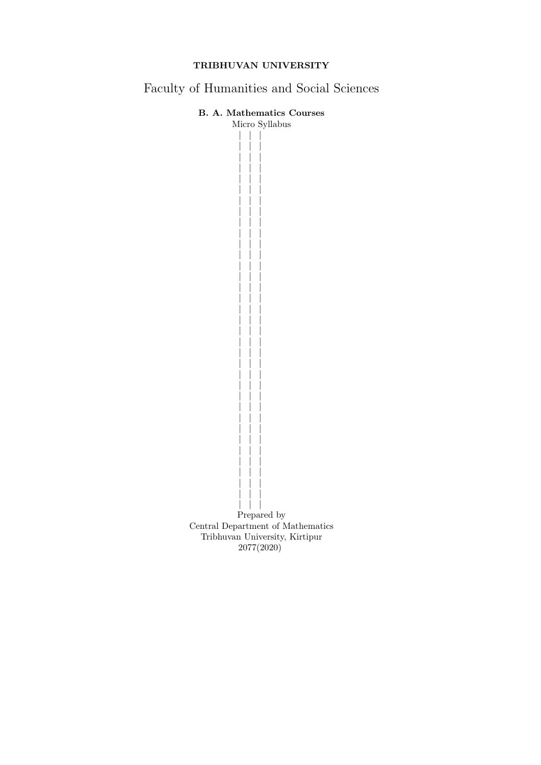# TRIBHUVAN UNIVERSITY

Faculty of Humanities and Social Sciences

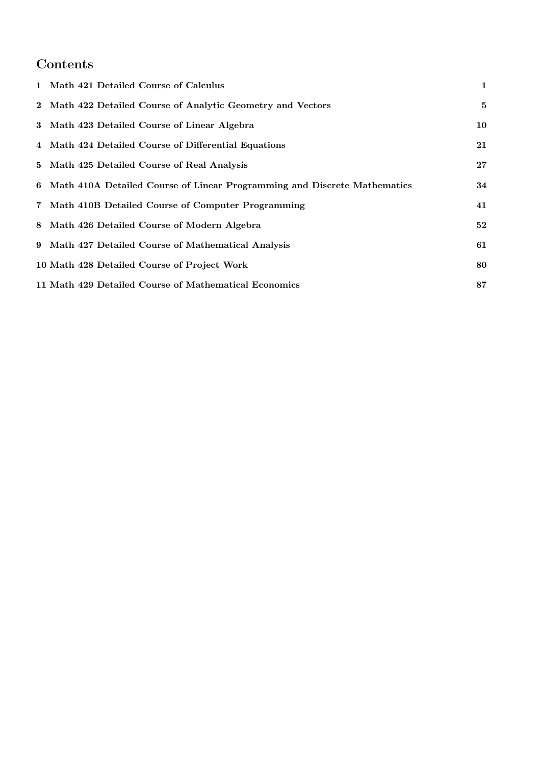# Contents

| 1 Math 421 Detailed Course of Calculus                                     | $\mathbf{1}$ |
|----------------------------------------------------------------------------|--------------|
| 2 Math 422 Detailed Course of Analytic Geometry and Vectors                | 5            |
| 3 Math 423 Detailed Course of Linear Algebra                               | 10           |
| 4 Math 424 Detailed Course of Differential Equations                       | 21           |
| 5 Math 425 Detailed Course of Real Analysis                                | $27\,$       |
| 6 Math 410A Detailed Course of Linear Programming and Discrete Mathematics | 34           |
| 7 Math 410B Detailed Course of Computer Programming                        | 41           |
| 8 Math 426 Detailed Course of Modern Algebra                               | 52           |
| 9 Math 427 Detailed Course of Mathematical Analysis                        | 61           |
| 10 Math 428 Detailed Course of Project Work                                | 80           |
| 11 Math 429 Detailed Course of Mathematical Economics                      | 87           |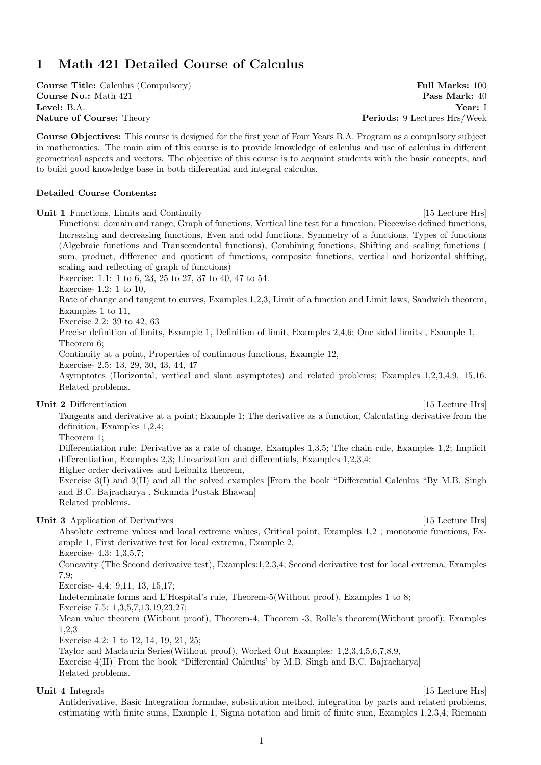# 1 Math 421 Detailed Course of Calculus

**Course Title:** Calculus (Compulsory) **Full Marks: 100 Course No.:** Math 421 **Pass Mark:** 40 Level: B.A. Year: I Nature of Course: Theory extends the periods: 9 Lectures Hrs/Week

Course Objectives: This course is designed for the first year of Four Years B.A. Program as a compulsory subject in mathematics. The main aim of this course is to provide knowledge of calculus and use of calculus in different geometrical aspects and vectors. The objective of this course is to acquaint students with the basic concepts, and to build good knowledge base in both differential and integral calculus.

## Detailed Course Contents:

Unit 1 Functions, Limits and Continuity [15 Lecture Hrs] Functions: domain and range, Graph of functions, Vertical line test for a function, Piecewise defined functions, Increasing and decreasing functions, Even and odd functions, Symmetry of a functions, Types of functions (Algebraic functions and Transcendental functions), Combining functions, Shifting and scaling functions ( sum, product, difference and quotient of functions, composite functions, vertical and horizontal shifting, scaling and reflecting of graph of functions) Exercise: 1.1: 1 to 6, 23, 25 to 27, 37 to 40, 47 to 54. Exercise- 1.2: 1 to 10, Rate of change and tangent to curves, Examples 1,2,3, Limit of a function and Limit laws, Sandwich theorem, Examples 1 to 11, Exercise 2.2: 39 to 42, 63 Precise definition of limits, Example 1, Definition of limit, Examples 2,4,6; One sided limits , Example 1, Theorem 6; Continuity at a point, Properties of continuous functions, Example 12, Exercise- 2.5: 13, 29, 30, 43, 44, 47 Asymptotes (Horizontal, vertical and slant asymptotes) and related problems; Examples 1,2,3,4,9, 15,16. Related problems. Unit 2 Differentiation [15 Lecture Hrs] Tangents and derivative at a point; Example 1; The derivative as a function, Calculating derivative from the definition, Examples 1,2,4; Theorem 1; Differentiation rule; Derivative as a rate of change, Examples 1,3,5; The chain rule, Examples 1,2; Implicit differentiation, Examples 2,3; Linearization and differentials, Examples 1,2,3,4; Higher order derivatives and Leibnitz theorem, Exercise 3(I) and 3(II) and all the solved examples [From the book "Differential Calculus "By M.B. Singh and B.C. Bajracharya , Sukunda Pustak Bhawan] Related problems. Unit 3 Application of Derivatives [15 Lecture Hrs] Absolute extreme values and local extreme values, Critical point, Examples 1,2 ; monotonic functions, Example 1, First derivative test for local extrema, Example 2, Exercise- 4.3: 1,3,5,7; Concavity (The Second derivative test), Examples:1,2,3,4; Second derivative test for local extrema, Examples 7,9; Exercise- 4.4: 9,11, 13, 15,17; Indeterminate forms and L'Hospital's rule, Theorem-5(Without proof), Examples 1 to 8; Exercise 7.5: 1,3,5,7,13,19,23,27; Mean value theorem (Without proof), Theorem-4, Theorem -3, Rolle's theorem(Without proof); Examples 1,2,3 Exercise 4.2: 1 to 12, 14, 19, 21, 25; Taylor and Maclaurin Series(Without proof), Worked Out Examples: 1,2,3,4,5,6,7,8,9, Exercise 4(II)] From the book "Differential Calculus' by M.B. Singh and B.C. Bajracharya] Related problems.

Unit 4 Integrals [15 Lecture Hrs]

Antiderivative, Basic Integration formulae, substitution method, integration by parts and related problems, estimating with finite sums, Example 1; Sigma notation and limit of finite sum, Examples 1,2,3,4; Riemann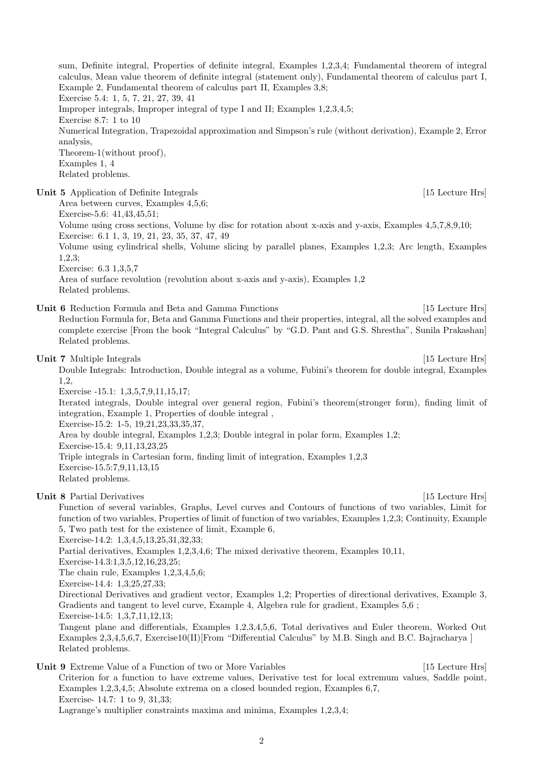sum, Definite integral, Properties of definite integral, Examples 1,2,3,4; Fundamental theorem of integral calculus, Mean value theorem of definite integral (statement only), Fundamental theorem of calculus part I, Example 2, Fundamental theorem of calculus part II, Examples 3,8; Exercise 5.4: 1, 5, 7, 21, 27, 39, 41 Improper integrals, Improper integral of type I and II; Examples 1,2,3,4,5; Exercise 8.7: 1 to 10 Numerical Integration, Trapezoidal approximation and Simpson's rule (without derivation), Example 2, Error analysis, Theorem-1(without proof), Examples 1, 4 Related problems. Unit 5 Application of Definite Integrals [15 Lecture Hrs] Area between curves, Examples 4,5,6; Exercise-5.6: 41,43,45,51; Volume using cross sections, Volume by disc for rotation about x-axis and y-axis, Examples 4,5,7,8,9,10; Exercise: 6.1 1, 3, 19, 21, 23, 35, 37, 47, 49 Volume using cylindrical shells, Volume slicing by parallel planes, Examples 1,2,3; Arc length, Examples 1,2,3; Exercise: 6.3 1,3,5,7 Area of surface revolution (revolution about x-axis and y-axis), Examples 1,2 Related problems. Unit 6 Reduction Formula and Beta and Gamma Functions [15 Lecture Hrs] Reduction Formula for, Beta and Gamma Functions and their properties, integral, all the solved examples and complete exercise [From the book "Integral Calculus" by "G.D. Pant and G.S. Shrestha", Sunila Prakashan] Related problems. Unit 7 Multiple Integrals [15 Lecture Hrs] Double Integrals: Introduction, Double integral as a volume, Fubini's theorem for double integral, Examples 1,2, Exercise -15.1: 1,3,5,7,9,11,15,17; Iterated integrals, Double integral over general region, Fubini's theorem(stronger form), finding limit of integration, Example 1, Properties of double integral , Exercise-15.2: 1-5, 19,21,23,33,35,37, Area by double integral, Examples 1,2,3; Double integral in polar form, Examples 1,2; Exercise-15.4: 9,11,13,23,25 Triple integrals in Cartesian form, finding limit of integration, Examples 1,2,3 Exercise-15.5:7,9,11,13,15 Related problems. Unit 8 Partial Derivatives [15 Lecture Hrs] Function of several variables, Graphs, Level curves and Contours of functions of two variables, Limit for function of two variables, Properties of limit of function of two variables, Examples 1,2,3; Continuity, Example 5, Two path test for the existence of limit, Example 6, Exercise-14.2: 1,3,4,5,13,25,31,32,33; Partial derivatives, Examples 1,2,3,4,6; The mixed derivative theorem, Examples 10,11, Exercise-14.3:1,3,5,12,16,23,25; The chain rule, Examples 1,2,3,4,5,6; Exercise-14.4: 1,3,25,27,33; Directional Derivatives and gradient vector, Examples 1,2; Properties of directional derivatives, Example 3, Gradients and tangent to level curve, Example 4, Algebra rule for gradient, Examples 5,6 ; Exercise-14.5: 1,3,7,11,12,13; Tangent plane and differentials, Examples 1,2,3,4,5,6, Total derivatives and Euler theorem, Worked Out Examples 2,3,4,5,6,7, Exercise10(II)[From "Differential Calculus" by M.B. Singh and B.C. Bajracharya ] Related problems. Unit 9 Extreme Value of a Function of two or More Variables [15 Lecture Hrs] Criterion for a function to have extreme values, Derivative test for local extremum values, Saddle point, Examples 1,2,3,4,5; Absolute extrema on a closed bounded region, Examples 6,7,

Lagrange's multiplier constraints maxima and minima, Examples 1,2,3,4;

Exercise- 14.7: 1 to 9, 31,33;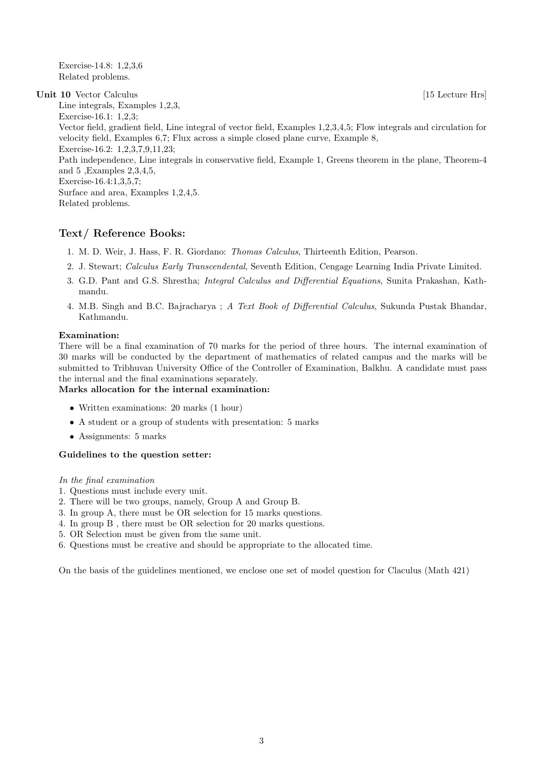Exercise-14.8: 1,2,3,6 Related problems.

Unit 10 Vector Calculus [15 Lecture Hrs] Line integrals, Examples 1,2,3, Exercise-16.1: 1,2,3; Vector field, gradient field, Line integral of vector field, Examples 1,2,3,4,5; Flow integrals and circulation for velocity field, Examples 6,7; Flux across a simple closed plane curve, Example 8, Exercise-16.2: 1,2,3,7,9,11,23; Path independence, Line integrals in conservative field, Example 1, Greens theorem in the plane, Theorem-4 and 5 ,Examples 2,3,4,5, Exercise-16.4:1,3,5,7; Surface and area, Examples 1,2,4,5. Related problems.

## Text/ Reference Books:

- 1. M. D. Weir, J. Hass, F. R. Giordano: Thomas Calculus, Thirteenth Edition, Pearson.
- 2. J. Stewart; Calculus Early Transcendental, Seventh Edition, Cengage Learning India Private Limited.
- 3. G.D. Pant and G.S. Shrestha; Integral Calculus and Differential Equations, Sunita Prakashan, Kathmandu.
- 4. M.B. Singh and B.C. Bajracharya ; A Text Book of Differential Calculus, Sukunda Pustak Bhandar, Kathmandu.

## Examination:

There will be a final examination of 70 marks for the period of three hours. The internal examination of 30 marks will be conducted by the department of mathematics of related campus and the marks will be submitted to Tribhuvan University Office of the Controller of Examination, Balkhu. A candidate must pass the internal and the final examinations separately.

## Marks allocation for the internal examination:

- Written examinations: 20 marks (1 hour)
- A student or a group of students with presentation: 5 marks
- Assignments: 5 marks

## Guidelines to the question setter:

## In the final examination

- 1. Questions must include every unit.
- 2. There will be two groups, namely, Group A and Group B.
- 3. In group A, there must be OR selection for 15 marks questions.
- 4. In group B , there must be OR selection for 20 marks questions.
- 5. OR Selection must be given from the same unit.
- 6. Questions must be creative and should be appropriate to the allocated time.

On the basis of the guidelines mentioned, we enclose one set of model question for Claculus (Math 421)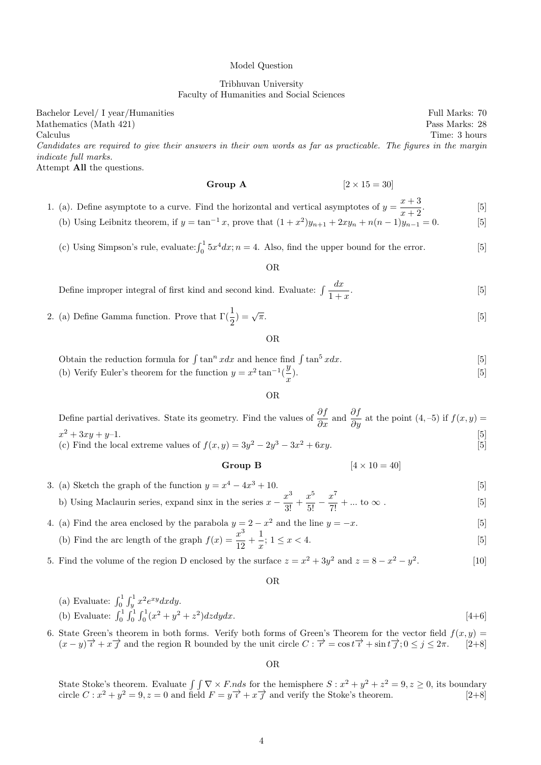#### Model Question

## Tribhuvan University Faculty of Humanities and Social Sciences

Bachelor Level/ I year/Humanities Full Marks: 70 Mathematics (Math 421) Pass Marks: 28 Calculus Time: 3 hours Candidates are required to give their answers in their own words as far as practicable. The figures in the margin indicate full marks. Attempt All the questions.

Group A  $[2 \times 15 = 30]$ 

1. (a). Define asymptote to a curve. Find the horizontal and vertical asymptotes of  $y = \frac{x+3}{x-3}$  $x + 2$  $[5]$ 

(b) Using Leibnitz theorem, if  $y = \tan^{-1} x$ , prove that  $(1 + x^2)y_{n+1} + 2xy_n + n(n-1)y_{n-1} = 0$ . [5]

(c) Using Simpson's rule, evaluate:  $\int_0^1 5x^4 dx$ ;  $n = 4$ . Also, find the upper bound for the error. [5]

## OR

| Define improper integral of first kind and second kind. Evaluate: $\int \frac{dx}{1+x}$ . |  |  |
|-------------------------------------------------------------------------------------------|--|--|
|-------------------------------------------------------------------------------------------|--|--|

2. (a) Define Gamma function. Prove that  $\Gamma(\frac{1}{2}) = \sqrt{ }$  $\pi$ . [5]

OR

- Obtain the reduction formula for  $\int \tan^n x dx$  and hence find  $\int \tan^5 x dx$ . [5]
- (b) Verify Euler's theorem for the function  $y = x^2 \tan^{-1}(\frac{y}{x})$  $\boldsymbol{x}$  $\,$  (5)

#### OR

Define partial derivatives. State its geometry. Find the values of  $\frac{\partial f}{\partial x}$  and  $\frac{\partial f}{\partial y}$  at the point  $(4, -5)$  if  $f(x, y) =$  $x^2 + 3xy + y - 1.$  [5] (c) Find the local extreme values of  $f(x, y) = 3y^2 - 2y^3 - 3x^2 + 6xy$ . [5]

## Group B  $[4 \times 10 = 40]$

- 3. (a) Sketch the graph of the function  $y = x^4 4x^3 + 10$ . [5] b) Using Maclaurin series, expand sinx in the series  $x - \frac{x^3}{2!}$  $\frac{x^3}{3!} + \frac{x^5}{5!} - \frac{x^7}{7!} + \dots$  to  $\infty$ . [5]
- 4. (a) Find the area enclosed by the parabola  $y = 2 x^2$  and the line  $y = -x$ . [5]
	- (b) Find the arc length of the graph  $f(x) = \frac{x^3}{12}$  $\frac{x^3}{12} + \frac{1}{x}$  $\frac{1}{x}$ ; 1  $\leq x < 4$ . [5]
- 5. Find the volume of the region D enclosed by the surface  $z = x^2 + 3y^2$  and  $z = 8 x^2 y^2$  $[10]$

OR

(a) Evaluate: 
$$
\int_0^1 \int_y^1 x^2 e^{xy} dx dy
$$
.  
\n(b) Evaluate:  $\int_0^1 \int_0^1 \int_0^1 (x^2 + y^2 + z^2) dz dy dx$ . [4+6]

6. State Green's theorem in both forms. Verify both forms of Green's Theorem for the vector field  $f(x, y) =$  $(x - y)\overrightarrow{i} + x \overrightarrow{j}$  and the region R bounded by the unit circle  $C : \overrightarrow{r} = \cos t \overrightarrow{i} + \sin t \overrightarrow{j}; 0 \le j \le 2\pi$ . [2+8]

OR

State Stoke's theorem. Evaluate  $\int \int \nabla \times F \, ds$  for the hemisphere  $S : x^2 + y^2 + z^2 = 9, z \ge 0$ , its boundary circle  $C: x^2 + y^2 = 9, z = 0$  and field  $F = y^2 + x^2/2$  and verify the Stoke's theorem. [2+8]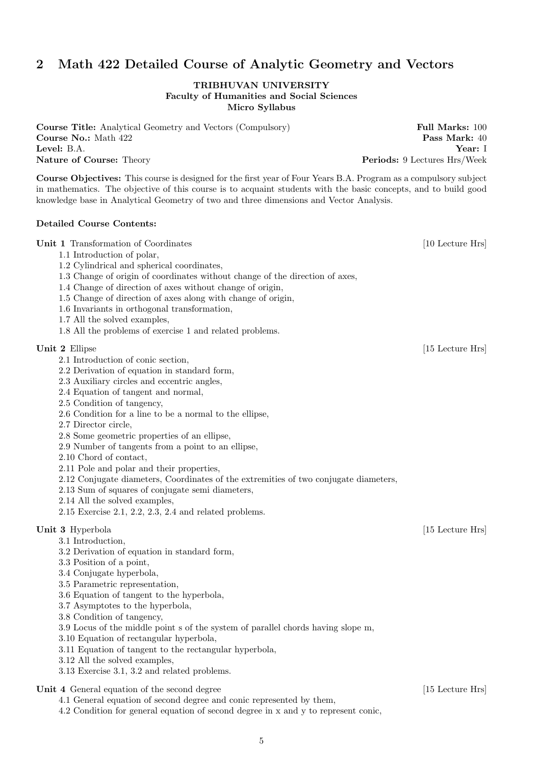# 2 Math 422 Detailed Course of Analytic Geometry and Vectors

## TRIBHUVAN UNIVERSITY Faculty of Humanities and Social Sciences Micro Syllabus

**Course Title:** Analytical Geometry and Vectors (Compulsory) Full Marks: 100 Course No.: Math 422 Pass Mark: 40 Level: B.A. Year: I Nature of Course: Theory **Periods: 9 Lectures Hrs/Week** 

Course Objectives: This course is designed for the first year of Four Years B.A. Program as a compulsory subject in mathematics. The objective of this course is to acquaint students with the basic concepts, and to build good knowledge base in Analytical Geometry of two and three dimensions and Vector Analysis.

## Detailed Course Contents:

## Unit 1 Transformation of Coordinates [10 Lecture Hrs]

- 1.1 Introduction of polar,
- 1.2 Cylindrical and spherical coordinates,
- 1.3 Change of origin of coordinates without change of the direction of axes,
- 1.4 Change of direction of axes without change of origin,
- 1.5 Change of direction of axes along with change of origin,
- 1.6 Invariants in orthogonal transformation,
- 1.7 All the solved examples,
- 1.8 All the problems of exercise 1 and related problems.

#### Unit 2 Ellipse [15 Lecture Hrs]

- 2.1 Introduction of conic section,
- 2.2 Derivation of equation in standard form,
- 2.3 Auxiliary circles and eccentric angles,
- 2.4 Equation of tangent and normal,
- 2.5 Condition of tangency,
- 2.6 Condition for a line to be a normal to the ellipse,
- 2.7 Director circle,
- 2.8 Some geometric properties of an ellipse,
- 2.9 Number of tangents from a point to an ellipse,
- 2.10 Chord of contact,
- 2.11 Pole and polar and their properties,
- 2.12 Conjugate diameters, Coordinates of the extremities of two conjugate diameters,
- 2.13 Sum of squares of conjugate semi diameters,
- 2.14 All the solved examples,
- 2.15 Exercise 2.1, 2.2, 2.3, 2.4 and related problems.

## Unit 3 Hyperbola [15 Lecture Hrs]

- 3.1 Introduction,
- 3.2 Derivation of equation in standard form,
- 3.3 Position of a point,
- 3.4 Conjugate hyperbola,
- 3.5 Parametric representation,
- 3.6 Equation of tangent to the hyperbola,
- 3.7 Asymptotes to the hyperbola,
- 3.8 Condition of tangency,

3.9 Locus of the middle point s of the system of parallel chords having slope m,

- 3.10 Equation of rectangular hyperbola,
- 3.11 Equation of tangent to the rectangular hyperbola,
- 3.12 All the solved examples,
- 3.13 Exercise 3.1, 3.2 and related problems.

Unit 4 General equation of the second degree [15 Lecture Hrs]

4.1 General equation of second degree and conic represented by them,

4.2 Condition for general equation of second degree in x and y to represent conic,

5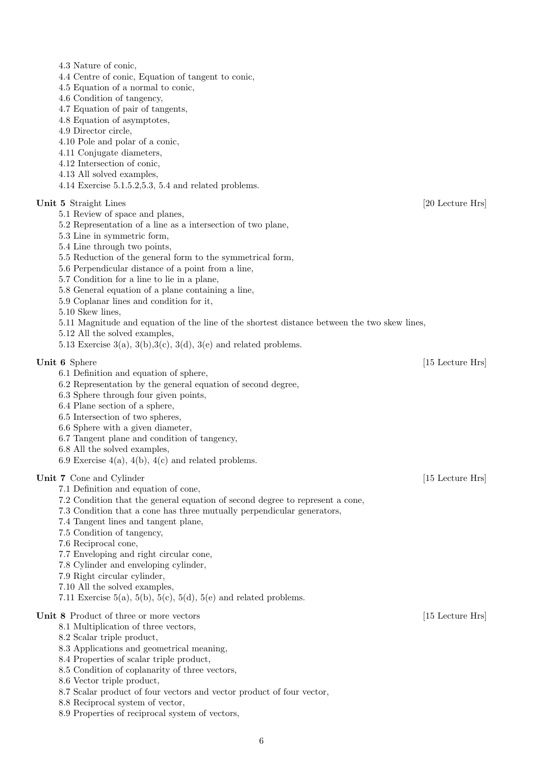| 4.3 Nature of conic,                                                                         |                  |
|----------------------------------------------------------------------------------------------|------------------|
| 4.4 Centre of conic, Equation of tangent to conic,                                           |                  |
| 4.5 Equation of a normal to conic,                                                           |                  |
| 4.6 Condition of tangency,                                                                   |                  |
| 4.7 Equation of pair of tangents,                                                            |                  |
| 4.8 Equation of asymptotes,                                                                  |                  |
| 4.9 Director circle,                                                                         |                  |
| 4.10 Pole and polar of a conic,                                                              |                  |
| 4.11 Conjugate diameters,                                                                    |                  |
| 4.12 Intersection of conic,                                                                  |                  |
| 4.13 All solved examples,                                                                    |                  |
| $4.14$ Exercise $5.1.5.2, 5.3, 5.4$ and related problems.                                    |                  |
| Unit 5 Straight Lines                                                                        | [20 Lecture Hrs] |
| 5.1 Review of space and planes,                                                              |                  |
| 5.2 Representation of a line as a intersection of two plane,                                 |                  |
| 5.3 Line in symmetric form,                                                                  |                  |
| 5.4 Line through two points,                                                                 |                  |
| 5.5 Reduction of the general form to the symmetrical form,                                   |                  |
| 5.6 Perpendicular distance of a point from a line,                                           |                  |
| 5.7 Condition for a line to lie in a plane,                                                  |                  |
| 5.8 General equation of a plane containing a line,                                           |                  |
| 5.9 Coplanar lines and condition for it,                                                     |                  |
| $5.10$ Skew lines,                                                                           |                  |
| 5.11 Magnitude and equation of the line of the shortest distance between the two skew lines, |                  |
| 5.12 All the solved examples,                                                                |                  |
| 5.13 Exercise $3(a)$ , $3(b)$ , $3(c)$ , $3(d)$ , $3(e)$ and related problems.               |                  |
|                                                                                              |                  |
| Unit 6 Sphere                                                                                | [15 Lecture Hrs] |
| 6.1 Definition and equation of sphere,                                                       |                  |
| 6.2 Representation by the general equation of second degree,                                 |                  |
| 6.3 Sphere through four given points,                                                        |                  |
| 6.4 Plane section of a sphere,                                                               |                  |
| 6.5 Intersection of two spheres,                                                             |                  |
| 6.6 Sphere with a given diameter,                                                            |                  |
| 6.7 Tangent plane and condition of tangency,                                                 |                  |
| 6.8 All the solved examples,<br>6.9 Exercise $4(a)$ , $4(b)$ , $4(c)$ and related problems.  |                  |
|                                                                                              |                  |
| Unit 7 Cone and Cylinder                                                                     | [15 Lecture Hrs] |
| 7.1 Definition and equation of cone,                                                         |                  |
| 7.2 Condition that the general equation of second degree to represent a cone,                |                  |
| 7.3 Condition that a cone has three mutually perpendicular generators,                       |                  |
| 7.4 Tangent lines and tangent plane,                                                         |                  |
| 7.5 Condition of tangency,                                                                   |                  |
| 7.6 Reciprocal cone,                                                                         |                  |
| 7.7 Enveloping and right circular cone,                                                      |                  |
| 7.8 Cylinder and enveloping cylinder,                                                        |                  |
| 7.9 Right circular cylinder,                                                                 |                  |
| 7.10 All the solved examples,                                                                |                  |
| 7.11 Exercise 5(a), 5(b), 5(c), 5(d), 5(e) and related problems.                             |                  |
|                                                                                              |                  |
| Unit 8 Product of three or more vectors<br>8.1 Multiplication of three vectors,              | [15 Lecture Hrs] |
| 8.2 Scalar triple product,                                                                   |                  |
|                                                                                              |                  |
| 8.3 Applications and geometrical meaning,<br>8.4 Properties of scalar triple product,        |                  |
| 8.5 Condition of coplanarity of three vectors,                                               |                  |
| 8.6 Vector triple product,                                                                   |                  |
| 8.7 Scalar product of four vectors and vector product of four vector,                        |                  |
|                                                                                              |                  |

8.8 Reciprocal system of vector,

8.9 Properties of reciprocal system of vectors,

6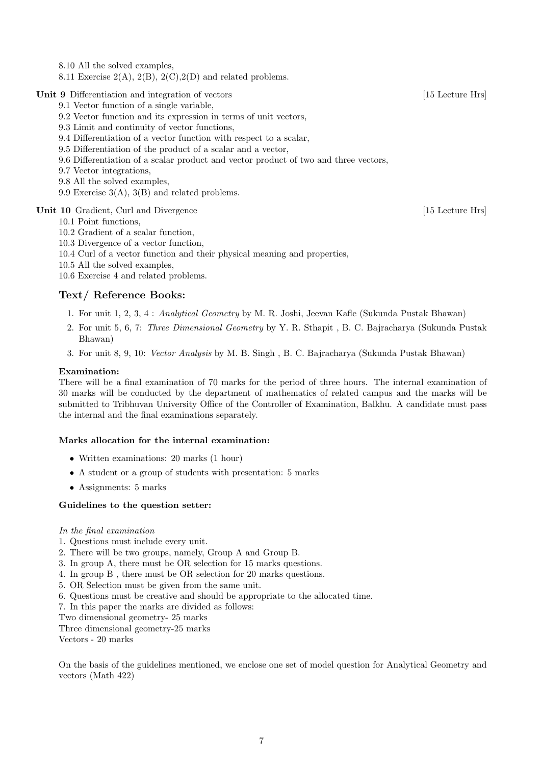8.10 All the solved examples,

8.11 Exercise  $2(A)$ ,  $2(B)$ ,  $2(C)$ ,  $2(D)$  and related problems.

Unit 9 Differentiation and integration of vectors [15 Lecture Hrs]

- 9.1 Vector function of a single variable,
- 9.2 Vector function and its expression in terms of unit vectors,
- 9.3 Limit and continuity of vector functions,
- 9.4 Differentiation of a vector function with respect to a scalar,
- 9.5 Differentiation of the product of a scalar and a vector,
- 9.6 Differentiation of a scalar product and vector product of two and three vectors,
- 9.7 Vector integrations,
- 9.8 All the solved examples,
- 9.9 Exercise 3(A), 3(B) and related problems.

Unit 10 Gradient, Curl and Divergence [15 Lecture Hrs]

10.1 Point functions,

- 10.2 Gradient of a scalar function,
- 10.3 Divergence of a vector function,
- 10.4 Curl of a vector function and their physical meaning and properties,
- 10.5 All the solved examples,

10.6 Exercise 4 and related problems.

## Text/ Reference Books:

- 1. For unit 1, 2, 3, 4 : Analytical Geometry by M. R. Joshi, Jeevan Kafle (Sukunda Pustak Bhawan)
- 2. For unit 5, 6, 7: Three Dimensional Geometry by Y. R. Sthapit , B. C. Bajracharya (Sukunda Pustak Bhawan)
- 3. For unit 8, 9, 10: Vector Analysis by M. B. Singh , B. C. Bajracharya (Sukunda Pustak Bhawan)

## Examination:

There will be a final examination of 70 marks for the period of three hours. The internal examination of 30 marks will be conducted by the department of mathematics of related campus and the marks will be submitted to Tribhuvan University Office of the Controller of Examination, Balkhu. A candidate must pass the internal and the final examinations separately.

#### Marks allocation for the internal examination:

- Written examinations: 20 marks (1 hour)
- A student or a group of students with presentation: 5 marks
- Assignments: 5 marks

#### Guidelines to the question setter:

#### In the final examination

- 1. Questions must include every unit.
- 2. There will be two groups, namely, Group A and Group B.
- 3. In group A, there must be OR selection for 15 marks questions.
- 4. In group B , there must be OR selection for 20 marks questions.
- 5. OR Selection must be given from the same unit.
- 6. Questions must be creative and should be appropriate to the allocated time.
- 7. In this paper the marks are divided as follows:
- Two dimensional geometry- 25 marks

Three dimensional geometry-25 marks

Vectors - 20 marks

On the basis of the guidelines mentioned, we enclose one set of model question for Analytical Geometry and vectors (Math 422)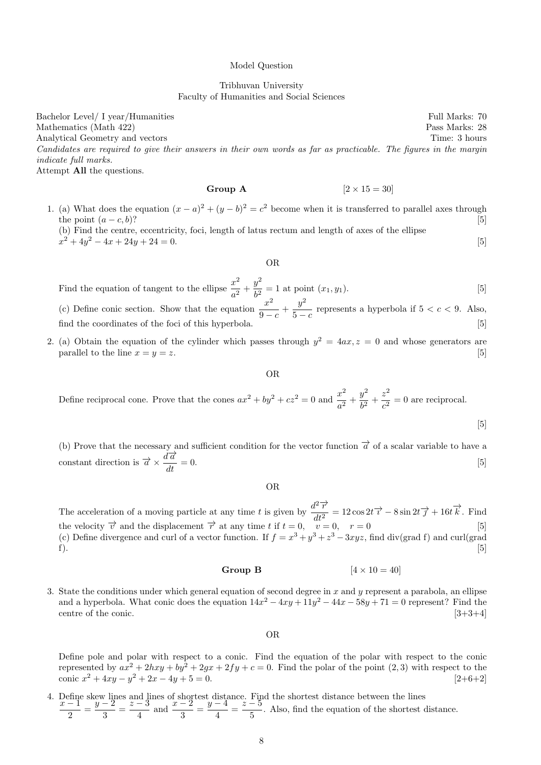#### Model Question

Tribhuvan University Faculty of Humanities and Social Sciences

Bachelor Level/ I year/Humanities Full Marks: 70 Mathematics (Math 422) Pass Marks: 28 Analytical Geometry and vectors Time: 3 hours Time: 3 hours Candidates are required to give their answers in their own words as far as practicable. The figures in the margin indicate full marks. Attempt All the questions.

Group A  $[2 \times 15 = 30]$ 

1. (a) What does the equation  $(x-a)^2 + (y-b)^2 = c^2$  become when it is transferred to parallel axes through the point  $(a - c, b)$ ? [5]

(b) Find the centre, eccentricity, foci, length of latus rectum and length of axes of the ellipse  $x^2 + 4y^2 - 4x + 24y + 24 = 0.$  [5]

#### OR

Find the equation of tangent to the ellipse  $\frac{x^2}{2}$  $rac{x^2}{a^2} + \frac{y^2}{b^2}$  $\frac{b^2}{b^2} = 1$  at point  $(x_1, y_1)$ . [5] (c) Define conic section. Show that the equation  $\frac{x^2}{2}$  $rac{x^2}{9-c} + \frac{y^2}{5-c}$  $\frac{9}{5-c}$  represents a hyperbola if  $5 < c < 9$ . Also, find the coordinates of the foci of this hyperbola.  $[5]$ 

2. (a) Obtain the equation of the cylinder which passes through  $y^2 = 4ax$ ,  $z = 0$  and whose generators are parallel to the line  $x = y = z$ . [5]

OR

Define reciprocal cone. Prove that the cones  $ax^2 + by^2 + cz^2 = 0$  and  $\frac{x^2}{2}$  $rac{x^2}{a^2} + \frac{y^2}{b^2}$  $rac{y^2}{b^2} + \frac{z^2}{c^2}$  $\frac{z}{c^2} = 0$  are reciprocal.

[5]

(b) Prove that the necessary and sufficient condition for the vector function  $\vec{\alpha}$  of a scalar variable to have a constant direction is  $\vec{a} \times \frac{d\vec{a}}{d\vec{b}}$  $\frac{d\alpha}{dt} = 0.$  [5]

OR

The acceleration of a moving particle at any time t is given by  $\frac{d^2 \vec{r}}{d^2}$  $\frac{d^2\overrightarrow{r}}{dt^2} = 12\cos 2t \overrightarrow{r} - 8\sin 2t \overrightarrow{f} + 16t \overrightarrow{k}. \text{ Find}$ the velocity  $\overrightarrow{v}$  and the displacement  $\overrightarrow{r}$  at any time t if  $t = 0$ ,  $v = 0$ ,  $r = 0$  [5] (c) Define divergence and curl of a vector function. If  $f = x^3 + y^3 + z^3 - 3xyz$ , find div(grad f) and curl(grad f).  $[5]$ 

#### Group B  $[4 \times 10 = 40]$

3. State the conditions under which general equation of second degree in  $x$  and  $y$  represent a parabola, an ellipse and a hyperbola. What conic does the equation  $14x^2 - 4xy + 11y^2 - 44x - 58y + 71 = 0$  represent? Find the centre of the conic. [3+3+4]

OR

Define pole and polar with respect to a conic. Find the equation of the polar with respect to the conic represented by  $ax^2 + 2hxy + by^2 + 2gx + 2fy + c = 0$ . Find the polar of the point (2, 3) with respect to the conic  $x^2 + 4xy - y^2 + 2x - 4y + 5 = 0$ . [2+6+2]

4. Define skew lines and lines of shortest distance. Find the shortest distance between the lines  $x-1$   $y-2$   $z-3$   $x-2$   $y-4$   $z-5$   $y-5$  $\frac{-1}{2} = \frac{y-2}{3}$  $\frac{z-2}{3} = \frac{z-3}{4}$  $\frac{y-4}{4}$  and  $\frac{x-2}{3} = \frac{y-4}{4}$  $\frac{z-5}{4} = \frac{z-5}{5}$  $\frac{3}{5}$ . Also, find the equation of the shortest distance.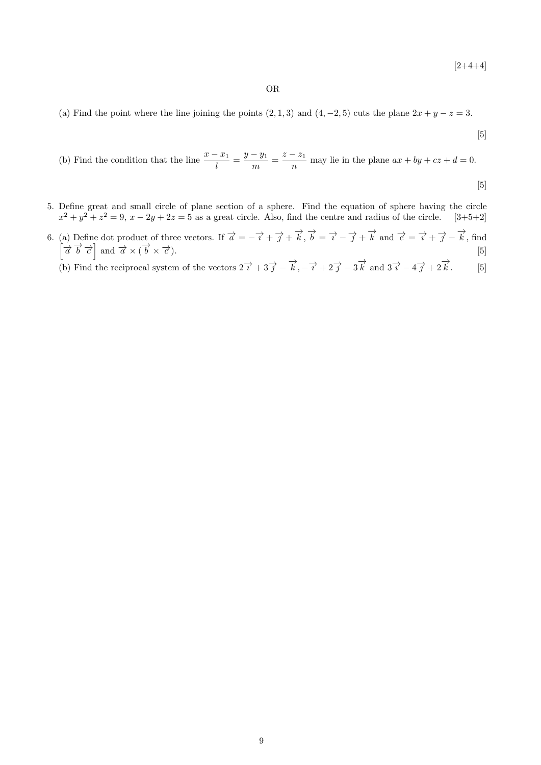$[2+4+4]$ 

## OR

(a) Find the point where the line joining the points  $(2, 1, 3)$  and  $(4, -2, 5)$  cuts the plane  $2x + y - z = 3$ .

$$
[5]
$$

(b) Find the condition that the line 
$$
\frac{x - x_1}{l} = \frac{y - y_1}{m} = \frac{z - z_1}{n}
$$
 may lie in the plane  $ax + by + cz + d = 0$ .

[5]

- 5. Define great and small circle of plane section of a sphere. Find the equation of sphere having the circle  $x^2 + y^2 + z^2 = 9$ ,  $x - 2y + 2z = 5$  as a great circle. Also, find the centre and radius of the circle. [3+5+2]
- 6. (a) Define dot product of three vectors. If  $\vec{a} = -\vec{i} + \vec{j} + \vec{k}$ ,  $\vec{b} = \vec{i} \vec{j} + \vec{k}$  and  $\vec{c} = \vec{i} + \vec{j} \vec{k}$ , find  $\left[\vec{a} \ \vec{b} \ \vec{c}\right]$  and  $\vec{a} \times (\vec{b} \times \vec{c})$ . [5]

(b) Find the reciprocal system of the vectors  $2\overrightarrow{i} + 3\overrightarrow{j} - \overrightarrow{k}, -\overrightarrow{i} + 2\overrightarrow{j} - 3\overrightarrow{k}$  and  $3\overrightarrow{i} - 4\overrightarrow{j} + 2\overrightarrow{k}$  $\overrightarrow{k}$ . [5]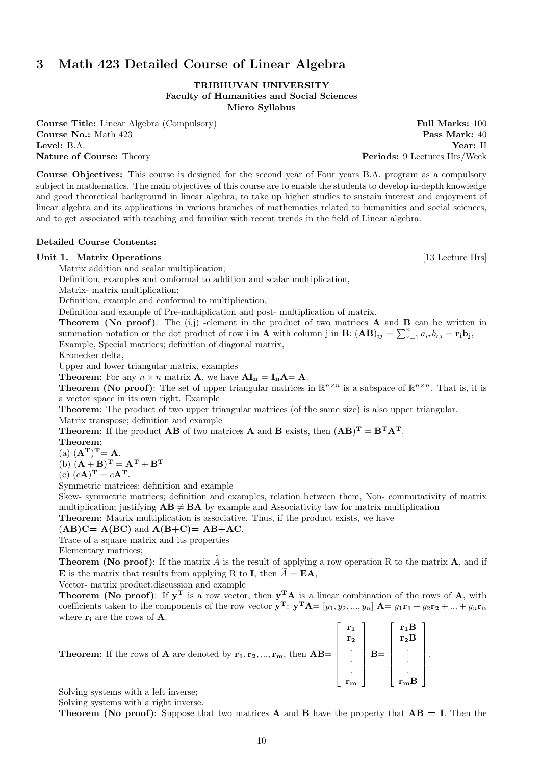# 3 Math 423 Detailed Course of Linear Algebra

TRIBHUVAN UNIVERSITY Faculty of Humanities and Social Sciences Micro Syllabus

Course Title: Linear Algebra (Compulsory) Full Marks: 100 **Course No.:** Math 423 **Pass Mark:** 40 Level: B.A. Year: II

Course Objectives: This course is designed for the second year of Four years B.A. program as a compulsory subject in mathematics. The main objectives of this course are to enable the students to develop in-depth knowledge and good theoretical background in linear algebra, to take up higher studies to sustain interest and enjoyment of linear algebra and its applications in various branches of mathematics related to humanities and social sciences, and to get associated with teaching and familiar with recent trends in the field of Linear algebra.

## Detailed Course Contents:

## Unit 1. Matrix Operations [13 Lecture Hrs]

Matrix addition and scalar multiplication;

Definition, examples and conformal to addition and scalar multiplication,

Matrix- matrix multiplication;

Definition, example and conformal to multiplication,

Definition and example of Pre-multiplication and post- multiplication of matrix.

**Theorem (No proof)**: The  $(i,j)$  -element in the product of two matrices **A** and **B** can be written in summation notation or the dot product of row i in **A** with column j in **B**:  $(AB)_{ij} = \sum_{r=1}^{n} a_{ir}b_{rj} = r_i b_j$ Example, Special matrices; definition of diagonal matrix,

Kronecker delta,

Upper and lower triangular matrix, examples

**Theorem:** For any  $n \times n$  matrix **A**, we have  $AI_n = I_nA = A$ .

**Theorem (No proof)**: The set of upper triangular matrices in  $\mathbb{R}^{n \times n}$  is a subspace of  $\mathbb{R}^{n \times n}$ . That is, it is a vector space in its own right. Example

Theorem: The product of two upper triangular matrices (of the same size) is also upper triangular. Matrix transpose; definition and example

**Theorem:** If the product **AB** of two matrices **A** and **B** exists, then  $(AB)^{T} = B^{T}A^{T}$ .

#### Theorem:

(a)  $(\mathbf{A}^{\mathrm{T}})^{\mathrm{T}} = \mathbf{A}$ .

(b)  $(\mathbf{A} + \mathbf{B})^{\mathrm{T}} = \mathbf{A}^{\mathrm{T}} + \mathbf{B}^{\mathrm{T}}$ 

(c)  $(c\mathbf{A})^{\mathbf{T}} = c\mathbf{A}^{\mathbf{T}}$ .

Symmetric matrices; definition and example

Skew- symmetric matrices; definition and examples, relation between them, Non- commutativity of matrix multiplication; justifying  $AB \neq BA$  by example and Associativity law for matrix multiplication

Theorem: Matrix multiplication is associative. Thus, if the product exists, we have

#### $(AB)C = A(BC)$  and  $A(B+C) = AB+AC$ .

Trace of a square matrix and its properties

Elementary matrices;

**Theorem (No proof):** If the matrix  $\tilde{A}$  is the result of applying a row operation R to the matrix  $\mathbf{A}$ , and if **E** is the matrix that results from applying R to **I**, then  $\ddot{A} = \mathbf{EA}$ ,

Vector- matrix product;discussion and example

**Theorem (No proof)**: If  $y<sup>T</sup>$  is a row vector, then  $y<sup>T</sup>A$  is a linear combination of the rows of A, with coefficients taken to the components of the row vector  $\mathbf{y}^{\mathbf{T}}$ :  $\mathbf{y}^{\mathbf{T}}\mathbf{A} = [y_1, y_2, ..., y_n]$   $\mathbf{A} = y_1 \mathbf{r}_1 + y_2 \mathbf{r}_2 + ... + y_n \mathbf{r}_n$ where  $\mathbf{r_i}$  are the rows of **A**.  $\mathbf{r}$ 

| <b>Theorem:</b> If the rows of <b>A</b> are denoted by $\mathbf{r_1}, \mathbf{r_2}, , \mathbf{r_m}$ , then $\mathbf{AB} = \begin{bmatrix} \mathbf{r_1} \\ \mathbf{r_2} \\ \vdots \\ \mathbf{r_m} \end{bmatrix} \mathbf{B} = \begin{bmatrix} \mathbf{r_1B} \\ \mathbf{r_2B} \\ \vdots \\ \mathbf{r_mB} \end{bmatrix}$ |  |  |  |
|----------------------------------------------------------------------------------------------------------------------------------------------------------------------------------------------------------------------------------------------------------------------------------------------------------------------|--|--|--|
|                                                                                                                                                                                                                                                                                                                      |  |  |  |
|                                                                                                                                                                                                                                                                                                                      |  |  |  |
|                                                                                                                                                                                                                                                                                                                      |  |  |  |

Solving systems with a left inverse;

Solving systems with a right inverse.

**Theorem (No proof):** Suppose that two matrices **A** and **B** have the property that  $AB = I$ . Then the

Nature of Course: Theory **Periods: 9 Lectures Hrs/Week** 

.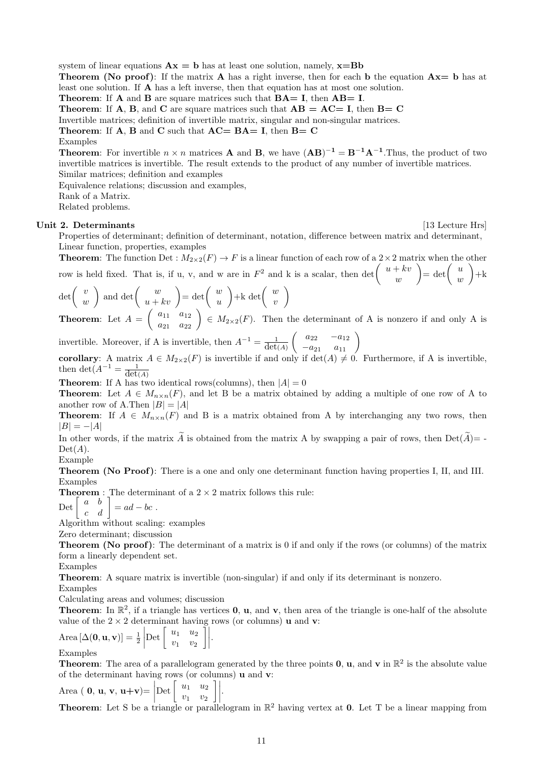system of linear equations  $\mathbf{A}\mathbf{x} = \mathbf{b}$  has at least one solution, namely,  $\mathbf{x} = \mathbf{B}\mathbf{b}$ 

**Theorem (No proof):** If the matrix **A** has a right inverse, then for each **b** the equation  $Ax = b$  has at least one solution. If A has a left inverse, then that equation has at most one solution.

**Theorem:** If  $\bf{A}$  and  $\bf{B}$  are square matrices such that  $\bf{BA} = \bf{I}$ , then  $\bf{AB} = \bf{I}$ .

**Theorem:** If **A**, **B**, and **C** are square matrices such that  $AB = AC = I$ , then  $B = C$ 

Invertible matrices; definition of invertible matrix, singular and non-singular matrices.

**Theorem:** If  $A$ ,  $B$  and  $C$  such that  $AC = BA = I$ , then  $B = C$ 

#### Examples

**Theorem:** For invertible  $n \times n$  matrices **A** and **B**, we have  $(AB)^{-1} = B^{-1}A^{-1}$ . Thus, the product of two invertible matrices is invertible. The result extends to the product of any number of invertible matrices. Similar matrices; definition and examples

Equivalence relations; discussion and examples,

Rank of a Matrix.

Related problems.

#### Unit 2. Determinants [13 Lecture Hrs]

Properties of determinant; definition of determinant, notation, difference between matrix and determinant, Linear function, properties, examples

**Theorem:** The function Det :  $M_{2\times 2}(F) \to F$  is a linear function of each row of a  $2\times 2$  matrix when the other row is held fixed. That is, if u, v, and w are in  $F^2$  and k is a scalar, then det  $\begin{pmatrix} u + kv \\ w \end{pmatrix}$ w  $=\det\left(\begin{array}{c}u\\u\end{array}\right)$ w  $\Big)_{+k}$ 

$$
\det\left(\begin{array}{c} v \\ w \end{array}\right) \text{ and } \det\left(\begin{array}{c} w \\ u + kv \end{array}\right) = \det\left(\begin{array}{c} w \\ u \end{array}\right) + k \det\left(\begin{array}{c} w \\ v \end{array}\right)
$$
  
\n**Theorem:** Let  $A = \begin{pmatrix} a_{11} & a_{12} \\ w & a_{12} \end{pmatrix} \in M \quad (E)$ . Then,

**Theorem:** Let  $A = \begin{pmatrix} a_{11} & a_{12} \ a_{21} & a_{22} \end{pmatrix} \in M_{2\times2}(F)$ . Then the determinant of A is nonzero if and only A is

invertible. Moreover, if A is invertible, then  $A^{-1} = \frac{1}{\det(A)}$  $\left(\begin{array}{cc} a_{22} & -a_{12} \\ -a_{21} & a_{11} \end{array}\right)$ 

corollary: A matrix  $A \in M_{2\times 2}(F)$  is invertible if and only if  $\det(A) \neq 0$ . Furthermore, if A is invertible, then det( $A^{-1} = \frac{1}{\det(A)}$ 

**Theorem:** If A has two identical rows(columns), then  $|A| = 0$ 

**Theorem:** Let  $A \in M_{n \times n}(F)$ , and let B be a matrix obtained by adding a multiple of one row of A to another row of A.Then  $|B| = |A|$ 

**Theorem:** If  $A \in M_{n \times n}(F)$  and B is a matrix obtained from A by interchanging any two rows, then  $|B| = -|A|$ 

In other words, if the matrix  $\widetilde{A}$  is obtained from the matrix A by swapping a pair of rows, then  $Det(\widetilde{A}) = Det(A).$ 

## Example

Theorem (No Proof): There is a one and only one determinant function having properties I, II, and III. Examples

**Theorem** : The determinant of a  $2 \times 2$  matrix follows this rule:

 $\mathrm{Det} \left[ \begin{array}{cc} a & b \ c & d \end{array} \right] = ad - bc \;.$ 

Algorithm without scaling: examples

Zero determinant; discussion

Theorem (No proof): The determinant of a matrix is 0 if and only if the rows (or columns) of the matrix form a linearly dependent set.

Examples

Theorem: A square matrix is invertible (non-singular) if and only if its determinant is nonzero.

Examples

Calculating areas and volumes; discussion

**Theorem:** In  $\mathbb{R}^2$ , if a triangle has vertices **0**, **u**, and **v**, then area of the triangle is one-half of the absolute value of the  $2 \times 2$  determinant having rows (or columns) **u** and **v**:

$$
\text{Area}[\Delta(\mathbf{0}, \mathbf{u}, \mathbf{v})] = \frac{1}{2} \left| \text{Det} \begin{bmatrix} u_1 & u_2 \\ v_1 & v_2 \end{bmatrix} \right|.
$$
  
Examples

**Theorem:** The area of a parallelogram generated by the three points **0**, **u**, and **v** in  $\mathbb{R}^2$  is the absolute value of the determinant having rows (or columns) u and v:

Area (**0**, **u**, **v**, **u**+**v**) = 
$$
\begin{bmatrix} u_1 & u_2 \ v_1 & v_2 \end{bmatrix}
$$
.

**Theorem:** Let S be a triangle or parallelogram in  $\mathbb{R}^2$  having vertex at **0**. Let T be a linear mapping from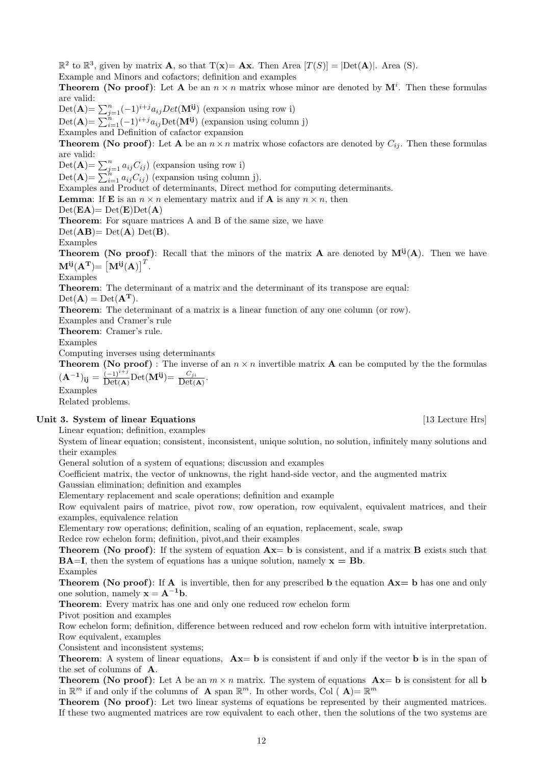**Theorem (No proof):** Let **A** be an  $n \times n$  matrix whose minor are denoted by  $\mathbf{M}^i$ . Then these formulas are valid:  $\text{Det}(\mathbf{A}) = \sum_{j=1}^{n} (-1)^{i+j} a_{ij} Det(\mathbf{M^{ij}})$  (expansion using row i)  $\text{Det}(\mathbf{A}) = \sum_{i=1}^{n} (-1)^{i+j} a_{ij} \text{Det}(\mathbf{M}^{ij})$  (expansion using column j) Examples and Definition of cafactor expansion **Theorem (No proof):** Let **A** be an  $n \times n$  matrix whose cofactors are denoted by  $C_{ij}$ . Then these formulas are valid:  $Det(\mathbf{A}) = \sum_{j=1}^{n} a_{ij} C_{ij}$ ) (expansion using row i) Det( $\mathbf{A}$ )=  $\sum_{i=1}^{n} a_{ij} C_{ij}$ ) (expansion using column j). Examples and Product of determinants, Direct method for computing determinants. **Lemma:** If **E** is an  $n \times n$  elementary matrix and if **A** is any  $n \times n$ , then  $Det(\mathbf{EA}) = Det(\mathbf{E})Det(\mathbf{A})$ Theorem: For square matrices A and B of the same size, we have  $Det(AB) = Det(A) Det(B).$ 

Examples

**Theorem (No proof)**: Recall that the minors of the matrix **A** are denoted by  $M^{ij}(A)$ . Then we have  $\mathbf{M^{ij}(A^T)} = \begin{bmatrix} \mathbf{M^{ij}(A)} \end{bmatrix}^T$ .

Examples

Theorem: The determinant of a matrix and the determinant of its transpose are equal:

 $\mathbb{R}^2$  to  $\mathbb{R}^3$ , given by matrix **A**, so that  $T(\mathbf{x}) = \mathbf{A}\mathbf{x}$ . Then Area  $[T(S)] = |\text{Det}(\mathbf{A})|$ . Area (S).

Example and Minors and cofactors; definition and examples

 $Det(\mathbf{A}) = Det(\mathbf{A}^T).$ 

Theorem: The determinant of a matrix is a linear function of any one column (or row).

Examples and Cramer's rule

Theorem: Cramer's rule.

Examples

Computing inverses using determinants

**Theorem (No proof)**: The inverse of an  $n \times n$  invertible matrix **A** can be computed by the the formulas  $(\mathbf{A}^{-1})_{\mathbf{ij}} = \frac{(-1)^{i+j}}{\mathrm{Det}(\mathbf{A})}$  $\frac{(-1)^{i+j}}{\text{Det}(\mathbf{A})}\text{Det}(\mathbf{M}^{ij})=\frac{C_{ji}}{\text{Det}(\mathbf{A})}.$ 

Examples

Related problems.

## Unit 3. System of linear Equations [13 Lecture Hrs]

Linear equation; definition, examples

System of linear equation; consistent, inconsistent, unique solution, no solution, infinitely many solutions and their examples

General solution of a system of equations; discussion and examples

Coefficient matrix, the vector of unknowns, the right hand-side vector, and the augmented matrix

Gaussian elimination; definition and examples

Elementary replacement and scale operations; definition and example

Row equivalent pairs of matrice, pivot row, row operation, row equivalent, equivalent matrices, and their examples, equivalence relation

Elementary row operations; definition, scaling of an equation, replacement, scale, swap

Redce row echelon form; definition, pivot,and their examples

**Theorem (No proof):** If the system of equation  $Ax = b$  is consistent, and if a matrix  $B$  exists such that  $BA=I$ , then the system of equations has a unique solution, namely  $x = Bb$ . Examples

**Theorem (No proof):** If **A** is invertible, then for any prescribed **b** the equation  $Ax = b$  has one and only one solution, namely  $x = A^{-1}b$ .

Theorem: Every matrix has one and only one reduced row echelon form

Pivot position and examples

Row echelon form; definition, difference between reduced and row echelon form with intuitive interpretation. Row equivalent, examples

Consistent and inconsistent systems;

**Theorem:** A system of linear equations,  $Ax = b$  is consistent if and only if the vector b is in the span of the set of columns of A.

**Theorem (No proof):** Let A be an  $m \times n$  matrix. The system of equations  $Ax = b$  is consistent for all b in  $\mathbb{R}^m$  if and only if the columns of **A** span  $\mathbb{R}^m$ . In other words, Col (**A**)=  $\mathbb{R}^m$ 

Theorem (No proof): Let two linear systems of equations be represented by their augmented matrices. If these two augmented matrices are row equivalent to each other, then the solutions of the two systems are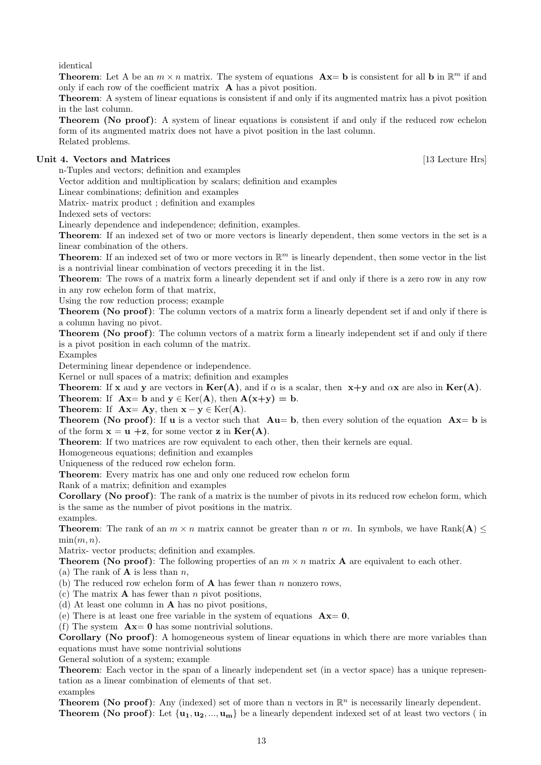identical

**Theorem:** Let A be an  $m \times n$  matrix. The system of equations  $Ax = b$  is consistent for all b in  $\mathbb{R}^m$  if and only if each row of the coefficient matrix A has a pivot position.

Theorem: A system of linear equations is consistent if and only if its augmented matrix has a pivot position in the last column.

Theorem (No proof): A system of linear equations is consistent if and only if the reduced row echelon form of its augmented matrix does not have a pivot position in the last column. Related problems.

## Unit 4. Vectors and Matrices [13 Lecture Hrs]

n-Tuples and vectors; definition and examples

Vector addition and multiplication by scalars; definition and examples

Linear combinations; definition and examples

Matrix- matrix product ; definition and examples

Indexed sets of vectors:

Linearly dependence and independence; definition, examples.

Theorem: If an indexed set of two or more vectors is linearly dependent, then some vectors in the set is a linear combination of the others.

**Theorem:** If an indexed set of two or more vectors in  $\mathbb{R}^m$  is linearly dependent, then some vector in the list is a nontrivial linear combination of vectors preceding it in the list.

Theorem: The rows of a matrix form a linearly dependent set if and only if there is a zero row in any row in any row echelon form of that matrix,

Using the row reduction process; example

Theorem (No proof): The column vectors of a matrix form a linearly dependent set if and only if there is a column having no pivot.

Theorem (No proof): The column vectors of a matrix form a linearly independent set if and only if there is a pivot position in each column of the matrix.

Examples

Determining linear dependence or independence.

Kernel or null spaces of a matrix; definition and examples

**Theorem:** If x and y are vectors in  $\text{Ker}(A)$ , and if  $\alpha$  is a scalar, then  $x+y$  and  $\alpha x$  are also in  $\text{Ker}(A)$ .

**Theorem:** If  $Ax = b$  and  $y \in \text{Ker}(A)$ , then  $A(x+y) = b$ .

Theorem: If  $\mathbf{A}\mathbf{x} = \mathbf{A}\mathbf{y}$ , then  $\mathbf{x} - \mathbf{y} \in \text{Ker}(\mathbf{A})$ .

**Theorem (No proof):** If **u** is a vector such that  $Au = b$ , then every solution of the equation  $Ax = b$  is of the form  $x = u + z$ , for some vector z in  $Ker(A)$ .

Theorem: If two matrices are row equivalent to each other, then their kernels are equal.

Homogeneous equations; definition and examples

Uniqueness of the reduced row echelon form.

Theorem: Every matrix has one and only one reduced row echelon form

Rank of a matrix; definition and examples

Corollary (No proof): The rank of a matrix is the number of pivots in its reduced row echelon form, which is the same as the number of pivot positions in the matrix.

examples.

**Theorem:** The rank of an  $m \times n$  matrix cannot be greater than n or m. In symbols, we have Rank( $A$ )  $\leq$  $\min(m, n)$ .

Matrix- vector products; definition and examples.

**Theorem (No proof):** The following properties of an  $m \times n$  matrix **A** are equivalent to each other.

(a) The rank of  $\bf{A}$  is less than n,

(b) The reduced row echelon form of  $A$  has fewer than n nonzero rows,

(c) The matrix  $\bf{A}$  has fewer than *n* pivot positions,

(d) At least one column in A has no pivot positions,

(e) There is at least one free variable in the system of equations  $A\mathbf{x} = \mathbf{0}$ ,

(f) The system  $\mathbf{A}\mathbf{x} = \mathbf{0}$  has some nontrivial solutions.

Corollary (No proof): A homogeneous system of linear equations in which there are more variables than equations must have some nontrivial solutions

General solution of a system; example

Theorem: Each vector in the span of a linearly independent set (in a vector space) has a unique representation as a linear combination of elements of that set. examples

**Theorem (No proof)**: Any (indexed) set of more than n vectors in  $\mathbb{R}^n$  is necessarily linearly dependent. **Theorem (No proof):** Let  $\{u_1, u_2, ..., u_m\}$  be a linearly dependent indexed set of at least two vectors (in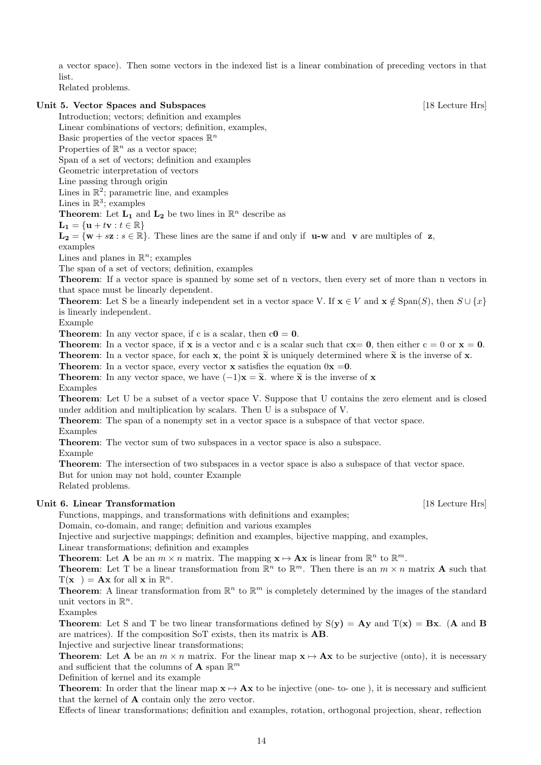a vector space). Then some vectors in the indexed list is a linear combination of preceding vectors in that list.

Related problems.

## Unit 5. Vector Spaces and Subspaces [18 Lecture Hrs]

Introduction; vectors; definition and examples

Linear combinations of vectors; definition, examples,

Basic properties of the vector spaces  $\mathbb{R}^n$ 

Properties of  $\mathbb{R}^n$  as a vector space;

Span of a set of vectors; definition and examples

Geometric interpretation of vectors

Line passing through origin

Lines in  $\mathbb{R}^2$ ; parametric line, and examples

Lines in  $\mathbb{R}^3$ ; examples

**Theorem:** Let  $L_1$  and  $L_2$  be two lines in  $\mathbb{R}^n$  describe as

 $L_1 = \{u + tv : t \in \mathbb{R}\}\$ 

 $L_2 = \{w + sz : s \in \mathbb{R}\}\.$  These lines are the same if and only if  $u-w$  and  $v$  are multiples of z,

examples

Lines and planes in  $\mathbb{R}^n$ ; examples

The span of a set of vectors; definition, examples

Theorem: If a vector space is spanned by some set of n vectors, then every set of more than n vectors in that space must be linearly dependent.

**Theorem:** Let S be a linearly independent set in a vector space V. If  $\mathbf{x} \in V$  and  $\mathbf{x} \notin \text{Span}(S)$ , then  $S \cup \{x\}$ is linearly independent.

Example

**Theorem:** In any vector space, if c is a scalar, then  $c0 = 0$ .

**Theorem:** In a vector space, if **x** is a vector and c is a scalar such that  $cx = 0$ , then either  $c = 0$  or  $x = 0$ . **Theorem:** In a vector space, for each **x**, the point  $\tilde{\mathbf{x}}$  is uniquely determined where  $\tilde{\mathbf{x}}$  is the inverse of **x**.

**Theorem:** In a vector space, every vector **x** satisfies the equation  $0x = 0$ .

**Theorem:** In any vector space, we have  $(-1)\mathbf{x} = \tilde{\mathbf{x}}$ , where  $\tilde{\mathbf{x}}$  is the inverse of x

Examples

Theorem: Let U be a subset of a vector space V. Suppose that U contains the zero element and is closed under addition and multiplication by scalars. Then U is a subspace of V.

Theorem: The span of a nonempty set in a vector space is a subspace of that vector space.

Examples

Theorem: The vector sum of two subspaces in a vector space is also a subspace.

Example

Theorem: The intersection of two subspaces in a vector space is also a subspace of that vector space. But for union may not hold, counter Example Related problems.

Unit 6. Linear Transformation **Example 2018** [18 Lecture Hrs]

Functions, mappings, and transformations with definitions and examples;

Domain, co-domain, and range; definition and various examples

Injective and surjective mappings; definition and examples, bijective mapping, and examples,

Linear transformations; definition and examples

**Theorem:** Let **A** be an  $m \times n$  matrix. The mapping  $\mathbf{x} \mapsto \mathbf{A}\mathbf{x}$  is linear from  $\mathbb{R}^n$  to  $\mathbb{R}^m$ .

**Theorem:** Let T be a linear transformation from  $\mathbb{R}^n$  to  $\mathbb{R}^m$ . Then there is an  $m \times n$  matrix **A** such that  $T(\mathbf{x}) = \mathbf{A}\mathbf{x}$  for all  $\mathbf{x}$  in  $\mathbb{R}^n$ .

**Theorem:** A linear transformation from  $\mathbb{R}^n$  to  $\mathbb{R}^m$  is completely determined by the images of the standard unit vectors in  $\mathbb{R}^n$ .

Examples

**Theorem:** Let S and T be two linear transformations defined by  $S(y) = Ay$  and  $T(x) = Bx$ . (A and B are matrices). If the composition SoT exists, then its matrix is AB.

Injective and surjective linear transformations;

**Theorem:** Let **A** be an  $m \times n$  matrix. For the linear map  $\mathbf{x} \mapsto \mathbf{A}\mathbf{x}$  to be surjective (onto), it is necessary and sufficient that the columns of **A** span  $\mathbb{R}^m$ 

Definition of kernel and its example

**Theorem:** In order that the linear map  $\mathbf{x} \mapsto \mathbf{A}\mathbf{x}$  to be injective (one- to- one ), it is necessary and sufficient that the kernel of A contain only the zero vector.

Effects of linear transformations; definition and examples, rotation, orthogonal projection, shear, reflection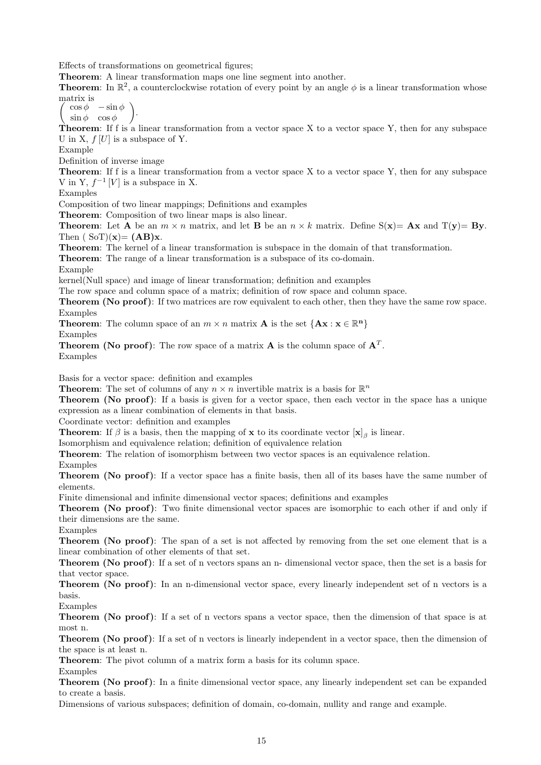Effects of transformations on geometrical figures;

Theorem: A linear transformation maps one line segment into another.

**Theorem:** In  $\mathbb{R}^2$ , a counterclockwise rotation of every point by an angle  $\phi$  is a linear transformation whose matrix is

 $\sqrt{2}$  $\cos \phi - \sin \phi$  $\sin \phi \quad \cos \phi$  $\setminus$ .

**Theorem:** If f is a linear transformation from a vector space X to a vector space Y, then for any subspace U in X,  $f[U]$  is a subspace of Y.

Example

Definition of inverse image

**Theorem:** If f is a linear transformation from a vector space  $X$  to a vector space  $Y$ , then for any subspace V in Y,  $f^{-1}[V]$  is a subspace in X.

Examples

Composition of two linear mappings; Definitions and examples

Theorem: Composition of two linear maps is also linear.

**Theorem:** Let **A** be an  $m \times n$  matrix, and let **B** be an  $n \times k$  matrix. Define  $S(x) = Ax$  and  $T(y) = By$ . Then  $(SoT)(x) = (AB)x$ .

Theorem: The kernel of a linear transformation is subspace in the domain of that transformation.

Theorem: The range of a linear transformation is a subspace of its co-domain.

Example

kernel(Null space) and image of linear transformation; definition and examples

The row space and column space of a matrix; definition of row space and column space.

Theorem (No proof): If two matrices are row equivalent to each other, then they have the same row space. Examples

**Theorem:** The column space of an  $m \times n$  matrix **A** is the set  ${A x : x \in \mathbb{R}^n}$ 

Examples

**Theorem (No proof)**: The row space of a matrix **A** is the column space of  $A<sup>T</sup>$ . Examples

Basis for a vector space: definition and examples

**Theorem:** The set of columns of any  $n \times n$  invertible matrix is a basis for  $\mathbb{R}^n$ 

Theorem (No proof): If a basis is given for a vector space, then each vector in the space has a unique expression as a linear combination of elements in that basis.

Coordinate vector: definition and examples

**Theorem:** If  $\beta$  is a basis, then the mapping of **x** to its coordinate vector  $[\mathbf{x}]_{\beta}$  is linear.

Isomorphism and equivalence relation; definition of equivalence relation

Theorem: The relation of isomorphism between two vector spaces is an equivalence relation.

Examples

Theorem (No proof): If a vector space has a finite basis, then all of its bases have the same number of elements.

Finite dimensional and infinite dimensional vector spaces; definitions and examples

Theorem (No proof): Two finite dimensional vector spaces are isomorphic to each other if and only if their dimensions are the same.

Examples

Theorem (No proof): The span of a set is not affected by removing from the set one element that is a linear combination of other elements of that set.

Theorem (No proof): If a set of n vectors spans an n- dimensional vector space, then the set is a basis for that vector space.

Theorem (No proof): In an n-dimensional vector space, every linearly independent set of n vectors is a basis.

Examples

Theorem (No proof): If a set of n vectors spans a vector space, then the dimension of that space is at most n.

Theorem (No proof): If a set of n vectors is linearly independent in a vector space, then the dimension of the space is at least n.

Theorem: The pivot column of a matrix form a basis for its column space.

Examples

Theorem (No proof): In a finite dimensional vector space, any linearly independent set can be expanded to create a basis.

Dimensions of various subspaces; definition of domain, co-domain, nullity and range and example.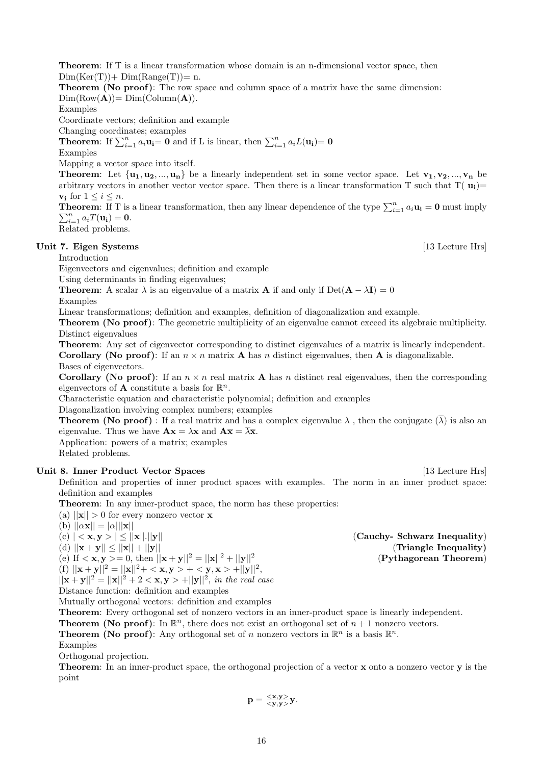Theorem: If T is a linear transformation whose domain is an n-dimensional vector space, then  $Dim(Ker(T)) + Dim(Range(T)) = n.$ 

Theorem (No proof): The row space and column space of a matrix have the same dimension:  $Dim(Row(A)) = Dim(Column(A)).$ 

Examples

Coordinate vectors; definition and example

Changing coordinates; examples

**Theorem:** If  $\sum_{i=1}^{n} a_i \mathbf{u_i} = \mathbf{0}$  and if L is linear, then  $\sum_{i=1}^{n} a_i L(\mathbf{u_i}) = \mathbf{0}$ 

Examples

Mapping a vector space into itself.

**Theorem:** Let  $\{u_1, u_2, ..., u_n\}$  be a linearly independent set in some vector space. Let  $v_1, v_2, ..., v_n$  be arbitrary vectors in another vector vector space. Then there is a linear transformation T such that  $T(u_i)=$  $v_i$  for  $1 \leq i \leq n$ .

**Theorem:** If T is a linear transformation, then any linear dependence of the type  $\sum_{i=1}^{n} a_i \mathbf{u_i} = \mathbf{0}$  must imply  $\sum_{i=1}^n a_i T(\mathbf{u_i}) = \mathbf{0}.$ 

Related problems.

## Unit 7. Eigen Systems [13 Lecture Hrs]

Introduction

Eigenvectors and eigenvalues; definition and example

Using determinants in finding eigenvalues;

**Theorem:** A scalar  $\lambda$  is an eigenvalue of a matrix **A** if and only if Det( $\mathbf{A} - \lambda \mathbf{I}$ ) = 0

Examples

Linear transformations; definition and examples, definition of diagonalization and example.

Theorem (No proof): The geometric multiplicity of an eigenvalue cannot exceed its algebraic multiplicity. Distinct eigenvalues

Theorem: Any set of eigenvector corresponding to distinct eigenvalues of a matrix is linearly independent. **Corollary (No proof):** If an  $n \times n$  matrix **A** has n distinct eigenvalues, then **A** is diagonalizable. Bases of eigenvectors.

**Corollary (No proof):** If an  $n \times n$  real matrix **A** has n distinct real eigenvalues, then the corresponding eigenvectors of **A** constitute a basis for  $\mathbb{R}^n$ .

Characteristic equation and characteristic polynomial; definition and examples

Diagonalization involving complex numbers; examples

**Theorem (No proof)**: If a real matrix and has a complex eigenvalue  $\lambda$ , then the conjugate  $(\overline{\lambda})$  is also an eigenvalue. Thus we have  $\mathbf{A}\mathbf{x} = \lambda \mathbf{x}$  and  $\mathbf{A}\overline{\mathbf{x}} = \overline{\lambda} \overline{\mathbf{x}}$ .

Application: powers of a matrix; examples

Related problems.

## Unit 8. Inner Product Vector Spaces [13 Lecture Hrs]

Definition and properties of inner product spaces with examples. The norm in an inner product space: definition and examples

Theorem: In any inner-product space, the norm has these properties:

(a)  $||\mathbf{x}|| > 0$  for every nonzero vector **x** 

(b)  $||\alpha \mathbf{x}|| = |\alpha| ||\mathbf{x}||$ 

(d) 
$$
||\mathbf{x} + \mathbf{y}|| \le ||\mathbf{x}|| + ||\mathbf{y}||
$$

(e) If  $\langle x, y \rangle = 0$ , then  $||x + y||^2 = ||x||^2 + ||y||^2$ 

(f)  $||\mathbf{x} + \mathbf{y}||^2 = ||\mathbf{x}||^2 + \langle \mathbf{x}, \mathbf{y} \rangle + \langle \mathbf{y}, \mathbf{x} \rangle + ||\mathbf{y}||^2$ ,  $||\mathbf{x} + \mathbf{y}||^2 = ||\mathbf{x}||^2 + 2 < \mathbf{x}, \mathbf{y} > + ||\mathbf{y}||^2$ , in the real case

Distance function: definition and examples

Mutually orthogonal vectors: definition and examples

Theorem: Every orthogonal set of nonzero vectors in an inner-product space is linearly independent.

**Theorem (No proof)**: In  $\mathbb{R}^n$ , there does not exist an orthogonal set of  $n + 1$  nonzero vectors.

**Theorem (No proof)**: Any orthogonal set of n nonzero vectors in  $\mathbb{R}^n$  is a basis  $\mathbb{R}^n$ .

Examples

Orthogonal projection.

Theorem: In an inner-product space, the orthogonal projection of a vector x onto a nonzero vector y is the point

$$
p=\frac{}{}y.
$$

(c)  $| \langle x, y \rangle | \le ||x||.||y||$  (Cauchy- Schwarz Inequality) (d)  $||x + y|| \le ||x|| + ||y||$  (Triangle Inequality) (Pythagorean Theorem)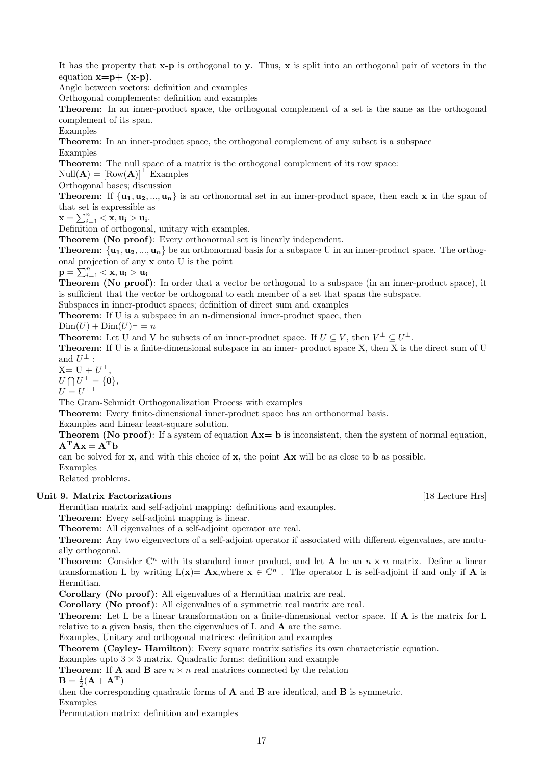It has the property that  $\mathbf{x}-\mathbf{p}$  is orthogonal to  $\mathbf{y}$ . Thus,  $\mathbf{x}$  is split into an orthogonal pair of vectors in the equation  $x=p+(x-p)$ .

Angle between vectors: definition and examples

Orthogonal complements: definition and examples

Theorem: In an inner-product space, the orthogonal complement of a set is the same as the orthogonal complement of its span.

Examples

Theorem: In an inner-product space, the orthogonal complement of any subset is a subspace Examples

Theorem: The null space of a matrix is the orthogonal complement of its row space:

 $Null(\mathbf{A}) = [Row(\mathbf{A})]^{\perp}$  Examples

Orthogonal bases; discussion

**Theorem:** If  $\{u_1, u_2, ..., u_n\}$  is an orthonormal set in an inner-product space, then each x in the span of that set is expressible as

 ${\bf x} = \sum_{i=1}^n <{\bf x}, {\bf u_i > u_i}.$ 

Definition of orthogonal, unitary with examples.

Theorem (No proof): Every orthonormal set is linearly independent.

**Theorem:**  $\{u_1, u_2, ..., u_n\}$  be an orthonormal basis for a subspace U in an inner-product space. The orthogonal projection of any x onto U is the point

 $\mathbf{p} = \sum_{i=1}^n <\mathbf{x}, \mathbf{u_i} > \mathbf{u_i}$ 

Theorem (No proof): In order that a vector be orthogonal to a subspace (in an inner-product space), it is sufficient that the vector be orthogonal to each member of a set that spans the subspace.

Subspaces in inner-product spaces; definition of direct sum and examples

Theorem: If U is a subspace in an n-dimensional inner-product space, then

 $\text{Dim}(U) + \text{Dim}(U)^{\perp} = n$ 

**Theorem:** Let U and V be subsets of an inner-product space. If  $U \subseteq V$ , then  $V^{\perp} \subseteq U^{\perp}$ .

Theorem: If U is a finite-dimensional subspace in an inner- product space X, then X is the direct sum of U and  $U^{\perp}$  :

 $X = U + U^{\perp},$  $U \bigcap U^{\perp} = \{0\},\$ 

 $U=U^{\perp\perp}$ 

The Gram-Schmidt Orthogonalization Process with examples

Theorem: Every finite-dimensional inner-product space has an orthonormal basis.

Examples and Linear least-square solution.

**Theorem (No proof):** If a system of equation  $Ax = b$  is inconsistent, then the system of normal equation,  $A^T A x = A^T b$ 

can be solved for x, and with this choice of x, the point Ax will be as close to b as possible.

Examples

Related problems.

#### Unit 9. Matrix Factorizations [18 Lecture Hrs]

Hermitian matrix and self-adjoint mapping: definitions and examples.

Theorem: Every self-adjoint mapping is linear.

Theorem: All eigenvalues of a self-adjoint operator are real.

Theorem: Any two eigenvectors of a self-adjoint operator if associated with different eigenvalues, are mutually orthogonal.

**Theorem:** Consider  $\mathbb{C}^n$  with its standard inner product, and let **A** be an  $n \times n$  matrix. Define a linear transformation L by writing  $L(x) = Ax$ , where  $x \in \mathbb{C}^n$ . The operator L is self-adjoint if and only if A is Hermitian.

Corollary (No proof): All eigenvalues of a Hermitian matrix are real.

Corollary (No proof): All eigenvalues of a symmetric real matrix are real.

Theorem: Let L be a linear transformation on a finite-dimensional vector space. If A is the matrix for L relative to a given basis, then the eigenvalues of L and A are the same.

Examples, Unitary and orthogonal matrices: definition and examples

Theorem (Cayley- Hamilton): Every square matrix satisfies its own characteristic equation.

Examples upto  $3 \times 3$  matrix. Quadratic forms: definition and example

**Theorem:** If **A** and **B** are  $n \times n$  real matrices connected by the relation

 $\mathbf{B} = \frac{1}{2}(\mathbf{A} + \mathbf{A}^{\mathbf{T}})$ 

then the corresponding quadratic forms of  $A$  and  $B$  are identical, and  $B$  is symmetric. Examples

Permutation matrix: definition and examples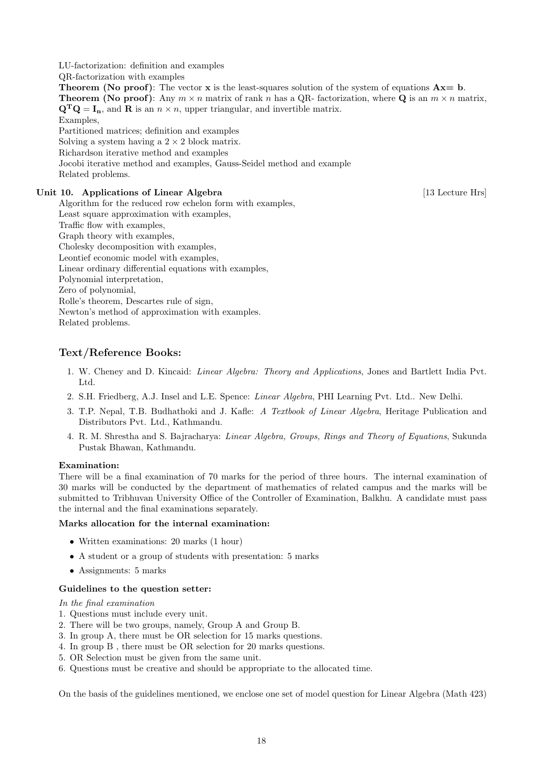LU-factorization: definition and examples

QR-factorization with examples

**Theorem (No proof):** The vector  $x$  is the least-squares solution of the system of equations  $Ax = b$ . **Theorem (No proof):** Any  $m \times n$  matrix of rank n has a QR- factorization, where **Q** is an  $m \times n$  matrix,  $\mathbf{Q}^{\mathbf{T}}\mathbf{Q} = \mathbf{I}_{\mathbf{n}}$ , and  $\mathbf{R}$  is an  $n \times n$ , upper triangular, and invertible matrix. Examples, Partitioned matrices; definition and examples

Solving a system having a  $2 \times 2$  block matrix.

Richardson iterative method and examples

Jocobi iterative method and examples, Gauss-Seidel method and example Related problems.

## Unit 10. Applications of Linear Algebra [13 Lecture Hrs]

Algorithm for the reduced row echelon form with examples, Least square approximation with examples, Traffic flow with examples, Graph theory with examples, Cholesky decomposition with examples, Leontief economic model with examples, Linear ordinary differential equations with examples, Polynomial interpretation, Zero of polynomial, Rolle's theorem, Descartes rule of sign, Newton's method of approximation with examples. Related problems.

# Text/Reference Books:

- 1. W. Cheney and D. Kincaid: Linear Algebra: Theory and Applications, Jones and Bartlett India Pvt. Ltd.
- 2. S.H. Friedberg, A.J. Insel and L.E. Spence: Linear Algebra, PHI Learning Pvt. Ltd.. New Delhi.
- 3. T.P. Nepal, T.B. Budhathoki and J. Kafle: A Textbook of Linear Algebra, Heritage Publication and Distributors Pvt. Ltd., Kathmandu.
- 4. R. M. Shrestha and S. Bajracharya: Linear Algebra, Groups, Rings and Theory of Equations, Sukunda Pustak Bhawan, Kathmandu.

## Examination:

There will be a final examination of 70 marks for the period of three hours. The internal examination of 30 marks will be conducted by the department of mathematics of related campus and the marks will be submitted to Tribhuvan University Office of the Controller of Examination, Balkhu. A candidate must pass the internal and the final examinations separately.

## Marks allocation for the internal examination:

- Written examinations: 20 marks (1 hour)
- A student or a group of students with presentation: 5 marks
- Assignments: 5 marks

## Guidelines to the question setter:

In the final examination

- 1. Questions must include every unit.
- 2. There will be two groups, namely, Group A and Group B.
- 3. In group A, there must be OR selection for 15 marks questions.
- 4. In group B , there must be OR selection for 20 marks questions.
- 5. OR Selection must be given from the same unit.
- 6. Questions must be creative and should be appropriate to the allocated time.

On the basis of the guidelines mentioned, we enclose one set of model question for Linear Algebra (Math 423)

18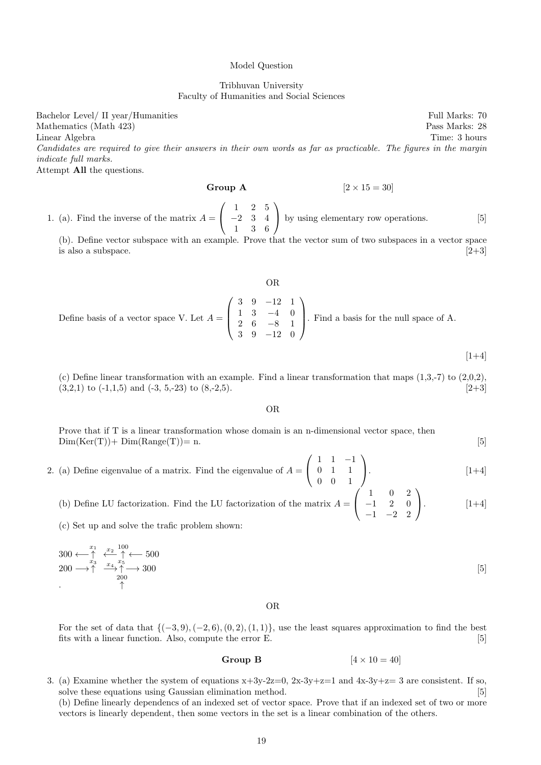#### Model Question

Tribhuvan University Faculty of Humanities and Social Sciences

Bachelor Level/ II year/Humanities Full Marks: 70 Mathematics (Math 423) Pass Marks: 28 Linear Algebra Time: 3 hours Candidates are required to give their answers in their own words as far as practicable. The figures in the margin indicate full marks.

Attempt All the questions.

**Group A** 
$$
[2 \times 15 = 30]
$$

1. (a). Find the inverse of the matrix  $A =$  $\sqrt{ }$  $\overline{1}$ 1 2 5 −2 3 4 1 3 6  $\setminus$ by using elementary row operations. [5]

(b). Define vector subspace with an example. Prove that the vector sum of two subspaces in a vector space is also a subspace.  $[2+3]$ 

#### OR Define basis of a vector space V. Let  $A =$  $\sqrt{ }$  $\vert$ 3 9 −12 1 1 3 −4 0 2 6 −8 1 3 9 −12 0  $\setminus$ . Find a basis for the null space of A.

 $[1+4]$ 

(c) Define linear transformation with an example. Find a linear transformation that maps  $(1,3,-7)$  to  $(2,0,2)$ .  $(3,2,1)$  to  $(-1,1,5)$  and  $(-3, 5,-23)$  to  $(8,-2,5)$ . [2+3]

OR

Prove that if T is a linear transformation whose domain is an n-dimensional vector space, then  $Dim(Ker(T)) + Dim(Range(T)) = n.$  [5]

- 2. (a) Define eigenvalue of a matrix. Find the eigenvalue of  $A =$  $\sqrt{ }$  $\overline{1}$ 1 1 −1 0 1 1 0 0 1  $\setminus$  $\left[1+4\right]$ 
	- (b) Define LU factorization. Find the LU factorization of the matrix  $A =$  $\sqrt{ }$  $\overline{1}$ 1 0 2  $-1$  2 0  $-1$   $-2$  2  $\setminus$  $\Bigg| \cdot \Bigg| \qquad \qquad [1+4]$

(c) Set up and solve the trafic problem shown:

$$
300 \leftarrow \uparrow \qquad \frac{x_1}{x_3} \quad \frac{x_2}{x_4} \quad \frac{100}{x_5} \leftarrow 500
$$
\n
$$
200 \longrightarrow \uparrow \qquad \frac{x_4}{x_5} \quad \frac{x_5}{x_2} \longrightarrow 300
$$
\n
$$
\uparrow \qquad \qquad \uparrow
$$
\n
$$
(5)
$$

OR

For the set of data that  $\{(-3, 9), (-2, 6), (0, 2), (1, 1)\}$ , use the least squares approximation to find the best fits with a linear function. Also, compute the error E. [5]

## Group B  $[4 \times 10 = 40]$

3. (a) Examine whether the system of equations  $x+3y-2z=0$ ,  $2x-3y+z=1$  and  $4x-3y+z=3$  are consistent. If so, solve these equations using Gaussian elimination method. [5] (b) Define linearly dependencs of an indexed set of vector space. Prove that if an indexed set of two or more vectors is linearly dependent, then some vectors in the set is a linear combination of the others.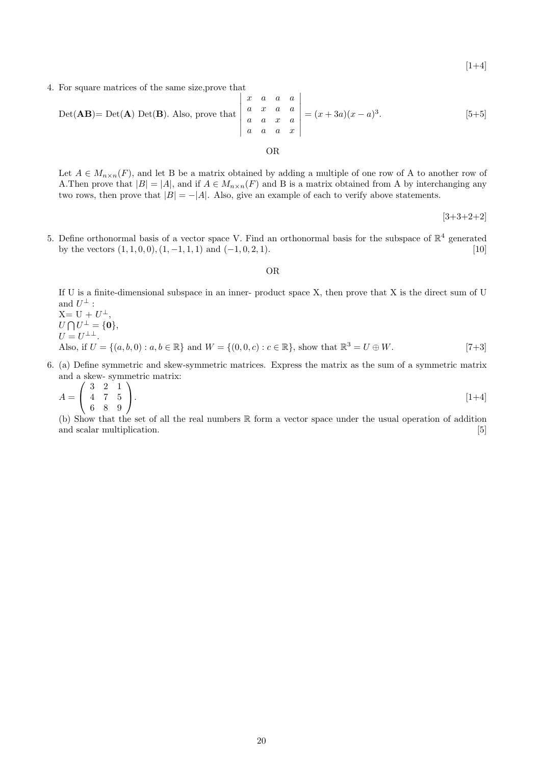$[1+4]$ 

4. For square matrices of the same size,prove that

$$
Det(AB) = Det(A) Det(B). Also, prove that\n\begin{vmatrix}\nx & a & a & a \\
a & x & a & a \\
a & a & x & a \\
a & a & a & x\n\end{vmatrix} = (x+3a)(x-a)^3.
$$
\n[5+5]

OR

## Let  $A \in M_{n \times n}(F)$ , and let B be a matrix obtained by adding a multiple of one row of A to another row of A. Then prove that  $|B| = |A|$ , and if  $A \in M_{n \times n}(F)$  and B is a matrix obtained from A by interchanging any two rows, then prove that  $|B| = -|A|$ . Also, give an example of each to verify above statements.

 $[3+3+2+2]$ 

5. Define orthonormal basis of a vector space V. Find an orthonormal basis for the subspace of  $\mathbb{R}^4$  generated by the vectors  $(1, 1, 0, 0), (1, -1, 1, 1)$  and  $(-1, 0, 2, 1)$ . [10]

OR

If U is a finite-dimensional subspace in an inner- product space X, then prove that X is the direct sum of U and  $U^{\perp}$  :  $X = U + U^{\perp},$  $U \bigcap U^{\perp} = \{0\},\$  $U = U^{\perp \perp}.$ Also, if  $U = \{(a, b, 0) : a, b \in \mathbb{R}\}\$ and  $W = \{(0, 0, c) : c \in \mathbb{R}\}\$ , show that  $\mathbb{R}^3 = U \oplus W$ . [7+3]

6. (a) Define symmetric and skew-symmetric matrices. Express the matrix as the sum of a symmetric matrix and a skew- symmetric matrix:

$$
A = \left(\begin{array}{ccc} 3 & 2 & 1 \\ 4 & 7 & 5 \\ 6 & 8 & 9 \end{array}\right). \tag{1+4}
$$

(b) Show that the set of all the real numbers R form a vector space under the usual operation of addition and scalar multiplication. [5]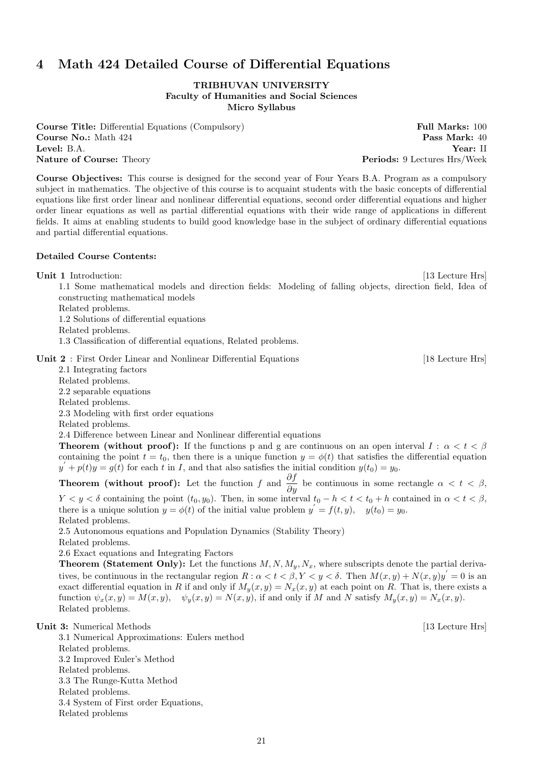# 4 Math 424 Detailed Course of Differential Equations

TRIBHUVAN UNIVERSITY Faculty of Humanities and Social Sciences Micro Syllabus

Course Title: Differential Equations (Compulsory) Full Marks: 100 **Course No.:** Math 424 **Pass Mark:** 40 Level: B.A. Year: II Nature of Course: Theory **Periods: 9 Lectures Hrs/Week** 

Course Objectives: This course is designed for the second year of Four Years B.A. Program as a compulsory subject in mathematics. The objective of this course is to acquaint students with the basic concepts of differential equations like first order linear and nonlinear differential equations, second order differential equations and higher order linear equations as well as partial differential equations with their wide range of applications in different fields. It aims at enabling students to build good knowledge base in the subject of ordinary differential equations and partial differential equations.

## Detailed Course Contents:

Unit 1 Introduction: [13 Lecture Hrs] 1.1 Some mathematical models and direction fields: Modeling of falling objects, direction field, Idea of constructing mathematical models Related problems.

1.2 Solutions of differential equations

Related problems.

1.3 Classification of differential equations, Related problems.

Unit 2 : First Order Linear and Nonlinear Differential Equations [18 Lecture Hrs]

2.1 Integrating factors Related problems. 2.2 separable equations Related problems. 2.3 Modeling with first order equations Related problems. 2.4 Difference between Linear and Nonlinear differential equations **Theorem (without proof):** If the functions p and g are continuous on an open interval  $I : \alpha < t < \beta$ 

containing the point  $t = t_0$ , then there is a unique function  $y = \phi(t)$  that satisfies the differential equation  $y' + p(t)y = g(t)$  for each t in I, and that also satisfies the initial condition  $y(t_0) = y_0$ .

**Theorem (without proof):** Let the function f and  $\frac{\partial f}{\partial y}$  be continuous in some rectangle  $\alpha < t < \beta$ ,  $Y < y < \delta$  containing the point  $(t_0, y_0)$ . Then, in some interval  $t_0 - h < t < t_0 + h$  contained in  $\alpha < t < \beta$ , there is a unique solution  $y = \phi(t)$  of the initial value problem  $y' = f(t, y)$ ,  $y(t_0) = y_0$ . Related problems.

2.5 Autonomous equations and Population Dynamics (Stability Theory)

Related problems.

2.6 Exact equations and Integrating Factors

**Theorem (Statement Only):** Let the functions  $M, N, M_u, N_x$ , where subscripts denote the partial derivatives, be continuous in the rectangular region  $R: \alpha < t < \beta, Y < y < \delta$ . Then  $M(x, y) + N(x, y)y' = 0$  is an exact differential equation in R if and only if  $M_y(x, y) = N_x(x, y)$  at each point on R. That is, there exists a function  $\psi_x(x, y) = M(x, y)$ ,  $\psi_y(x, y) = N(x, y)$ , if and only if M and N satisfy  $M_y(x, y) = N_x(x, y)$ . Related problems.

3.1 Numerical Approximations: Eulers method Related problems. 3.2 Improved Euler's Method Related problems. 3.3 The Runge-Kutta Method Related problems. 3.4 System of First order Equations, Related problems

 $[13$  Lecture Hrs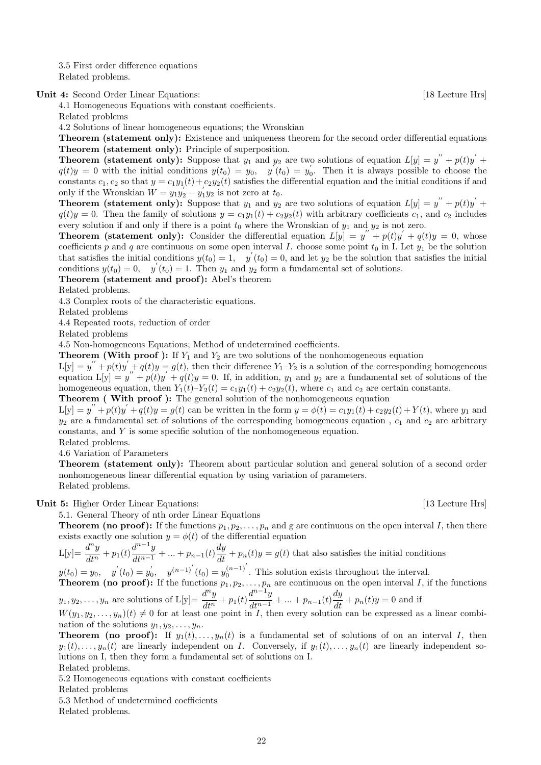3.5 First order difference equations Related problems.

Unit 4: Second Order Linear Equations: [18 Lecture Hrs]

4.1 Homogeneous Equations with constant coefficients. Related problems

4.2 Solutions of linear homogeneous equations; the Wronskian

Theorem (statement only): Existence and uniqueness theorem for the second order differential equations Theorem (statement only): Principle of superposition.

**Theorem (statement only):** Suppose that  $y_1$  and  $y_2$  are two solutions of equation  $L[y] = y'' + p(t)y' +$  $q(t)y = 0$  with the initial conditions  $y(t_0) = y_0$ ,  $y'(t_0) = y_0$ . Then it is always possible to choose the constants  $c_1, c_2$  so that  $y = c_1y_1(t) + c_2y_2(t)$  satisfies the differential equation and the initial conditions if and only if the Wronskian  $W = y_1 y_2 - y_1 y_2$  is not zero at  $t_0$ .

**Theorem (statement only):** Suppose that  $y_1$  and  $y_2$  are two solutions of equation  $L[y] = y'' + p(t)y' + p(t)y'$  $q(t)y = 0$ . Then the family of solutions  $y = c_1y_1(t) + c_2y_2(t)$  with arbitrary coefficients  $c_1$ , and  $c_2$  includes every solution if and only if there is a point  $t_0$  where the Wronskian of  $y_1$  and  $y_2$  is not zero.

**Theorem (statement only):** Consider the differential equation  $L[y] = y'' + p(t)y' + q(t)y = 0$ , whose coefficients p and q are continuous on some open interval I. choose some point  $t_0$  in I. Let  $y_1$  be the solution that satisfies the initial conditions  $y(t_0) = 1$ ,  $y'(t_0) = 0$ , and let  $y_2$  be the solution that satisfies the initial conditions  $y(t_0) = 0$ ,  $y'(t_0) = 1$ . Then  $y_1$  and  $y_2$  form a fundamental set of solutions.

Theorem (statement and proof): Abel's theorem

Related problems.

4.3 Complex roots of the characteristic equations.

Related problems

4.4 Repeated roots, reduction of order

Related problems

4.5 Non-homogeneous Equations; Method of undetermined coefficients.

**Theorem (With proof):** If  $Y_1$  and  $Y_2$  are two solutions of the nonhomogeneous equation

 $L[y] = y'' + p(t)y' + q(t)y = g(t)$ , then their difference  $Y_1 - Y_2$  is a solution of the corresponding homogeneous equation  $L[y] = y'' + p(t)y' + q(t)y = 0$ . If, in addition,  $y_1$  and  $y_2$  are a fundamental set of solutions of the homogeneous equation, then  $Y_1(t)-Y_2(t) = c_1y_1(t) + c_2y_2(t)$ , where  $c_1$  and  $c_2$  are certain constants. Theorem ( With proof ): The general solution of the nonhomogeneous equation

 $L[y] = y'' + p(t)y' + q(t)y = g(t)$  can be written in the form  $y = \phi(t) = c_1y_1(t) + c_2y_2(t) + Y(t)$ , where  $y_1$  and  $y_2$  are a fundamental set of solutions of the corresponding homogeneous equation,  $c_1$  and  $c_2$  are arbitrary constants, and Y is some specific solution of the nonhomogeneous equation.

Related problems.

4.6 Variation of Parameters

Theorem (statement only): Theorem about particular solution and general solution of a second order nonhomogeneous linear differential equation by using variation of parameters. Related problems.

Unit 5: Higher Order Linear Equations: [13 Lecture Hrs]

5.1. General Theory of nth order Linear Equations

**Theorem (no proof):** If the functions  $p_1, p_2, \ldots, p_n$  and g are continuous on the open interval I, then there exists exactly one solution  $y = \phi(t)$  of the differential equation

 $L[y] = \frac{d^n y}{dx}$  $\frac{d^{n}y}{dt^{n}} + p_{1}(t) \frac{d^{n-1}y}{dt^{n-1}}$  $\frac{d^{n-1}y}{dt^{n-1}} + \dots + p_{n-1}(t)\frac{dy}{dt} + p_n(t)y = g(t)$  that also satisfies the initial conditions

 $y(t_0) = y_0$ ,  $y'(t_0) = y'_0$ ,  $y^{(n-1)'}(t_0) = y_0^{(n-1)}'$ . This solution exists throughout the interval. **Theorem (no proof):** If the functions  $p_1, p_2, \ldots, p_n$  are continuous on the open interval I, if the functions

 $y_1, y_2, \ldots, y_n$  are solutions of  $L[y] = \frac{d^n y}{dx^n}$  $\frac{d^{n} y}{dt^{n}} + p_{1}(t) \frac{d^{n-1} y}{dt^{n-1}}$  $\frac{d^{n-1}y}{dt^{n-1}} + \dots + p_{n-1}(t)\frac{dy}{dt} + p_n(t)y = 0$  and if  $W(y_1, y_2, \ldots, y_n)(t) \neq 0$  for at least one point in I, then every solution can be expressed as a linear combi-

nation of the solutions  $y_1, y_2, \ldots, y_n$ .

**Theorem (no proof):** If  $y_1(t), \ldots, y_n(t)$  is a fundamental set of solutions of on an interval I, then  $y_1(t), \ldots, y_n(t)$  are linearly independent on I. Conversely, if  $y_1(t), \ldots, y_n(t)$  are linearly independent solutions on I, then they form a fundamental set of solutions on I. Related problems.

5.2 Homogeneous equations with constant coefficients

Related problems

5.3 Method of undetermined coefficients

Related problems.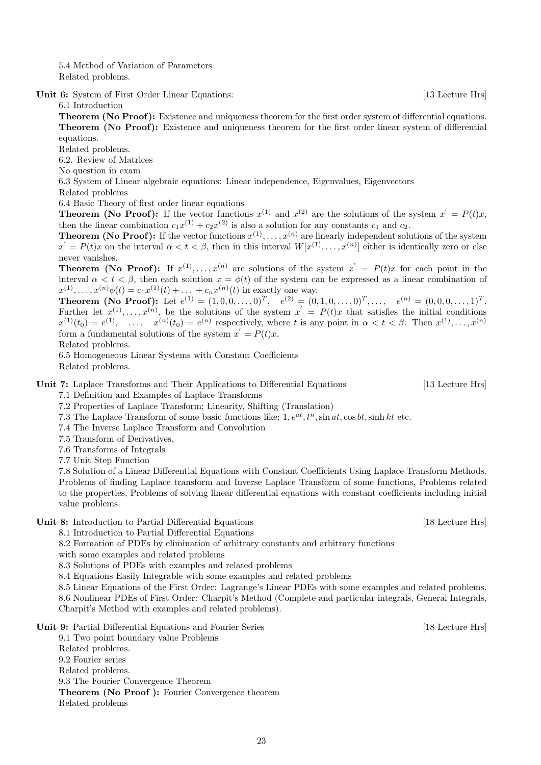5.4 Method of Variation of Parameters Related problems.

Unit 6: System of First Order Linear Equations: [13 Lecture Hrs]

6.1 Introduction

Theorem (No Proof): Existence and uniqueness theorem for the first order system of differential equations. Theorem (No Proof): Existence and uniqueness theorem for the first order linear system of differential equations.

Related problems.

6.2. Review of Matrices

No question in exam

6.3 System of Linear algebraic equations: Linear independence, Eigenvalues, Eigenvectors

Related problems

6.4 Basic Theory of first order linear equations

**Theorem (No Proof):** If the vector functions  $x^{(1)}$  and  $x^{(2)}$  are the solutions of the system  $x' = P(t)x$ , then the linear combination  $c_1x^{(1)} + c_2x^{(2)}$  is also a solution for any constants  $c_1$  and  $c_2$ .

**Theorem (No Proof):** If the vector functions  $x^{(1)}, \ldots, x^{(n)}$  are linearly independent solutions of the system  $x' = P(t)x$  on the interval  $\alpha < t < \beta$ , then in this interval  $W[x^{(1)},...,x^{(n)}]$  either is identically zero or else never vanishes.

**Theorem (No Proof):** If  $x^{(1)}, \ldots, x^{(n)}$  are solutions of the system  $x' = P(t)x$  for each point in the interval  $\alpha < t < \beta$ , then each solution  $x = \phi(t)$  of the system can be expressed as a linear combination of  $x^{(1)},...,x^{(n)}\phi(t) = c_1 x^{(1)}(t) + ... + c_n x^{(n)}(t)$  in exactly one way.

**Theorem (No Proof):** Let  $e^{(1)} = (1, 0, 0, \ldots, 0)^T$ ,  $e^{(2)} = (0, 1, 0, \ldots, 0)^T$ ,  $\ldots$ ,  $e^{(n)} = (0, 0, 0, \ldots, 1)^T$ . Further let  $x^{(1)},...,x^{(n)}$ , be the solutions of the system  $x' = P(t)x$  that satisfies the initial conditions  $x^{(1)}(t_0) = e^{(1)}, \dots, x^{(n)}(t_0) = e^{(n)}$  respectively, where t is any point in  $\alpha < t < \beta$ . Then  $x^{(1)}, \dots, x^{(n)}$ form a fundamental solutions of the system  $x' = P(t)x$ .

Related problems.

6.5 Homogeneous Linear Systems with Constant Coefficients Related problems.

Unit 7: Laplace Transforms and Their Applications to Differential Equations [13 Lecture Hrs]

7.1 Definition and Examples of Laplace Transforms

7.2 Properties of Laplace Transform; Linearity, Shifting (Translation)

7.3 The Laplace Transform of some basic functions like;  $1, e^{at}, t^n$ , sin at, cos bt, sinh kt etc.

7.4 The Inverse Laplace Transform and Convolution

7.5 Transform of Derivatives,

7.6 Transforms of Integrals

7.7 Unit Step Function

7.8 Solution of a Linear Differential Equations with Constant Coefficients Using Laplace Transform Methods. Problems of finding Laplace transform and Inverse Laplace Transform of some functions, Problems related to the properties, Problems of solving linear differential equations with constant coefficients including initial value problems.

Unit 8: Introduction to Partial Differential Equations [18 Lecture Hrs]

8.1 Introduction to Partial Differential Equations

8.2 Formation of PDEs by elimination of arbitrary constants and arbitrary functions

with some examples and related problems

8.3 Solutions of PDEs with examples and related problems

8.4 Equations Easily Integrable with some examples and related problems

8.5 Linear Equations of the First Order: Lagrange's Linear PDEs with some examples and related problems. 8.6 Nonlinear PDEs of First Order: Charpit's Method (Complete and particular integrals, General Integrals, Charpit's Method with examples and related problems).

Unit 9: Partial Differential Equations and Fourier Series [18 Lecture Hrs]

9.1 Two point boundary value Problems Related problems. 9.2 Fourier series Related problems. 9.3 The Fourier Convergence Theorem Theorem (No Proof ): Fourier Convergence theorem Related problems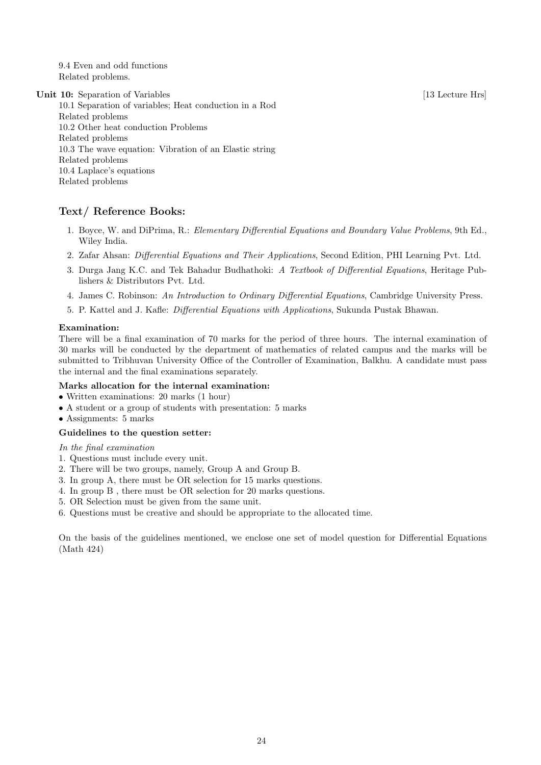9.4 Even and odd functions Related problems.

Unit 10: Separation of Variables [13 Lecture Hrs]

10.1 Separation of variables; Heat conduction in a Rod Related problems 10.2 Other heat conduction Problems Related problems 10.3 The wave equation: Vibration of an Elastic string Related problems 10.4 Laplace's equations Related problems

## Text/ Reference Books:

- 1. Boyce, W. and DiPrima, R.: Elementary Differential Equations and Boundary Value Problems, 9th Ed., Wiley India.
- 2. Zafar Ahsan: Differential Equations and Their Applications, Second Edition, PHI Learning Pvt. Ltd.
- 3. Durga Jang K.C. and Tek Bahadur Budhathoki: A Textbook of Differential Equations, Heritage Publishers & Distributors Pvt. Ltd.
- 4. James C. Robinson: An Introduction to Ordinary Differential Equations, Cambridge University Press.
- 5. P. Kattel and J. Kafle: Differential Equations with Applications, Sukunda Pustak Bhawan.

## Examination:

There will be a final examination of 70 marks for the period of three hours. The internal examination of 30 marks will be conducted by the department of mathematics of related campus and the marks will be submitted to Tribhuvan University Office of the Controller of Examination, Balkhu. A candidate must pass the internal and the final examinations separately.

## Marks allocation for the internal examination:

- Written examinations: 20 marks (1 hour)
- A student or a group of students with presentation: 5 marks
- Assignments: 5 marks

## Guidelines to the question setter:

In the final examination

- 1. Questions must include every unit.
- 2. There will be two groups, namely, Group A and Group B.
- 3. In group A, there must be OR selection for 15 marks questions.
- 4. In group B , there must be OR selection for 20 marks questions.
- 5. OR Selection must be given from the same unit.
- 6. Questions must be creative and should be appropriate to the allocated time.

On the basis of the guidelines mentioned, we enclose one set of model question for Differential Equations (Math 424)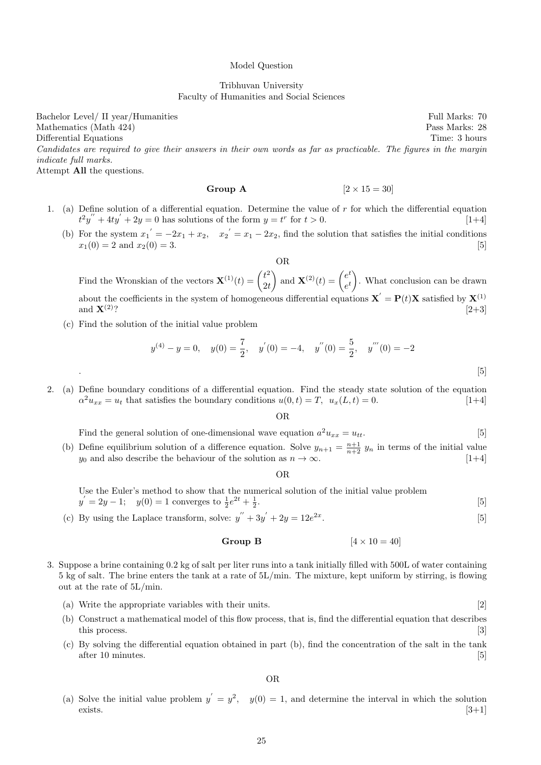#### Model Question

Tribhuvan University Faculty of Humanities and Social Sciences

Bachelor Level/ II year/Humanities Full Marks: 70 Mathematics (Math 424) Pass Marks: 28 Differential Equations Time: 3 hours Candidates are required to give their answers in their own words as far as practicable. The figures in the margin indicate full marks. Attempt All the questions.

Group A  $[2 \times 15 = 30]$ 

- 1. (a) Define solution of a differential equation. Determine the value of  $r$  for which the differential equation  $t^2y'' + 4ty' + 2y = 0$  has solutions of the form  $y = t^r$  for  $t > 0$ . [1+4]
	- (b) For the system  $x_1' = -2x_1 + x_2$ ,  $x_2' = x_1 2x_2$ , find the solution that satisfies the initial conditions  $x_1(0) = 2$  and  $x_2(0) = 3$ . [5]

OR

Find the Wronskian of the vectors  $\mathbf{X}^{(1)}(t) = \begin{pmatrix} t^2 \\ 2t \end{pmatrix}$  $2<sub>t</sub>$ ) and  $\mathbf{X}^{(2)}(t) = \begin{pmatrix} e^t \\ t \end{pmatrix}$  $e^t$  . What conclusion can be drawn about the coefficients in the system of homogeneous differential equations  $\mathbf{X}' = \mathbf{P}(t)\mathbf{X}$  satisfied by  $\mathbf{X}^{(1)}$ and  $X^{(2)}$ ? [2+3]

(c) Find the solution of the initial value problem

$$
y^{(4)} - y = 0, \quad y(0) = \frac{7}{2}, \quad y'(0) = -4, \quad y''(0) = \frac{5}{2}, \quad y'''(0) = -2
$$

2. (a) Define boundary conditions of a differential equation. Find the steady state solution of the equation  $\alpha^2 u_{xx} = u_t$  that satisfies the boundary conditions  $u(0, t) = T$ ,  $u_x(L, t) = 0$ . [1+4]

OR

| Find the general solution of one-dimensional wave equation $a^2 u_{xx} = u_{tt}$ .                                   |  |
|----------------------------------------------------------------------------------------------------------------------|--|
| For equilibrium solution of a difference equation. Solve $u_{n+1} = \frac{n+1}{2} u_n$ in terms of the initial value |  |

(b) Define equilibrium solution of a difference equation. Solve  $y_{n+1} =$  $=\frac{1}{n+2}$  y<sub>n</sub> in terms of the initial value  $[1+4]$  $y_0$  and also describe the behaviour of the solution as  $n \to \infty$ . [1+4]

#### OR

Use the Euler's method to show that the numerical solution of the initial value problem  $y' = 2y - 1;$   $y(0) = 1$  converges to  $\frac{1}{2}e^{2t} + \frac{1}{2}$ .  $[5]$ 

(c) By using the Laplace transform, solve:  $y'' + 3y' + 2y = 12e^{2x}$ .  $[5]$ 

## Group B  $[4 \times 10 = 40]$

- 3. Suppose a brine containing 0.2 kg of salt per liter runs into a tank initially filled with 500L of water containing 5 kg of salt. The brine enters the tank at a rate of 5L/min. The mixture, kept uniform by stirring, is flowing out at the rate of 5L/min.
	- (a) Write the appropriate variables with their units. [2]
	- (b) Construct a mathematical model of this flow process, that is, find the differential equation that describes this process. [3] **https://www.fractionality.com/** [3] **https://www.fractionality.com/** [3] **https://www.fractionality.com/** [3] **http://www.fractionality.com/** [3] **http://www.fractionality.com/** [3] **http://www.fractiona**
	- (c) By solving the differential equation obtained in part (b), find the concentration of the salt in the tank after 10 minutes. [5]

OR

(a) Solve the initial value problem  $y' = y^2$ ,  $y(0) = 1$ , and determine the interval in which the solution exists.  $[3+1]$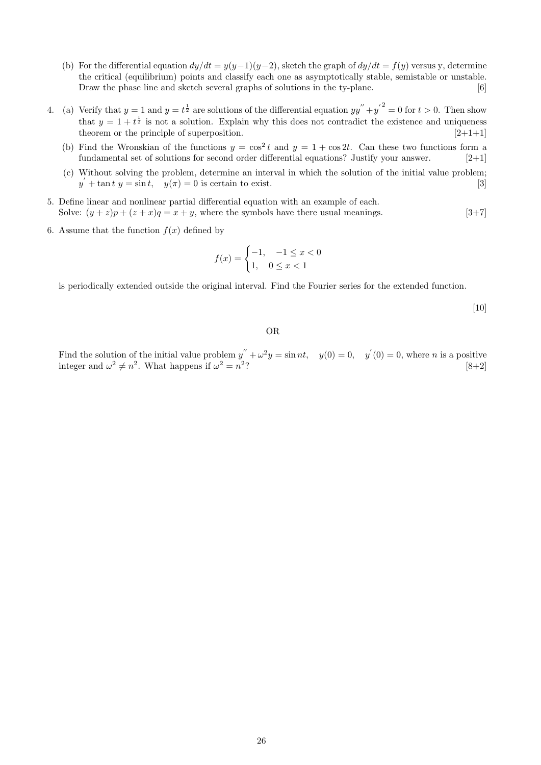- (b) For the differential equation  $dy/dt = y(y-1)(y-2)$ , sketch the graph of  $dy/dt = f(y)$  versus y, determine the critical (equilibrium) points and classify each one as asymptotically stable, semistable or unstable. Draw the phase line and sketch several graphs of solutions in the ty-plane. [6]
- 4. (a) Verify that  $y = 1$  and  $y = t^{\frac{1}{2}}$  are solutions of the differential equation  $yy'' + y'^{2} = 0$  for  $t > 0$ . Then show that  $y = 1 + t^{\frac{1}{2}}$  is not a solution. Explain why this does not contradict the existence and uniqueness theorem or the principle of superposition.  $[2+1+1]$ 
	- (b) Find the Wronskian of the functions  $y = \cos^2 t$  and  $y = 1 + \cos 2t$ . Can these two functions form a fundamental set of solutions for second order differential equations? Justify your answer. [2+1]
	- (c) Without solving the problem, determine an interval in which the solution of the initial value problem;  $y' + \tan t \ y = \sin t$ ,  $y(\pi) = 0$  is certain to exist. [3]
- 5. Define linear and nonlinear partial differential equation with an example of each. Solve:  $(y + z)p + (z + x)q = x + y$ , where the symbols have there usual meanings. [3+7]
- 6. Assume that the function  $f(x)$  defined by

$$
f(x) = \begin{cases} -1, & -1 \le x < 0 \\ 1, & 0 \le x < 1 \end{cases}
$$

is periodically extended outside the original interval. Find the Fourier series for the extended function.

[10]

#### OR

Find the solution of the initial value problem  $y'' + \omega^2 y = \sin nt$ ,  $y(0) = 0$ ,  $y'(0) = 0$ , where *n* is a positive integer and  $\omega^2 \neq n^2$ . What happens if  $\omega^2 = n^2$ ?  $[8+2]$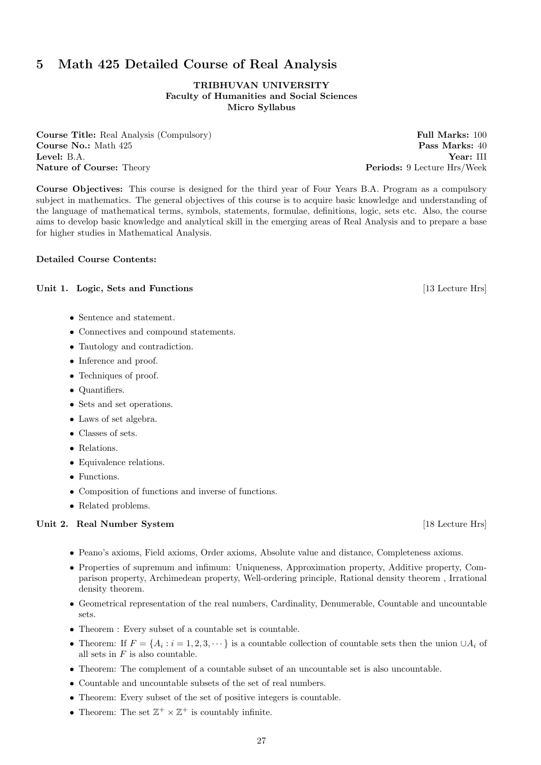# 27

# 5 Math 425 Detailed Course of Real Analysis

## TRIBHUVAN UNIVERSITY Faculty of Humanities and Social Sciences Micro Syllabus

**Course Title:** Real Analysis (Compulsory) **Full Marks:** 100 **Course No.:** Math 425 **Pass Marks:** 40 Level: B.A. Year: III Nature of Course: Theory **Periods: 9 Lecture Hrs/Week** 

Course Objectives: This course is designed for the third year of Four Years B.A. Program as a compulsory subject in mathematics. The general objectives of this course is to acquire basic knowledge and understanding of the language of mathematical terms, symbols, statements, formulae, definitions, logic, sets etc. Also, the course aims to develop basic knowledge and analytical skill in the emerging areas of Real Analysis and to prepare a base for higher studies in Mathematical Analysis.

## Detailed Course Contents:

## Unit 1. Logic, Sets and Functions [13 Lecture Hrs]

- Sentence and statement.
- Connectives and compound statements.
- Tautology and contradiction.
- Inference and proof.
- Techniques of proof.
- Quantifiers.
- Sets and set operations.
- Laws of set algebra.
- Classes of sets.
- Relations.
- Equivalence relations.
- Functions.
- Composition of functions and inverse of functions.
- Related problems.

## Unit 2. Real Number System [18 Lecture Hrs]

- Peano's axioms, Field axioms, Order axioms, Absolute value and distance, Completeness axioms.
- Properties of supremum and infimum: Uniqueness, Approximation property, Additive property, Comparison property, Archimedean property, Well-ordering principle, Rational density theorem , Irrational density theorem.
- Geometrical representation of the real numbers, Cardinality, Denumerable, Countable and uncountable sets.
- Theorem : Every subset of a countable set is countable.
- Theorem: If  $F = \{A_i : i = 1, 2, 3, \dots\}$  is a countable collection of countable sets then the union  $\cup A_i$  of all sets in  $F$  is also countable.
- Theorem: The complement of a countable subset of an uncountable set is also uncountable.
- Countable and uncountable subsets of the set of real numbers.
- Theorem: Every subset of the set of positive integers is countable.
- Theorem: The set  $\mathbb{Z}^+ \times \mathbb{Z}^+$  is countably infinite.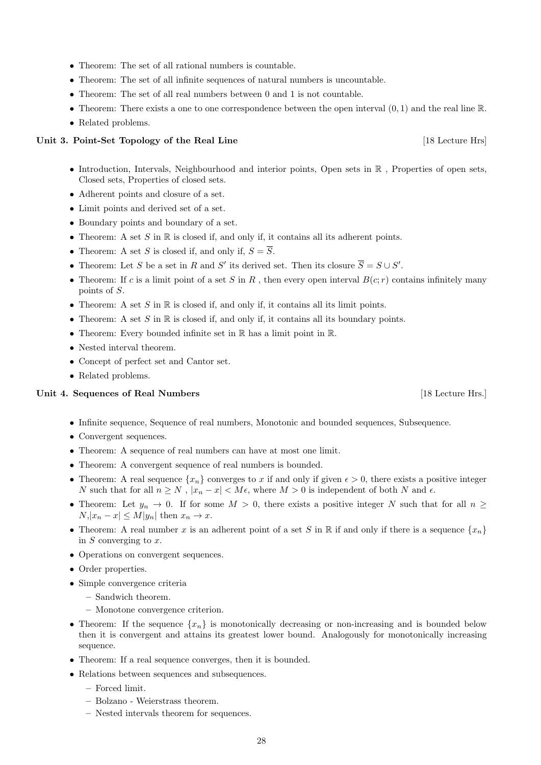- Theorem: The set of all rational numbers is countable.
- Theorem: The set of all infinite sequences of natural numbers is uncountable.
- Theorem: The set of all real numbers between 0 and 1 is not countable.
- Theorem: There exists a one to one correspondence between the open interval  $(0, 1)$  and the real line  $\mathbb{R}$ .
- Related problems.

## Unit 3. Point-Set Topology of the Real Line [18 Lecture Hrs]

- $\bullet$  Introduction, Intervals, Neighbourhood and interior points, Open sets in  $\mathbb R$ , Properties of open sets, Closed sets, Properties of closed sets.
- Adherent points and closure of a set.
- Limit points and derived set of a set.
- Boundary points and boundary of a set.
- Theorem: A set S in  $\mathbb R$  is closed if, and only if, it contains all its adherent points.
- Theorem: A set S is closed if, and only if,  $S = \overline{S}$ .
- Theorem: Let S be a set in R and S' its derived set. Then its closure  $\overline{S} = S \cup S'$ .
- Theorem: If c is a limit point of a set S in R, then every open interval  $B(c; r)$  contains infinitely many points of S.
- Theorem: A set S in  $\mathbb R$  is closed if, and only if, it contains all its limit points.
- Theorem: A set S in  $\mathbb R$  is closed if, and only if, it contains all its boundary points.
- Theorem: Every bounded infinite set in  $\mathbb R$  has a limit point in  $\mathbb R$ .
- Nested interval theorem.
- Concept of perfect set and Cantor set.
- Related problems.

## Unit 4. Sequences of Real Numbers [18 Lecture Hrs.]

- Infinite sequence, Sequence of real numbers, Monotonic and bounded sequences, Subsequence.
- Convergent sequences.
- Theorem: A sequence of real numbers can have at most one limit.
- Theorem: A convergent sequence of real numbers is bounded.
- Theorem: A real sequence  $\{x_n\}$  converges to x if and only if given  $\epsilon > 0$ , there exists a positive integer N such that for all  $n \geq N$ ,  $|x_n - x| < M\epsilon$ , where  $M > 0$  is independent of both N and  $\epsilon$ .
- Theorem: Let  $y_n \to 0$ . If for some  $M > 0$ , there exists a positive integer N such that for all  $n \geq$  $N, |x_n - x| \le M |y_n|$  then  $x_n \to x$ .
- Theorem: A real number x is an adherent point of a set S in R if and only if there is a sequence  $\{x_n\}$ in  $S$  converging to  $x$ .
- Operations on convergent sequences.
- Order properties.
- Simple convergence criteria
	- Sandwich theorem.
	- Monotone convergence criterion.
- Theorem: If the sequence  $\{x_n\}$  is monotonically decreasing or non-increasing and is bounded below then it is convergent and attains its greatest lower bound. Analogously for monotonically increasing sequence.
- Theorem: If a real sequence converges, then it is bounded.
- Relations between sequences and subsequences.
	- Forced limit.
	- Bolzano Weierstrass theorem.
	- Nested intervals theorem for sequences.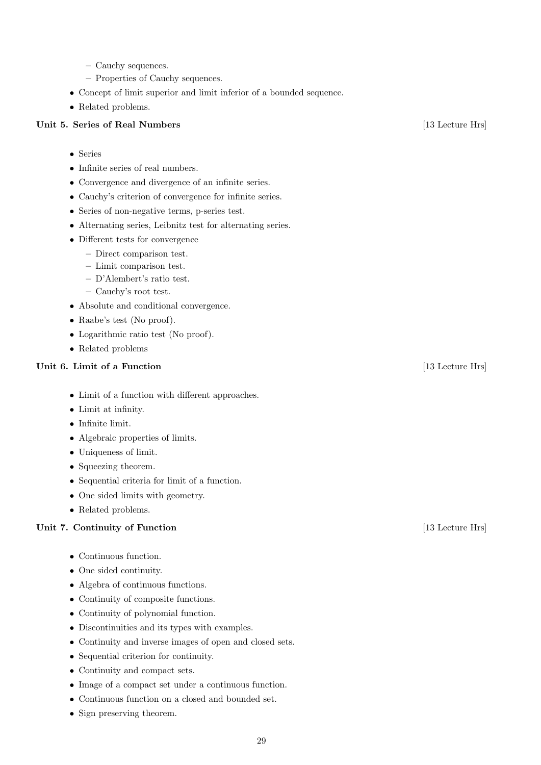- Cauchy sequences.
- Properties of Cauchy sequences.
- Concept of limit superior and limit inferior of a bounded sequence.
- Related problems.

## Unit 5. Series of Real Numbers [13 Lecture Hrs]

- Series
- Infinite series of real numbers.
- Convergence and divergence of an infinite series.
- Cauchy's criterion of convergence for infinite series.
- Series of non-negative terms, p-series test.
- Alternating series, Leibnitz test for alternating series.
- Different tests for convergence
	- Direct comparison test.
	- Limit comparison test.
	- D'Alembert's ratio test.
	- Cauchy's root test.
- Absolute and conditional convergence.
- Raabe's test (No proof).
- Logarithmic ratio test (No proof).
- Related problems

## Unit 6. Limit of a Function [13 Lecture Hrs]

- Limit of a function with different approaches.
- Limit at infinity.
- Infinite limit.
- Algebraic properties of limits.
- Uniqueness of limit.
- Squeezing theorem.
- Sequential criteria for limit of a function.
- One sided limits with geometry.
- Related problems.

## Unit 7. Continuity of Function [13 Lecture Hrs]

- Continuous function.
- One sided continuity.
- Algebra of continuous functions.
- Continuity of composite functions.
- Continuity of polynomial function.
- Discontinuities and its types with examples.
- Continuity and inverse images of open and closed sets.
- Sequential criterion for continuity.
- Continuity and compact sets.
- Image of a compact set under a continuous function.
- Continuous function on a closed and bounded set.
- Sign preserving theorem.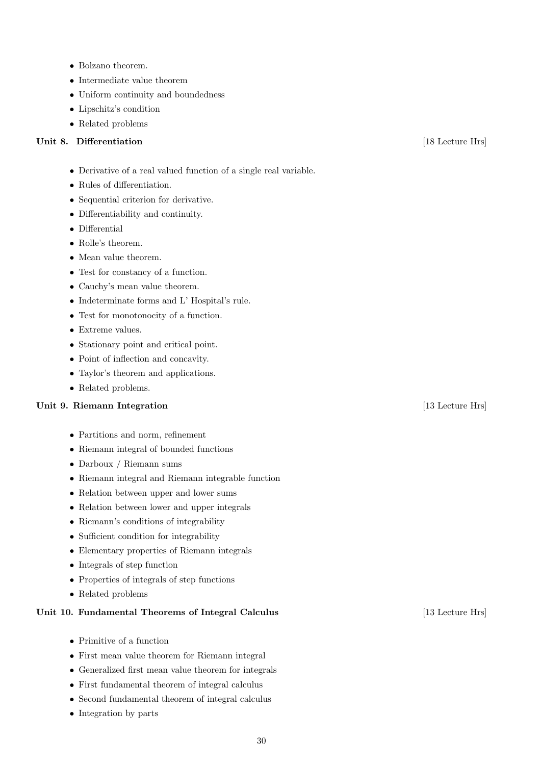- Bolzano theorem.
- Intermediate value theorem
- Uniform continuity and boundedness
- Lipschitz's condition
- Related problems

## Unit 8. Differentiation [18 Lecture Hrs]

- Derivative of a real valued function of a single real variable.
- Rules of differentiation.
- Sequential criterion for derivative.
- Differentiability and continuity.
- Differential
- Rolle's theorem.
- Mean value theorem.
- Test for constancy of a function.
- Cauchy's mean value theorem.
- Indeterminate forms and L' Hospital's rule.
- Test for monotonocity of a function.
- Extreme values.
- Stationary point and critical point.
- Point of inflection and concavity.
- Taylor's theorem and applications.
- Related problems.

## Unit 9. Riemann Integration [13 Lecture Hrs]

- Partitions and norm, refinement
- Riemann integral of bounded functions
- Darboux / Riemann sums
- Riemann integral and Riemann integrable function
- Relation between upper and lower sums
- Relation between lower and upper integrals
- Riemann's conditions of integrability
- Sufficient condition for integrability
- Elementary properties of Riemann integrals
- Integrals of step function
- Properties of integrals of step functions
- Related problems

## Unit 10. Fundamental Theorems of Integral Calculus [13] Lecture Hrs]

- $\bullet\,$  Primitive of a function
- First mean value theorem for Riemann integral
- Generalized first mean value theorem for integrals
- First fundamental theorem of integral calculus
- Second fundamental theorem of integral calculus
- Integration by parts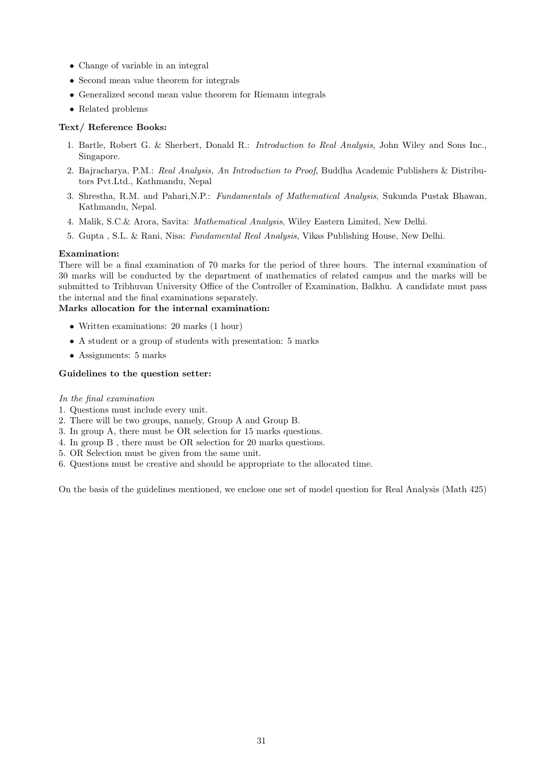- Change of variable in an integral
- Second mean value theorem for integrals
- Generalized second mean value theorem for Riemann integrals
- Related problems

## Text/ Reference Books:

- 1. Bartle, Robert G. & Sherbert, Donald R.: Introduction to Real Analysis, John Wiley and Sons Inc., Singapore.
- 2. Bajracharya, P.M.: Real Analysis, An Introduction to Proof, Buddha Academic Publishers & Distributors Pvt.Ltd., Kathmandu, Nepal
- 3. Shrestha, R.M. and Pahari,N.P.: Fundamentals of Mathematical Analysis, Sukunda Pustak Bhawan, Kathmandu, Nepal.
- 4. Malik, S.C.& Arora, Savita: Mathematical Analysis, Wiley Eastern Limited, New Delhi.
- 5. Gupta , S.L. & Rani, Nisa: Fundamental Real Analysis, Vikas Publishing House, New Delhi.

## Examination:

There will be a final examination of 70 marks for the period of three hours. The internal examination of 30 marks will be conducted by the department of mathematics of related campus and the marks will be submitted to Tribhuvan University Office of the Controller of Examination, Balkhu. A candidate must pass the internal and the final examinations separately.

## Marks allocation for the internal examination:

- Written examinations: 20 marks (1 hour)
- A student or a group of students with presentation: 5 marks
- Assignments: 5 marks

## Guidelines to the question setter:

## In the final examination

- 1. Questions must include every unit.
- 2. There will be two groups, namely, Group A and Group B.
- 3. In group A, there must be OR selection for 15 marks questions.
- 4. In group B , there must be OR selection for 20 marks questions.
- 5. OR Selection must be given from the same unit.
- 6. Questions must be creative and should be appropriate to the allocated time.

On the basis of the guidelines mentioned, we enclose one set of model question for Real Analysis (Math 425)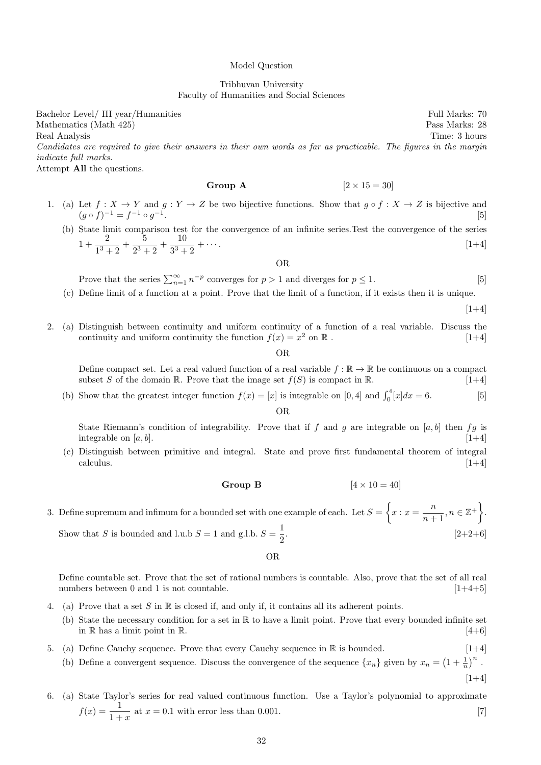#### Model Question

## Tribhuvan University Faculty of Humanities and Social Sciences

Bachelor Level/ III year/Humanities Full Marks: 70 Mathematics (Math 425) Pass Marks: 28 Real Analysis Time: 3 hours Candidates are required to give their answers in their own words as far as practicable. The figures in the margin indicate full marks. Attempt All the questions.

**Group A** 
$$
[2 \times 15 = 30]
$$

- 1. (a) Let  $f: X \to Y$  and  $g: Y \to Z$  be two bijective functions. Show that  $g \circ f: X \to Z$  is bijective and  $(g \circ f)^{-1} = f^{-1} \circ g^{-1}$ . [5]
	- (b) State limit comparison test for the convergence of an infinite series.Test the convergence of the series  $1 + \frac{2}{12}$  $\frac{2}{1^3+2}+\frac{5}{2^3}$  $\frac{5}{2^3+2}+\frac{10}{3^3+}$  $\frac{1}{3^3+2} + \cdots$  [1+4]

OR

Prove that the series  $\sum_{n=1}^{\infty} n^{-p}$  converges for  $p > 1$  and diverges for  $p \le 1$ . [5]

(c) Define limit of a function at a point. Prove that the limit of a function, if it exists then it is unique.

 $[1+4]$ 

 $[1+4]$ 

2. (a) Distinguish between continuity and uniform continuity of a function of a real variable. Discuss the continuity and uniform continuity the function  $f(x) = x^2$  on  $\mathbb R$ . [1+4]

OR

Define compact set. Let a real valued function of a real variable  $f : \mathbb{R} \to \mathbb{R}$  be continuous on a compact subset S of the domain R. Prove that the image set  $f(S)$  is compact in R. [1+4]

(b) Show that the greatest integer function  $f(x) = [x]$  is integrable on [0, 4] and  $\int_0^4 [x] dx = 6$ . [5]

OR

State Riemann's condition of integrability. Prove that if f and g are integrable on  $[a, b]$  then fg is integrable on  $[a, b]$ . [1+4]

(c) Distinguish between primitive and integral. State and prove first fundamental theorem of integral  $\epsilon$  calculus.  $[1+4]$ 

Group B  $[4 \times 10 = 40]$ 

3. Define supremum and infimum for a bounded set with one example of each. Let  $S = \begin{cases} x : x = \frac{n}{2} \end{cases}$  $\frac{n}{n+1}, n \in \mathbb{Z}^+\bigg\}.$ Show that S is bounded and l.u.b  $S = 1$  and g.l.b.  $S = \frac{1}{2}$ 2  $[2+2+6]$ 

OR

Define countable set. Prove that the set of rational numbers is countable. Also, prove that the set of all real numbers between 0 and 1 is not countable. [1+4+5]

- 4. (a) Prove that a set S in  $\mathbb R$  is closed if, and only if, it contains all its adherent points.
	- (b) State the necessary condition for a set in R to have a limit point. Prove that every bounded infinite set in R has a limit point in R.  $[4+6]$
- 5. (a) Define Cauchy sequence. Prove that every Cauchy sequence in  $\mathbb R$  is bounded.  $[1+4]$

(b) Define a convergent sequence. Discuss the convergence of the sequence  $\{x_n\}$  given by  $x_n = \left(1 + \frac{1}{n}\right)^n$ .

6. (a) State Taylor's series for real valued continuous function. Use a Taylor's polynomial to approximate  $f(x) = \frac{1}{1+x}$  at  $x = 0.1$  with error less than 0.001. [7]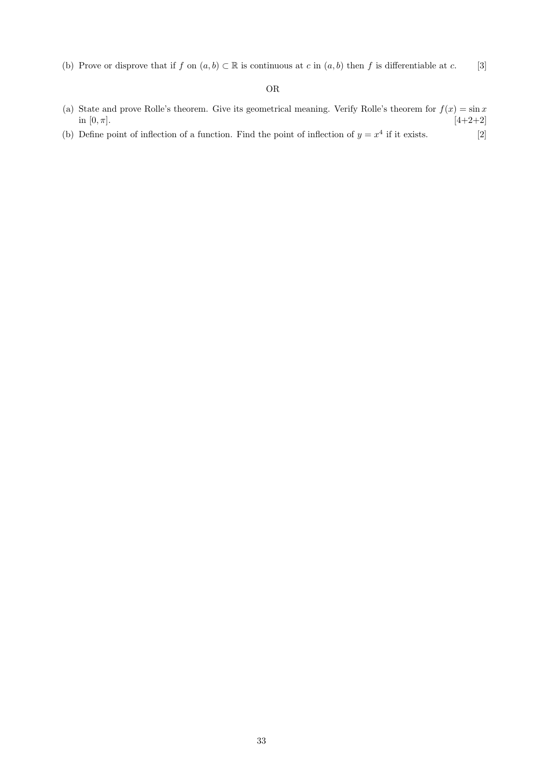(b) Prove or disprove that if f on  $(a, b) \subset \mathbb{R}$  is continuous at c in  $(a, b)$  then f is differentiable at c. [3]

## OR

- (a) State and prove Rolle's theorem. Give its geometrical meaning. Verify Rolle's theorem for  $f(x) = \sin x$ in  $[0, \pi]$ . [4+2+2]
- (b) Define point of inflection of a function. Find the point of inflection of  $y = x^4$  if it exists. [2]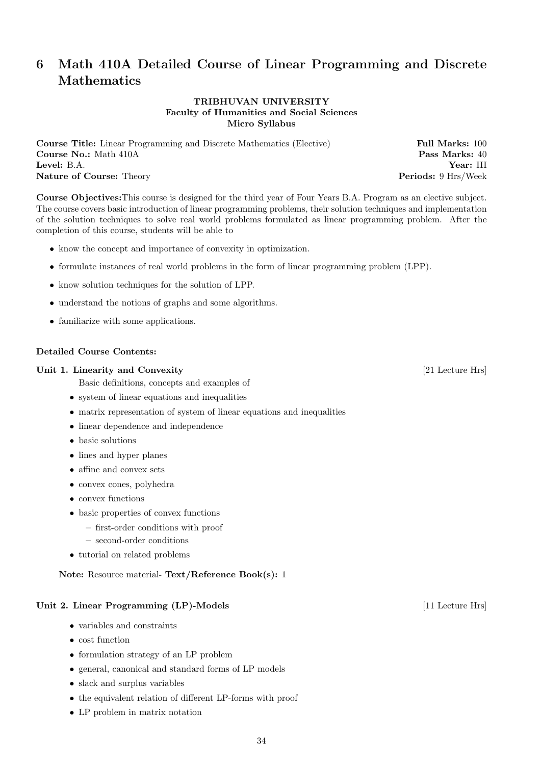# 6 Math 410A Detailed Course of Linear Programming and Discrete Mathematics

## TRIBHUVAN UNIVERSITY Faculty of Humanities and Social Sciences Micro Syllabus

Course Title: Linear Programming and Discrete Mathematics (Elective) Full Marks: 100 **Course No.:** Math 410A **Pass Marks: 40** Level: B.A. Year: III Nature of Course: Theory **Periods: 9 Hrs**/Week

Course Objectives:This course is designed for the third year of Four Years B.A. Program as an elective subject. The course covers basic introduction of linear programming problems, their solution techniques and implementation of the solution techniques to solve real world problems formulated as linear programming problem. After the completion of this course, students will be able to

- know the concept and importance of convexity in optimization.
- formulate instances of real world problems in the form of linear programming problem (LPP).
- know solution techniques for the solution of LPP.
- understand the notions of graphs and some algorithms.
- familiarize with some applications.

## Detailed Course Contents:

#### Unit 1. Linearity and Convexity **Example 2.1** Lecture Hrs [21 Lecture Hrs]

Basic definitions, concepts and examples of

- system of linear equations and inequalities
- matrix representation of system of linear equations and inequalities
- linear dependence and independence
- basic solutions
- lines and hyper planes
- affine and convex sets
- convex cones, polyhedra
- convex functions
- basic properties of convex functions
	- first-order conditions with proof
	- second-order conditions
- tutorial on related problems

Note: Resource material- Text/Reference Book(s): 1

## Unit 2. Linear Programming (LP)-Models [11 Lecture Hrs]

- variables and constraints
- cost function
- formulation strategy of an LP problem
- general, canonical and standard forms of LP models
- slack and surplus variables
- the equivalent relation of different LP-forms with proof
- LP problem in matrix notation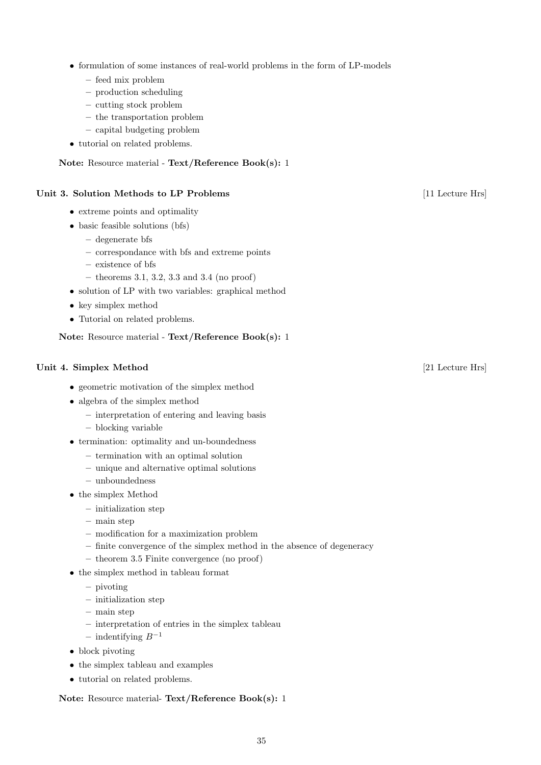- formulation of some instances of real-world problems in the form of LP-models
	- feed mix problem
	- production scheduling
	- cutting stock problem
	- the transportation problem
	- capital budgeting problem
- tutorial on related problems.

## Note: Resource material - Text/Reference Book(s): 1

# Unit 3. Solution Methods to LP Problems [11 Lecture Hrs]

- extreme points and optimality
- basic feasible solutions (bfs)
	- degenerate bfs
	- correspondance with bfs and extreme points
	- existence of bfs
	- theorems 3.1, 3.2, 3.3 and 3.4 (no proof)
- solution of LP with two variables: graphical method
- key simplex method
- Tutorial on related problems.

Note: Resource material - Text/Reference Book(s): 1

## Unit 4. Simplex Method [21 Lecture Hrs]

- geometric motivation of the simplex method
- algebra of the simplex method
	- interpretation of entering and leaving basis
	- blocking variable
- termination: optimality and un-boundedness
	- termination with an optimal solution
	- unique and alternative optimal solutions
	- unboundedness
- the simplex Method
	- initialization step
	- main step
	- modification for a maximization problem
	- finite convergence of the simplex method in the absence of degeneracy
	- theorem 3.5 Finite convergence (no proof)
- the simplex method in tableau format
	- pivoting
	- initialization step
	- main step
	- interpretation of entries in the simplex tableau
	- indentifying  $B^{-1}$
- block pivoting
- the simplex tableau and examples
- tutorial on related problems.

Note: Resource material- Text/Reference Book(s): 1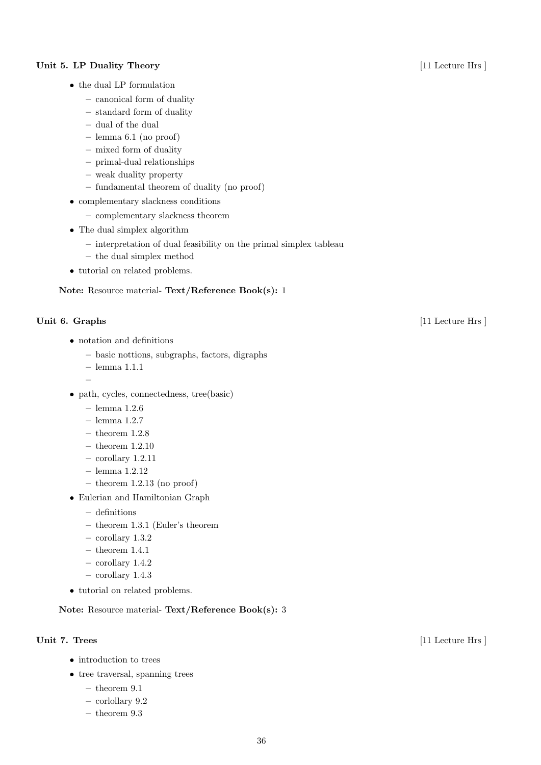## Unit 5. LP Duality Theory [11 Lecture Hrs ]

- the dual LP formulation
	- canonical form of duality
	- standard form of duality
	- dual of the dual
	- lemma 6.1 (no proof)
	- mixed form of duality
	- primal-dual relationships
	- weak duality property
	- fundamental theorem of duality (no proof)
- complementary slackness conditions
	- complementary slackness theorem
- The dual simplex algorithm
	- interpretation of dual feasibility on the primal simplex tableau
	- the dual simplex method
- tutorial on related problems.

Note: Resource material- Text/Reference Book(s): 1

–

- notation and definitions
	- basic nottions, subgraphs, factors, digraphs
	- lemma 1.1.1
- path, cycles, connectedness, tree(basic)
	- lemma 1.2.6
	- lemma 1.2.7
	- $-$  theorem 1.2.8
	- theorem 1.2.10
	- corollary 1.2.11
	- lemma 1.2.12
	- $-$  theorem 1.2.13 (no proof)
- Eulerian and Hamiltonian Graph
	- definitions
	- theorem 1.3.1 (Euler's theorem
	- corollary 1.3.2
	- $-$  theorem  $1.4.1\,$
	- corollary 1.4.2
	- corollary 1.4.3
- tutorial on related problems.

Note: Resource material- Text/Reference Book(s): 3

- introduction to trees
- tree traversal, spanning trees
	- $-$  theorem 9.1
	- corlollary 9.2
	- theorem 9.3

## Unit 6. Graphs [11 Lecture Hrs ]

Unit 7. Trees  $[11 \text{ Lecture Hrs}]$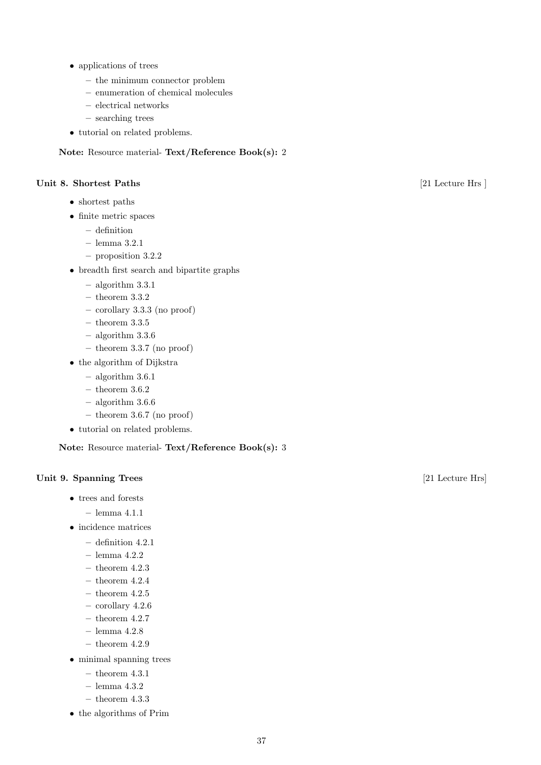- applications of trees
	- the minimum connector problem
	- enumeration of chemical molecules
	- electrical networks
	- searching trees
- tutorial on related problems.

# Note: Resource material- Text/Reference Book(s): 2

## Unit 8. Shortest Paths [21 Lecture Hrs ]

- shortest paths
- finite metric spaces
	- definition
	- lemma 3.2.1
	- proposition 3.2.2
- breadth first search and bipartite graphs
	- algorithm 3.3.1
	- $-$  theorem  $3.3.2\,$
	- corollary 3.3.3 (no proof)
	- $-$  theorem  $3.3.5\,$
	- algorithm 3.3.6
	- $-$  theorem 3.3.7 (no proof)
- the algorithm of Dijkstra
	- algorithm 3.6.1
	- $-$  theorem 3.6.2
	- algorithm 3.6.6
	- theorem 3.6.7 (no proof)
- tutorial on related problems.

Note: Resource material- Text/Reference Book(s): 3

## Unit 9. Spanning Trees [21 Lecture Hrs]

- trees and forests
	- lemma 4.1.1
- incidence matrices
	- definition 4.2.1
	- lemma 4.2.2
	- $-$  theorem 4.2.3
	- $-$  theorem 4.2.4
	- $-$  theorem 4.2.5
	- corollary 4.2.6
	- $-$  theorem 4.2.7
	- lemma 4.2.8
	- $-$  theorem 4.2.9
- minimal spanning trees
	- $-$  theorem 4.3.1
	- lemma 4.3.2
	- $-$  theorem 4.3.3
- the algorithms of Prim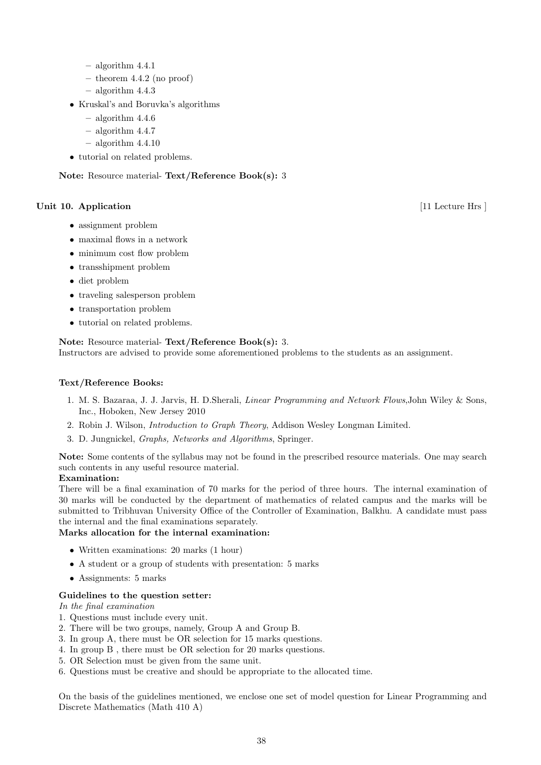- algorithm 4.4.1
- $-$  theorem 4.4.2 (no proof)
- algorithm 4.4.3
- Kruskal's and Boruvka's algorithms
	- algorithm 4.4.6
	- algorithm 4.4.7
	- $-$  algorithm  $4.4.10$
- tutorial on related problems.

Note: Resource material- Text/Reference Book(s): 3

## Unit 10. Application [11 Lecture Hrs ]

- assignment problem
- maximal flows in a network
- minimum cost flow problem
- transshipment problem
- diet problem
- traveling salesperson problem
- transportation problem
- tutorial on related problems.

## Note: Resource material- Text/Reference Book(s): 3.

Instructors are advised to provide some aforementioned problems to the students as an assignment.

## Text/Reference Books:

- 1. M. S. Bazaraa, J. J. Jarvis, H. D.Sherali, Linear Programming and Network Flows,John Wiley & Sons, Inc., Hoboken, New Jersey 2010
- 2. Robin J. Wilson, Introduction to Graph Theory, Addison Wesley Longman Limited.
- 3. D. Jungnickel, Graphs, Networks and Algorithms, Springer.

Note: Some contents of the syllabus may not be found in the prescribed resource materials. One may search such contents in any useful resource material.

## Examination:

There will be a final examination of 70 marks for the period of three hours. The internal examination of 30 marks will be conducted by the department of mathematics of related campus and the marks will be submitted to Tribhuvan University Office of the Controller of Examination, Balkhu. A candidate must pass the internal and the final examinations separately.

## Marks allocation for the internal examination:

- Written examinations: 20 marks (1 hour)
- A student or a group of students with presentation: 5 marks
- Assignments: 5 marks

## Guidelines to the question setter:

In the final examination

- 1. Questions must include every unit.
- 2. There will be two groups, namely, Group A and Group B.
- 3. In group A, there must be OR selection for 15 marks questions.
- 4. In group B , there must be OR selection for 20 marks questions.
- 5. OR Selection must be given from the same unit.
- 6. Questions must be creative and should be appropriate to the allocated time.

On the basis of the guidelines mentioned, we enclose one set of model question for Linear Programming and Discrete Mathematics (Math 410 A)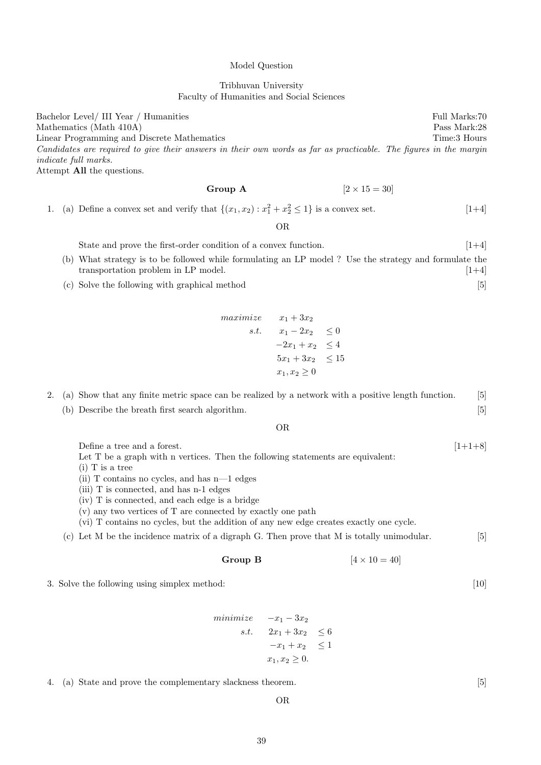## Tribhuvan University

Faculty of Humanities and Social Sciences

Model Question

Bachelor Level/ III Year / Humanities Full Marks:70 Mathematics (Math 410A) Pass Mark:28 Linear Programming and Discrete Mathematics Time: 3 Hours Time: 3 Hours Candidates are required to give their answers in their own words as far as practicable. The figures in the margin indicate full marks. Attempt All the questions.

Group A  $[2 \times 15 = 30]$ 

1. (a) Define a convex set and verify that  $\{(x_1, x_2) : x_1^2 + x_2^2 \le 1\}$  is a convex set.  $[1+4]$ 

OR

State and prove the first-order condition of a convex function. [1+4] (b) What strategy is to be followed while formulating an LP model ? Use the strategy and formulate the transportation problem in LP model.  $[1+4]$ 

(c) Solve the following with graphical method [5]

$$
\begin{array}{rcl}\n\textit{maximize} & x_1 + 3x_2 \\
\textit{s.t.} & x_1 - 2x_2 & \le 0 \\
& -2x_1 + x_2 & \le 4 \\
& 5x_1 + 3x_2 & \le 15 \\
& x_1, x_2 \ge 0\n\end{array}
$$

|  | 2. (a) Show that any finite metric space can be realized by a network with a positive length function. | $\lceil 5 \rceil$ |
|--|--------------------------------------------------------------------------------------------------------|-------------------|
|  | (b) Describe the breath first search algorithm.                                                        | [5]               |

OR

Define a tree and a forest.  $[1+1+8]$ Let T be a graph with n vertices. Then the following statements are equivalent:

(i) T is a tree

- (ii) T contains no cycles, and has n—1 edges
- (iii) T is connected, and has n-1 edges
- (iv) T is connected, and each edge is a bridge
- (v) any two vertices of T are connected by exactly one path

(vi) T contains no cycles, but the addition of any new edge creates exactly one cycle.

(c) Let M be the incidence matrix of a digraph G. Then prove that M is totally unimodular. [5]

**Group B** 
$$
[4 \times 10 = 40]
$$

3. Solve the following using simplex method: [10]

 $minimize$   $-x_1 - 3x_2$ s.t.  $2x_1 + 3x_2 \leq 6$  $-x_1 + x_2 \leq 1$  $x_1, x_2 \geq 0.$ 

4. (a) State and prove the complementary slackness theorem. [5]

39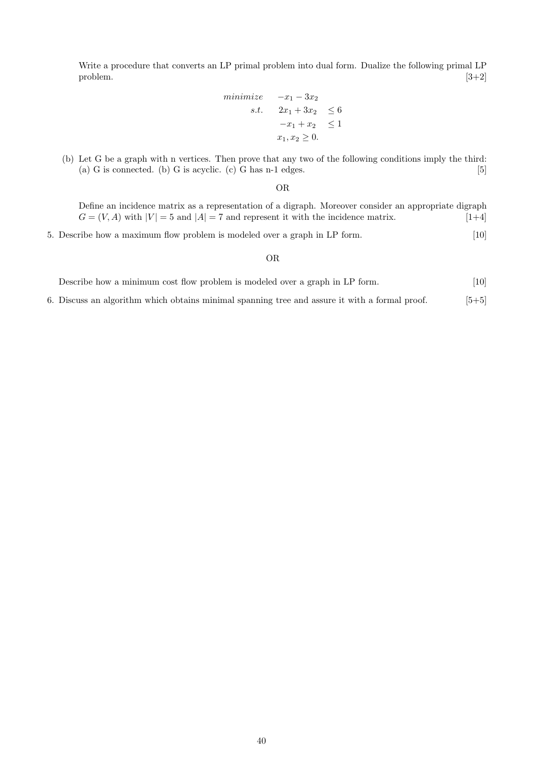Write a procedure that converts an LP primal problem into dual form. Dualize the following primal LP  $\Box$  problem.  $[3+2]$ 

$$
\begin{array}{rcl}\nminimize & -x_1 - 3x_2 \\
s.t. & 2x_1 + 3x_2 & \leq 6 \\
& -x_1 + x_2 & \leq 1 \\
x_1, x_2 \geq 0.\n\end{array}
$$

(b) Let G be a graph with n vertices. Then prove that any two of the following conditions imply the third: (a) G is connected. (b) G is acyclic. (c) G has  $n-1$  edges.  $[5]$ 

OR

Define an incidence matrix as a representation of a digraph. Moreover consider an appropriate digraph  $G = (V, A)$  with  $|V| = 5$  and  $|A| = 7$  and represent it with the incidence matrix. [1+4]

5. Describe how a maximum flow problem is modeled over a graph in LP form. [10]

### OR

| Describe how a minimum cost flow problem is modeled over a graph in LP form. |  | 10 <sup>1</sup> |  |
|------------------------------------------------------------------------------|--|-----------------|--|
|------------------------------------------------------------------------------|--|-----------------|--|

6. Discuss an algorithm which obtains minimal spanning tree and assure it with a formal proof. [5+5]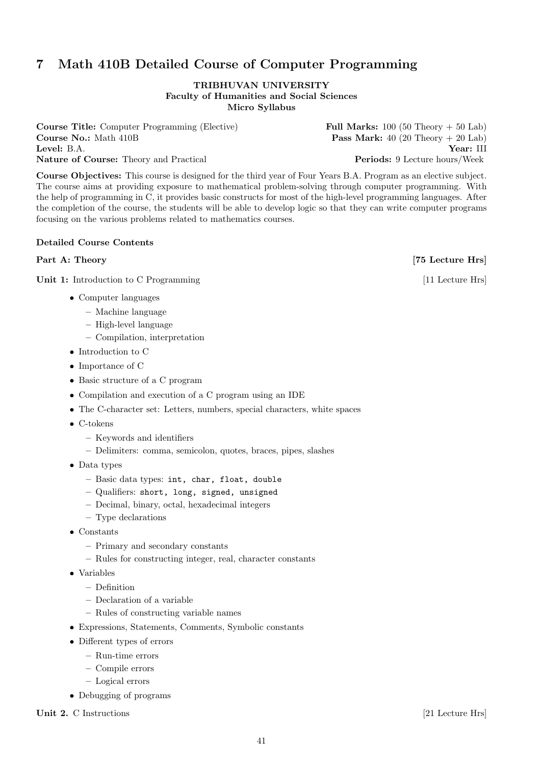# 7 Math 410B Detailed Course of Computer Programming

## TRIBHUVAN UNIVERSITY Faculty of Humanities and Social Sciences Micro Syllabus

Course Title: Computer Programming (Elective) Full Marks: 100 (50 Theory + 50 Lab) **Course No.:** Math 410B **Pass Mark:** 40 (20 Theory + 20 Lab) Level: B.A. Year: III Nature of Course: Theory and Practical Periods: 9 Lecture hours/Week

Course Objectives: This course is designed for the third year of Four Years B.A. Program as an elective subject. The course aims at providing exposure to mathematical problem-solving through computer programming. With the help of programming in C, it provides basic constructs for most of the high-level programming languages. After the completion of the course, the students will be able to develop logic so that they can write computer programs focusing on the various problems related to mathematics courses.

## Detailed Course Contents

# Part A: Theory [75 Lecture Hrs]

Unit 1: Introduction to C Programming [11 Lecture Hrs]

- Computer languages
	- Machine language
	- High-level language
	- Compilation, interpretation
- Introduction to C
- Importance of C
- Basic structure of a C program
- Compilation and execution of a C program using an IDE
- The C-character set: Letters, numbers, special characters, white spaces
- C-tokens
	- Keywords and identifiers
	- Delimiters: comma, semicolon, quotes, braces, pipes, slashes
- Data types
	- Basic data types: int, char, float, double
	- Qualifiers: short, long, signed, unsigned
	- Decimal, binary, octal, hexadecimal integers
	- Type declarations
- Constants
	- Primary and secondary constants
	- Rules for constructing integer, real, character constants
- Variables
	- Definition
	- Declaration of a variable
	- Rules of constructing variable names
- Expressions, Statements, Comments, Symbolic constants
- Different types of errors
	- Run-time errors
	- Compile errors
	- Logical errors
- Debugging of programs

Unit 2. C Instructions [21 Lecture Hrs]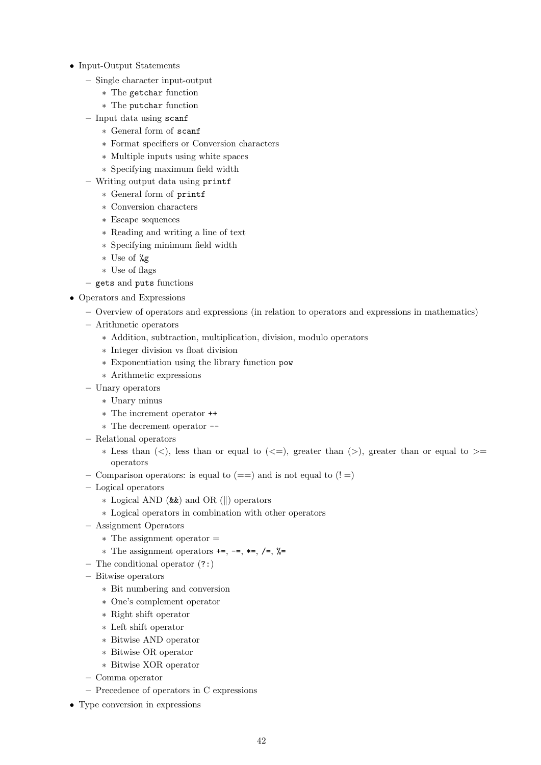- Input-Output Statements
	- Single character input-output
		- ∗ The getchar function
		- ∗ The putchar function
	- Input data using scanf
		- ∗ General form of scanf
		- ∗ Format specifiers or Conversion characters
		- ∗ Multiple inputs using white spaces
		- ∗ Specifying maximum field width
	- Writing output data using printf
		- ∗ General form of printf
		- ∗ Conversion characters
		- ∗ Escape sequences
		- ∗ Reading and writing a line of text
		- ∗ Specifying minimum field width
		- ∗ Use of %g
		- ∗ Use of flags
	- gets and puts functions
- Operators and Expressions
	- Overview of operators and expressions (in relation to operators and expressions in mathematics)
	- Arithmetic operators
		- ∗ Addition, subtraction, multiplication, division, modulo operators
		- ∗ Integer division vs float division
		- ∗ Exponentiation using the library function pow
		- ∗ Arithmetic expressions
	- Unary operators
		- ∗ Unary minus
		- ∗ The increment operator ++
		- ∗ The decrement operator --
	- Relational operators
		- $*$  Less than  $(\leq),$  less than or equal to  $(\leq=),$  greater than  $(\geq),$  greater than or equal to  $\geq$ operators
	- Comparison operators: is equal to  $(==)$  and is not equal to  $(!=)$
	- Logical operators
		- ∗ Logical AND (&&) and OR (||) operators
		- ∗ Logical operators in combination with other operators
	- Assignment Operators
		- ∗ The assignment operator =
		- ∗ The assignment operators +=, -=, \*=, /=, %=
	- The conditional operator (?:)
	- Bitwise operators
		- ∗ Bit numbering and conversion
		- ∗ One's complement operator
		- ∗ Right shift operator
		- ∗ Left shift operator
		- ∗ Bitwise AND operator
		- ∗ Bitwise OR operator
		- ∗ Bitwise XOR operator
	- Comma operator
	- Precedence of operators in C expressions
- Type conversion in expressions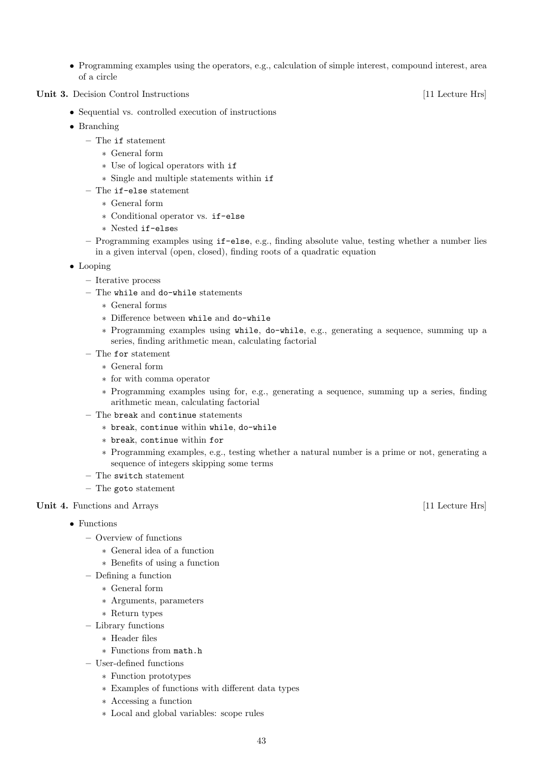- Programming examples using the operators, e.g., calculation of simple interest, compound interest, area of a circle
- Unit 3. Decision Control Instructions [11 Lecture Hrs]
	- Sequential vs. controlled execution of instructions
	- Branching
		- The if statement
			- ∗ General form
			- ∗ Use of logical operators with if
			- ∗ Single and multiple statements within if
		- The if-else statement
			- ∗ General form
			- ∗ Conditional operator vs. if-else
			- ∗ Nested if-elses
		- Programming examples using if-else, e.g., finding absolute value, testing whether a number lies in a given interval (open, closed), finding roots of a quadratic equation
	- Looping
		- Iterative process
		- The while and do-while statements
			- ∗ General forms
			- ∗ Difference between while and do-while
			- ∗ Programming examples using while, do-while, e.g., generating a sequence, summing up a series, finding arithmetic mean, calculating factorial
		- The for statement
			- ∗ General form
			- ∗ for with comma operator
			- ∗ Programming examples using for, e.g., generating a sequence, summing up a series, finding arithmetic mean, calculating factorial
		- The break and continue statements
			- ∗ break, continue within while, do-while
			- ∗ break, continue within for
			- ∗ Programming examples, e.g., testing whether a natural number is a prime or not, generating a sequence of integers skipping some terms
		- The switch statement
		- The goto statement
- Unit 4. Functions and Arrays [11 Lecture Hrs]
	- Functions
		- Overview of functions
			- ∗ General idea of a function
			- ∗ Benefits of using a function
		- Defining a function
			- ∗ General form
			- ∗ Arguments, parameters
			- ∗ Return types
		- Library functions
			- ∗ Header files
			- ∗ Functions from math.h
		- User-defined functions
			- ∗ Function prototypes
			- ∗ Examples of functions with different data types
			- ∗ Accessing a function
			- ∗ Local and global variables: scope rules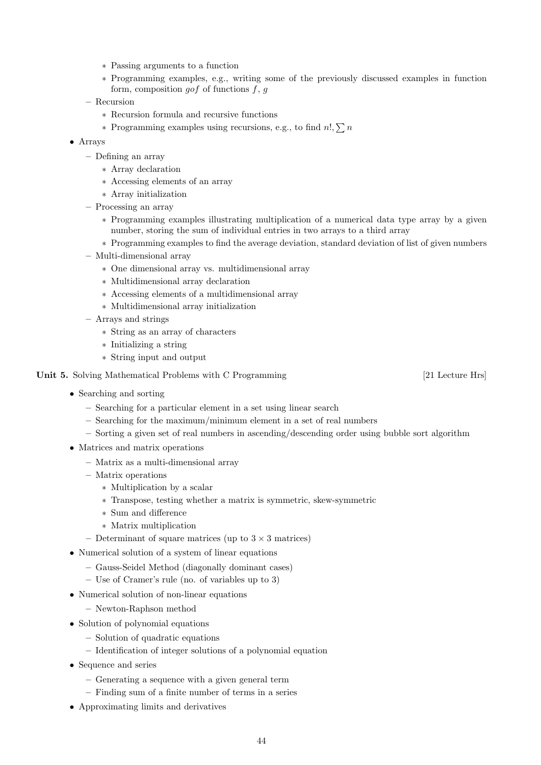- ∗ Passing arguments to a function
- ∗ Programming examples, e.g., writing some of the previously discussed examples in function form, composition  $qof$  of functions  $f, q$
- Recursion
	- ∗ Recursion formula and recursive functions
	- ∗ Programming examples using recursions, e.g., to find  $n!$ ,  $\sum n$
- Arrays
	- Defining an array
		- ∗ Array declaration
		- ∗ Accessing elements of an array
		- ∗ Array initialization
	- Processing an array
		- ∗ Programming examples illustrating multiplication of a numerical data type array by a given number, storing the sum of individual entries in two arrays to a third array
		- ∗ Programming examples to find the average deviation, standard deviation of list of given numbers
	- Multi-dimensional array
		- ∗ One dimensional array vs. multidimensional array
		- ∗ Multidimensional array declaration
		- ∗ Accessing elements of a multidimensional array
		- ∗ Multidimensional array initialization
	- Arrays and strings
		- ∗ String as an array of characters
		- ∗ Initializing a string
		- ∗ String input and output

# Unit 5. Solving Mathematical Problems with C Programming [21 Lecture Hrs]

- Searching and sorting
	- Searching for a particular element in a set using linear search
	- Searching for the maximum/minimum element in a set of real numbers
	- Sorting a given set of real numbers in ascending/descending order using bubble sort algorithm
- Matrices and matrix operations
	- Matrix as a multi-dimensional array
	- Matrix operations
		- ∗ Multiplication by a scalar
		- ∗ Transpose, testing whether a matrix is symmetric, skew-symmetric
		- ∗ Sum and difference
		- ∗ Matrix multiplication
	- Determinant of square matrices (up to  $3 \times 3$  matrices)
- Numerical solution of a system of linear equations
	- Gauss-Seidel Method (diagonally dominant cases)
	- Use of Cramer's rule (no. of variables up to 3)
- Numerical solution of non-linear equations
	- Newton-Raphson method
- Solution of polynomial equations
	- Solution of quadratic equations
	- Identification of integer solutions of a polynomial equation
- Sequence and series
	- Generating a sequence with a given general term
	- Finding sum of a finite number of terms in a series
- Approximating limits and derivatives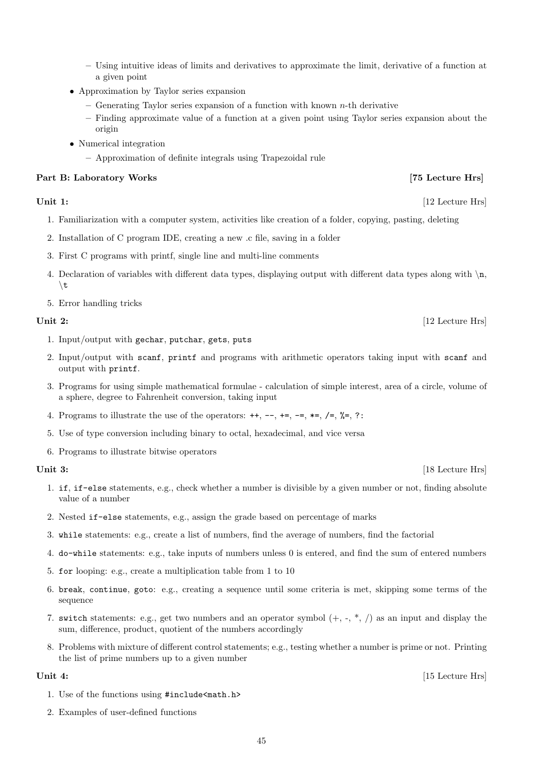- Using intuitive ideas of limits and derivatives to approximate the limit, derivative of a function at a given point
- Approximation by Taylor series expansion
	- $-$  Generating Taylor series expansion of a function with known n-th derivative
	- Finding approximate value of a function at a given point using Taylor series expansion about the origin
- Numerical integration
	- Approximation of definite integrals using Trapezoidal rule

# Part B: Laboratory Works [75 Lecture Hrs]

# Unit 1: [12 Lecture Hrs]

- 1. Familiarization with a computer system, activities like creation of a folder, copying, pasting, deleting
- 2. Installation of C program IDE, creating a new .c file, saving in a folder
- 3. First C programs with printf, single line and multi-line comments
- 4. Declaration of variables with different data types, displaying output with different data types along with  $\ln$ ,  $\setminus$ t
- 5. Error handling tricks

- 1. Input/output with gechar, putchar, gets, puts
- 2. Input/output with scanf, printf and programs with arithmetic operators taking input with scanf and output with printf.
- 3. Programs for using simple mathematical formulae calculation of simple interest, area of a circle, volume of a sphere, degree to Fahrenheit conversion, taking input
- 4. Programs to illustrate the use of the operators:  $++$ ,  $-$ ,  $+=$ ,  $-$ ,  $*=$ ,  $\neq$ ,  $\frac{1}{6}$ , ?:
- 5. Use of type conversion including binary to octal, hexadecimal, and vice versa
- 6. Programs to illustrate bitwise operators

- 1. if, if-else statements, e.g., check whether a number is divisible by a given number or not, finding absolute value of a number
- 2. Nested if-else statements, e.g., assign the grade based on percentage of marks
- 3. while statements: e.g., create a list of numbers, find the average of numbers, find the factorial
- 4. do-while statements: e.g., take inputs of numbers unless 0 is entered, and find the sum of entered numbers
- 5. for looping: e.g., create a multiplication table from 1 to 10
- 6. break, continue, goto: e.g., creating a sequence until some criteria is met, skipping some terms of the sequence
- 7. switch statements: e.g., get two numbers and an operator symbol  $(+, -, *, /)$  as an input and display the sum, difference, product, quotient of the numbers accordingly
- 8. Problems with mixture of different control statements; e.g., testing whether a number is prime or not. Printing the list of prime numbers up to a given number

- 1. Use of the functions using #include<math.h>
- 2. Examples of user-defined functions

# Unit 2: [12 Lecture Hrs]

Unit 3: [18 Lecture Hrs]

Unit 4: [15 Lecture Hrs]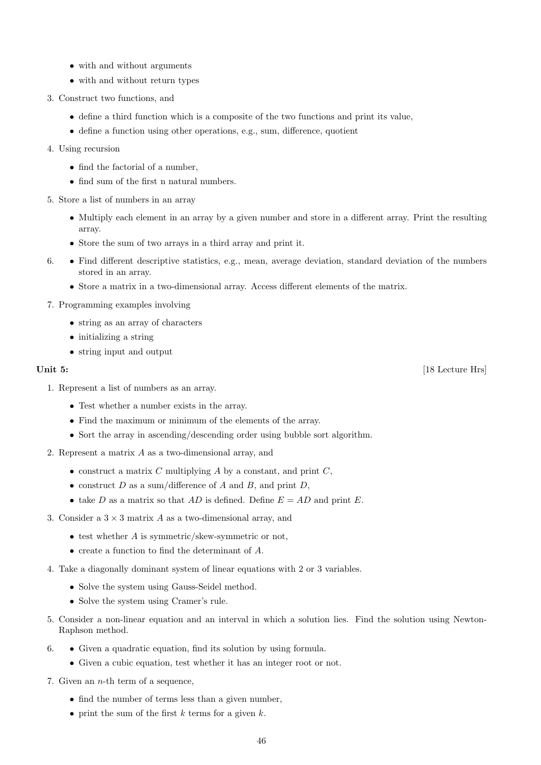- with and without arguments
- with and without return types
- 3. Construct two functions, and
	- define a third function which is a composite of the two functions and print its value,
	- define a function using other operations, e.g., sum, difference, quotient
- 4. Using recursion
	- find the factorial of a number,
	- find sum of the first n natural numbers.
- 5. Store a list of numbers in an array
	- Multiply each element in an array by a given number and store in a different array. Print the resulting array.
	- Store the sum of two arrays in a third array and print it.
- 6. Find different descriptive statistics, e.g., mean, average deviation, standard deviation of the numbers stored in an array.
	- Store a matrix in a two-dimensional array. Access different elements of the matrix.
- 7. Programming examples involving
	- string as an array of characters
	- initializing a string
	- string input and output

- 1. Represent a list of numbers as an array.
	- Test whether a number exists in the array.
	- Find the maximum or minimum of the elements of the array.
	- Sort the array in ascending/descending order using bubble sort algorithm.
- 2. Represent a matrix A as a two-dimensional array, and
	- construct a matrix  $C$  multiplying  $A$  by a constant, and print  $C$ ,
	- construct  $D$  as a sum/difference of  $A$  and  $B$ , and print  $D$ ,
	- take D as a matrix so that AD is defined. Define  $E = AD$  and print E.
- 3. Consider a  $3 \times 3$  matrix A as a two-dimensional array, and
	- $\bullet$  test whether A is symmetric/skew-symmetric or not.
	- create a function to find the determinant of A.
- 4. Take a diagonally dominant system of linear equations with 2 or 3 variables.
	- Solve the system using Gauss-Seidel method.
	- Solve the system using Cramer's rule.
- 5. Consider a non-linear equation and an interval in which a solution lies. Find the solution using Newton-Raphson method.
- 6. Given a quadratic equation, find its solution by using formula.
	- Given a cubic equation, test whether it has an integer root or not.
- 7. Given an  $n$ -th term of a sequence,
	- find the number of terms less than a given number,
	- print the sum of the first  $k$  terms for a given  $k$ .

Unit 5: [18 Lecture Hrs]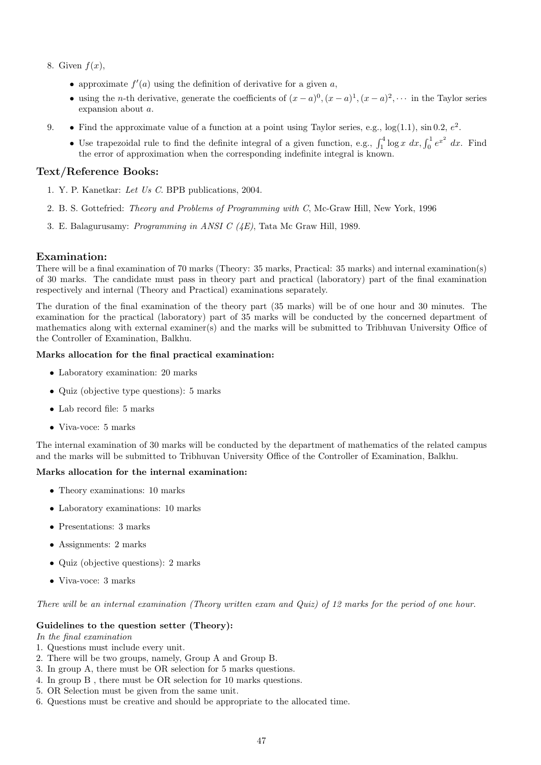- 8. Given  $f(x)$ ,
	- approximate  $f'(a)$  using the definition of derivative for a given a,
	- using the *n*-th derivative, generate the coefficients of  $(x-a)^0$ ,  $(x-a)^1$ ,  $(x-a)^2$ ,  $\cdots$  in the Taylor series expansion about a.
- 9. Find the approximate value of a function at a point using Taylor series, e.g.,  $log(1.1)$ ,  $sin 0.2$ ,  $e<sup>2</sup>$ .
	- Use trapezoidal rule to find the definite integral of a given function, e.g.,  $\int_1^4 \log x \, dx$ ,  $\int_0^1 e^{x^2} \, dx$ . Find the error of approximation when the corresponding indefinite integral is known.

# Text/Reference Books:

- 1. Y. P. Kanetkar: Let Us C. BPB publications, 2004.
- 2. B. S. Gottefried: Theory and Problems of Programming with C, Mc-Graw Hill, New York, 1996
- 3. E. Balagurusamy: Programming in ANSI C (4E), Tata Mc Graw Hill, 1989.

## Examination:

There will be a final examination of 70 marks (Theory: 35 marks, Practical: 35 marks) and internal examination(s) of 30 marks. The candidate must pass in theory part and practical (laboratory) part of the final examination respectively and internal (Theory and Practical) examinations separately.

The duration of the final examination of the theory part (35 marks) will be of one hour and 30 minutes. The examination for the practical (laboratory) part of 35 marks will be conducted by the concerned department of mathematics along with external examiner(s) and the marks will be submitted to Tribhuvan University Office of the Controller of Examination, Balkhu.

## Marks allocation for the final practical examination:

- Laboratory examination: 20 marks
- Quiz (objective type questions): 5 marks
- Lab record file: 5 marks
- Viva-voce: 5 marks

The internal examination of 30 marks will be conducted by the department of mathematics of the related campus and the marks will be submitted to Tribhuvan University Office of the Controller of Examination, Balkhu.

# Marks allocation for the internal examination:

- Theory examinations: 10 marks
- Laboratory examinations: 10 marks
- Presentations: 3 marks
- Assignments: 2 marks
- Quiz (objective questions): 2 marks
- Viva-voce: 3 marks

There will be an internal examination (Theory written exam and Quiz) of 12 marks for the period of one hour.

## Guidelines to the question setter (Theory):

In the final examination

- 1. Questions must include every unit.
- 2. There will be two groups, namely, Group A and Group B.
- 3. In group A, there must be OR selection for 5 marks questions.
- 4. In group B , there must be OR selection for 10 marks questions.
- 5. OR Selection must be given from the same unit.
- 6. Questions must be creative and should be appropriate to the allocated time.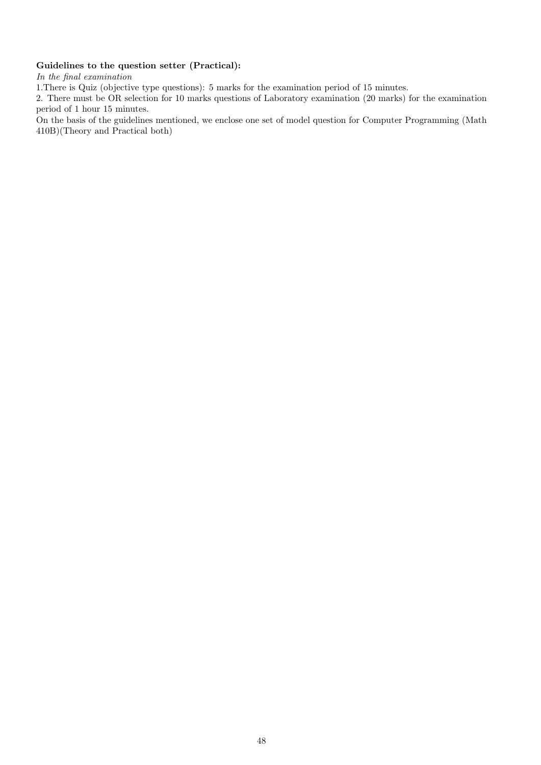# Guidelines to the question setter (Practical):

In the final examination

1.There is Quiz (objective type questions): 5 marks for the examination period of 15 minutes.

2. There must be OR selection for 10 marks questions of Laboratory examination (20 marks) for the examination period of 1 hour 15 minutes.

On the basis of the guidelines mentioned, we enclose one set of model question for Computer Programming (Math 410B)(Theory and Practical both)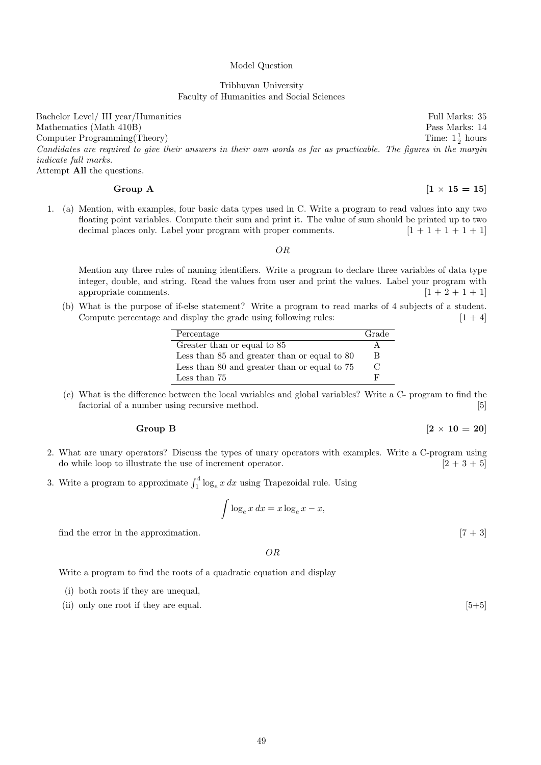### Model Question

## Tribhuvan University Faculty of Humanities and Social Sciences

Bachelor Level/ III year/Humanities Full Marks: 35 Mathematics (Math 410B) Pass Marks: 14 Computer Programming(Theory)  $rac{1}{2}$  hours Candidates are required to give their answers in their own words as far as practicable. The figures in the margin indicate full marks. Attempt All the questions.

# Group A  $[1 \times 15 = 15]$

1. (a) Mention, with examples, four basic data types used in C. Write a program to read values into any two floating point variables. Compute their sum and print it. The value of sum should be printed up to two decimal places only. Label your program with proper comments.  $[1 + 1 + 1 + 1]$ 

#### OR

Mention any three rules of naming identifiers. Write a program to declare three variables of data type integer, double, and string. Read the values from user and print the values. Label your program with appropriate comments.  $[1 + 2 + 1 + 1]$ 

(b) What is the purpose of if-else statement? Write a program to read marks of 4 subjects of a student. Compute percentage and display the grade using following rules:  $[1 + 4]$ 

| Percentage                                   | Grade |
|----------------------------------------------|-------|
| Greater than or equal to 85                  |       |
| Less than 85 and greater than or equal to 80 | В     |
| Less than 80 and greater than or equal to 75 | €     |
| Less than 75                                 | н,    |

(c) What is the difference between the local variables and global variables? Write a C- program to find the factorial of a number using recursive method. [5]

- 2. What are unary operators? Discuss the types of unary operators with examples. Write a C-program using do while loop to illustrate the use of increment operator.  $[2+3+5]$
- 3. Write a program to approximate  $\int_1^4 \log_e x \, dx$  using Trapezoidal rule. Using

$$
\int \log_e x \, dx = x \log_e x - x,
$$

find the error in the approximation.  $[7 + 3]$ 

OR

Write a program to find the roots of a quadratic equation and display

- (i) both roots if they are unequal,
- (ii) only one root if they are equal. [5+5]

# Group B  $[2 \times 10 = 20]$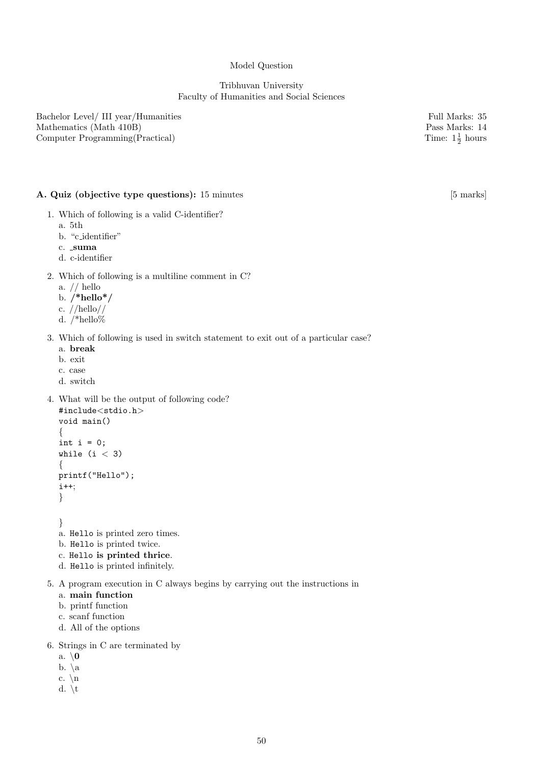## Model Question

## Tribhuvan University Faculty of Humanities and Social Sciences

Bachelor Level/ III year/Humanities Full Marks: 35 Mathematics (Math 410B) Pass Marks: 14 Computer Programming(Practical)

# A. Quiz (objective type questions): 15 minutes [5 marks]

- 1. Which of following is a valid C-identifier?
	- a. 5th
	- b. "c identifier"
	- c. suma
	- d. c-identifier
- 2. Which of following is a multiline comment in C?
	- a. // hello
	- b.  $/*hello*/$
	- c. //hello//
	- d. /\*hello%

## 3. Which of following is used in switch statement to exit out of a particular case?

- a. break
- b. exit
- c. case
- d. switch
- 4. What will be the output of following code? #include<stdio.h>

```
void main()
{
int i = 0;
while (i < 3){
printf("Hello");
i++;
}
```
- } a. Hello is printed zero times.
- b. Hello is printed twice.
- c. Hello is printed thrice.
- d. Hello is printed infinitely.
- 5. A program execution in C always begins by carrying out the instructions in
	- a. main function
	- b. printf function
	- c. scanf function
	- d. All of the options
- 6. Strings in C are terminated by
	- a.  $\setminus 0$
	- b.  $\setminus a$
	- c.  $\ln$
	- d.  $\mathbf{t}$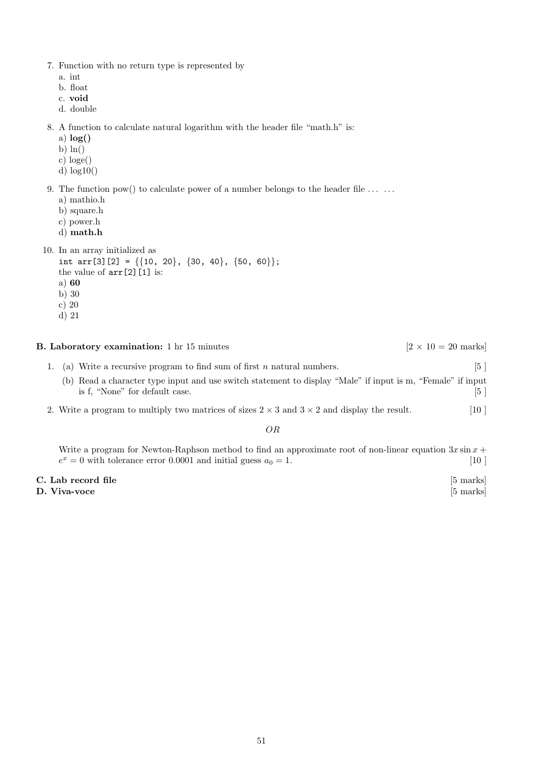- 7. Function with no return type is represented by
	- a. int
	- b. float
	- c. void
	- d. double

8. A function to calculate natural logarithm with the header file "math.h" is:

- a)  $log()$
- b)  $\ln()$
- c) loge()
- d) log10()
- 9. The function pow() to calculate power of a number belongs to the header file  $\dots \dots$ 
	- a) mathio.h
	- b) square.h
	- c) power.h
	- d) math.h

```
10. In an array initialized as
```

```
int arr[3][2] = \{\{10, 20\}, \{30, 40\}, \{50, 60\}\};the value of arr[2][1] is:
a) 60
b) 30
c) 20
```
d) 21

**B. Laboratory examination:** 1 hr 15 minutes [ $2 \times 10 = 20$  marks]

- 1. (a) Write a recursive program to find sum of first n natural numbers.  $[5]$ (b) Read a character type input and use switch statement to display "Male" if input is m, "Female" if input is f, "None" for default case. [5 ]
- 2. Write a program to multiply two matrices of sizes  $2 \times 3$  and  $3 \times 2$  and display the result. [10 ]

OR

Write a program for Newton-Raphson method to find an approximate root of non-linear equation  $3x \sin x +$  $e^x = 0$  with tolerance error 0.0001 and initial guess  $a_0 = 1$ . [10]

| C. Lab record file | [5 marks] |
|--------------------|-----------|
| D. Viva-voce       | [5 marks] |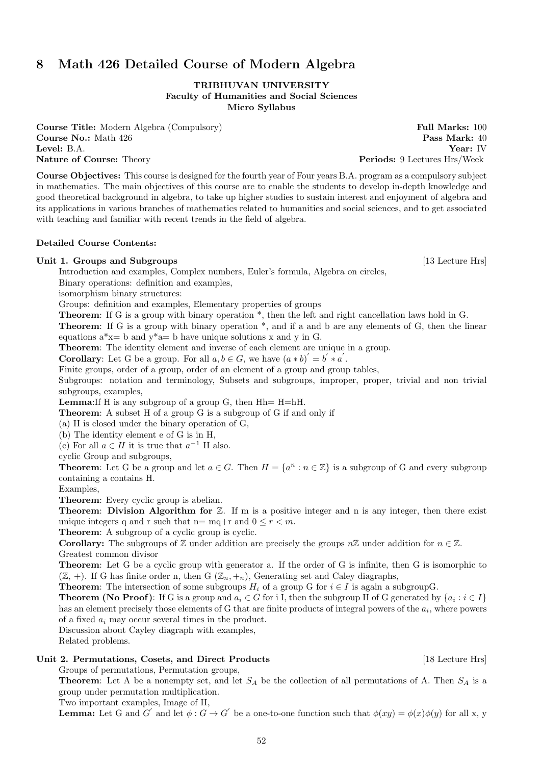# 8 Math 426 Detailed Course of Modern Algebra

## TRIBHUVAN UNIVERSITY Faculty of Humanities and Social Sciences Micro Syllabus

**Course Title:** Modern Algebra (Compulsory) **Full Marks: 100 Course No.:** Math 426 **Pass Mark:** 40 Level: B.A. Year: IV Nature of Course: Theory **Periods: 9 Lectures Hrs/Week** Periods: 9 Lectures Hrs/Week

Course Objectives: This course is designed for the fourth year of Four years B.A. program as a compulsory subject in mathematics. The main objectives of this course are to enable the students to develop in-depth knowledge and good theoretical background in algebra, to take up higher studies to sustain interest and enjoyment of algebra and its applications in various branches of mathematics related to humanities and social sciences, and to get associated with teaching and familiar with recent trends in the field of algebra.

## Detailed Course Contents:

## Unit 1. Groups and Subgroups [13 Lecture Hrs]

Introduction and examples, Complex numbers, Euler's formula, Algebra on circles,

Binary operations: definition and examples,

isomorphism binary structures:

Groups: definition and examples, Elementary properties of groups

Theorem: If G is a group with binary operation  $*$ , then the left and right cancellation laws hold in G.

Theorem: If G is a group with binary operation  $*$ , and if a and b are any elements of G, then the linear equations  $a^*x= b$  and  $y^*a= b$  have unique solutions x and y in G.

Theorem: The identity element and inverse of each element are unique in a group.

**Corollary:** Let G be a group. For all  $a, b \in G$ , we have  $(a * b)' = b' * a'$ .

Finite groups, order of a group, order of an element of a group and group tables,

Subgroups: notation and terminology, Subsets and subgroups, improper, proper, trivial and non trivial subgroups, examples,

**Lemma:** If H is any subgroup of a group G, then  $Hh= H=hH$ .

Theorem: A subset H of a group G is a subgroup of G if and only if

(a) H is closed under the binary operation of G,

(b) The identity element e of G is in H,

(c) For all  $a \in H$  it is true that  $a^{-1}$  H also.

cyclic Group and subgroups,

**Theorem:** Let G be a group and let  $a \in G$ . Then  $H = \{a^n : n \in \mathbb{Z}\}\$ is a subgroup of G and every subgroup containing a contains H.

Examples,

Theorem: Every cyclic group is abelian.

Theorem: Division Algorithm for  $Z$ . If m is a positive integer and n is any integer, then there exist unique integers q and r such that n= mq+r and  $0 \le r < m$ .

Theorem: A subgroup of a cyclic group is cyclic.

**Corollary:** The subgroups of Z under addition are precisely the groups  $n\mathbb{Z}$  under addition for  $n \in \mathbb{Z}$ . Greatest common divisor

Theorem: Let G be a cyclic group with generator a. If the order of G is infinite, then G is isomorphic to  $(\mathbb{Z}, +)$ . If G has finite order n, then G  $(\mathbb{Z}_n, +_n)$ , Generating set and Caley diagraphs,

**Theorem:** The intersection of some subgroups  $H_i$  of a group G for  $i \in I$  is again a subgroupG.

**Theorem (No Proof)**: If G is a group and  $a_i \in G$  for i I, then the subgroup H of G generated by  $\{a_i : i \in I\}$ has an element precisely those elements of G that are finite products of integral powers of the  $a_i$ , where powers of a fixed  $a_i$  may occur several times in the product.

Discussion about Cayley diagraph with examples,

Related problems.

# Unit 2. Permutations, Cosets, and Direct Products [18 Lecture Hrs]

Groups of permutations, Permutation groups,

**Theorem:** Let A be a nonempty set, and let  $S_A$  be the collection of all permutations of A. Then  $S_A$  is a group under permutation multiplication.

Two important examples, Image of H,

**Lemma:** Let G and G' and let  $\phi : G \to G'$  be a one-to-one function such that  $\phi(xy) = \phi(x)\phi(y)$  for all x, y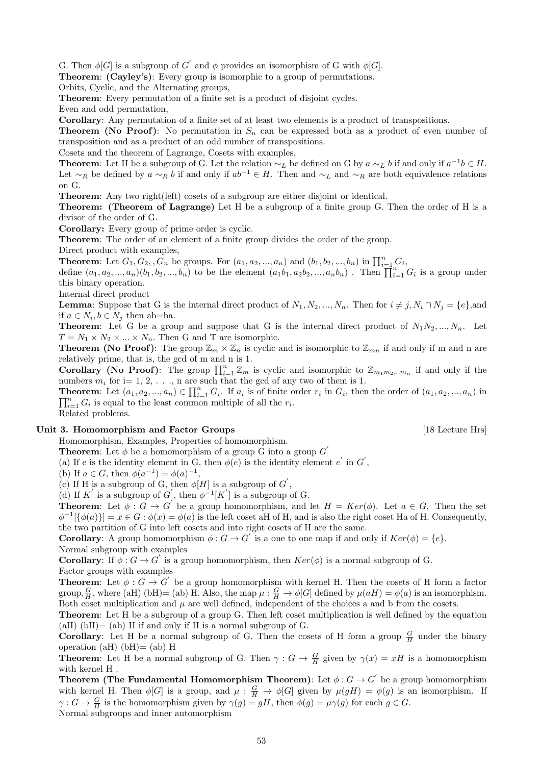G. Then  $\phi[G]$  is a subgroup of  $G'$  and  $\phi$  provides an isomorphism of G with  $\phi[G]$ .

Theorem: (Cayley's): Every group is isomorphic to a group of permutations.

Orbits, Cyclic, and the Alternating groups,

Theorem: Every permutation of a finite set is a product of disjoint cycles.

Even and odd permutation,

Corollary: Any permutation of a finite set of at least two elements is a product of transpositions.

**Theorem (No Proof)**: No permutation in  $S_n$  can be expressed both as a product of even number of transposition and as a product of an odd number of transpositions.

Cosets and the theorem of Lagrange, Cosets with examples,

**Theorem:** Let H be a subgroup of G. Let the relation  $\sim_L$  be defined on G by  $a \sim_L b$  if and only if  $a^{-1}b \in H$ . Let  $\sim_R$  be defined by  $a \sim_R b$  if and only if  $ab^{-1} \in H$ . Then and  $\sim_L$  and  $\sim_R$  are both equivalence relations on G.

Theorem: Any two right(left) cosets of a subgroup are either disjoint or identical.

Theorem: (Theorem of Lagrange) Let H be a subgroup of a finite group G. Then the order of H is a divisor of the order of G.

Corollary: Every group of prime order is cyclic.

Theorem: The order of an element of a finite group divides the order of the group.

Direct product with examples,

**Theorem:** Let  $G_1, G_2,$ ,  $\overline{G}_n$  be groups. For  $(a_1, a_2, ..., a_n)$  and  $(b_1, b_2, ..., b_n)$  in  $\prod_{i=1}^n G_i$ ,

define  $(a_1, a_2, ..., a_n)(b_1, b_2, ..., b_n)$  to be the element  $(a_1b_1, a_2b_2, ..., a_nb_n)$ . Then  $\prod_{i=1}^{n} G_i$  is a group under this binary operation.

Internal direct product

**Lemma**: Suppose that G is the internal direct product of  $N_1, N_2, ..., N_n$ . Then for  $i \neq j, N_i \cap N_j = \{e\}$ , and if  $a \in N_i, b \in N_j$  then ab=ba.

**Theorem:** Let G be a group and suppose that G is the internal direct product of  $N_1N_2, ..., N_n$ . Let  $T = N_1 \times N_2 \times ... \times N_n$ . Then G and T are isomorphic.

**Theorem (No Proof):** The group  $\mathbb{Z}_m \times \mathbb{Z}_n$  is cyclic and is isomorphic to  $\mathbb{Z}_{mn}$  if and only if m and n are relatively prime, that is, the gcd of m and n is 1.

**Corollary** (No Proof): The group  $\prod_{i=1}^{n} \mathbb{Z}_m$  is cyclic and isomorphic to  $\mathbb{Z}_{m_1m_2...m_n}$  if and only if the numbers  $m_i$  for i= 1, 2, ..., n are such that the gcd of any two of them is 1.

**Theorem:** Let  $(a_1, a_2, ..., a_n) \in \prod_{i=1}^n G_i$ . If  $a_i$  is of finite order  $r_i$  in  $G_i$ , then the order of  $(a_1, a_2, ..., a_n)$  in  $\prod_{i=1}^n G_i$  is equal to the least common multiple of all the  $r_i$ .

Related problems.

### Unit 3. Homomorphism and Factor Groups [18 Lecture Hrs] [18 Lecture Hrs]

Homomorphism, Examples, Properties of homomorphism.

**Theorem:** Let  $\phi$  be a homomorphism of a group G into a group G'

(a) If e is the identity element in G, then  $\phi(e)$  is the identity element e' in G',

(b) If  $a \in G$ , then  $\phi(a^{-1}) = \phi(a)^{-1}$ ,

(c) If H is a subgroup of G, then  $\phi[H]$  is a subgroup of  $G'$ ,

(d) If K' is a subgroup of G', then  $\phi^{-1}[K']$  is a subgroup of G.

**Theorem:** Let  $\phi: G \to G'$  be a group homomorphism, and let  $H = Ker(\phi)$ . Let  $a \in G$ . Then the set  $\phi^{-1}[\{\phi(a)\}] = x \in G : \phi(x) = \phi(a)$  is the left coset aH of H, and is also the right coset Ha of H. Consequently, the two partition of G into left cosets and into right cosets of H are the same.

**Corollary**: A group homomorphism  $\phi : G \to G'$  is a one to one map if and only if  $Ker(\phi) = \{e\}.$ Normal subgroup with examples

**Corollary**: If  $\phi: G \to G'$  is a group homomorphism, then  $Ker(\phi)$  is a normal subgroup of G. Factor groups with examples

**Theorem:** Let  $\phi : G \to G'$  be a group homomorphism with kernel H. Then the cosets of H form a factor group,  $\frac{G}{H}$ , where (aH) (bH)= (ab) H. Also, the map  $\mu: \frac{G}{H} \to \phi[G]$  defined by  $\mu(aH) = \phi(a)$  is an isomorphism. Both coset multiplication and  $\mu$  are well defined, independent of the choices a and b from the cosets.

Theorem: Let H be a subgroup of a group G. Then left coset multiplication is well defined by the equation  $(aH)$  (bH)= (ab) H if and only if H is a normal subgroup of G.

**Corollary:** Let H be a normal subgroup of G. Then the cosets of H form a group  $\frac{G}{H}$  under the binary operation (aH) (bH)= (ab) H

**Theorem:** Let H be a normal subgroup of G. Then  $\gamma$  :  $G \to \frac{G}{H}$  given by  $\gamma(x) = xH$  is a homomorphism with kernel H .

Theorem (The Fundamental Homomorphism Theorem): Let  $\phi: G \to G^{'}$  be a group homomorphism with kernel H. Then  $\phi[G]$  is a group, and  $\mu : \frac{G}{H} \to \phi[G]$  given by  $\mu(gH) = \phi(g)$  is an isomorphism. If  $\gamma: G \to \frac{G}{H}$  is the homomorphism given by  $\gamma(g) = gH$ , then  $\phi(g) = \mu \gamma(g)$  for each  $g \in G$ .

Normal subgroups and inner automorphism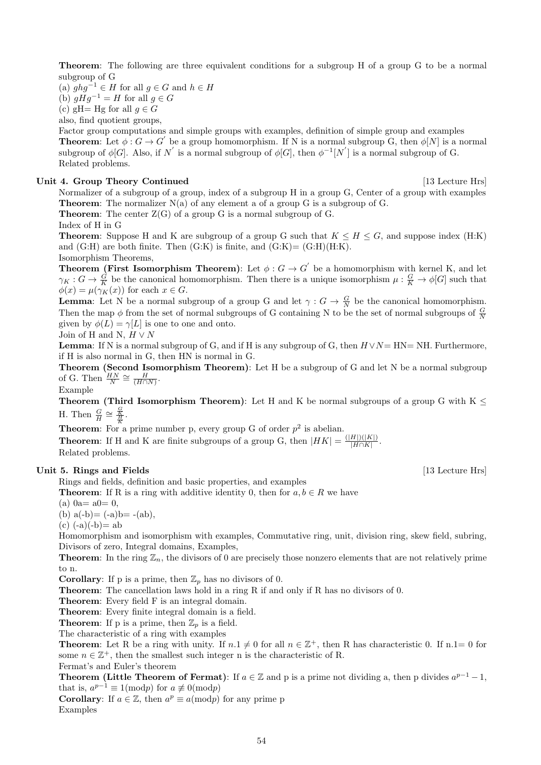Theorem: The following are three equivalent conditions for a subgroup H of a group G to be a normal subgroup of G

(a)  $ghg^{-1} \in H$  for all  $g \in G$  and  $h \in H$ (b)  $gHg^{-1} = H$  for all  $g \in G$ 

(c) gH= Hg for all  $g \in G$ 

also, find quotient groups,

Factor group computations and simple groups with examples, definition of simple group and examples **Theorem:** Let  $\phi: G \to G'$  be a group homomorphism. If N is a normal subgroup G, then  $\phi[N]$  is a normal subgroup of  $\phi[G]$ . Also, if N' is a normal subgroup of  $\phi[G]$ , then  $\phi^{-1}[N']$  is a normal subgroup of G. Related problems.

## Unit 4. Group Theory Continued [13 Lecture Hrs]

Normalizer of a subgroup of a group, index of a subgroup H in a group G, Center of a group with examples **Theorem:** The normalizer  $N(a)$  of any element a of a group G is a subgroup of G.

**Theorem:** The center  $Z(G)$  of a group G is a normal subgroup of G.

Index of H in G

**Theorem:** Suppose H and K are subgroup of a group G such that  $K \leq H \leq G$ , and suppose index (H:K) and  $(G:H)$  are both finite. Then  $(G:K)$  is finite, and  $(G:K)=(G:H)(H:K)$ . Isomorphism Theorems,

**Theorem (First Isomorphism Theorem)**: Let  $\phi: G \to G'$  be a homomorphism with kernel K, and let  $\gamma_K: G \to \frac{G}{K}$  be the canonical homomorphism. Then there is a unique isomorphism  $\mu: \frac{G}{K} \to \phi[G]$  such that  $\phi(x) = \mu(\gamma_K(x))$  for each  $x \in G$ .

**Lemma:** Let N be a normal subgroup of a group G and let  $\gamma: G \to \frac{G}{N}$  be the canonical homomorphism. Then the map  $\phi$  from the set of normal subgroups of G containing N to be the set of normal subgroups of  $\frac{G}{N}$ given by  $\phi(L) = \gamma[L]$  is one to one and onto.

Join of H and N,  $H \vee N$ 

**Lemma**: If N is a normal subgroup of G, and if H is any subgroup of G, then  $H \vee N = HN = NH$ . Furthermore, if H is also normal in G, then HN is normal in G.

**Theorem (Second Isomorphism Theorem)**: Let H be a subgroup of G and let N be a normal subgroup of G. Then  $\frac{HN}{N} \cong \frac{H}{(H \cap N)}$ .

Example

Theorem (Third Isomorphism Theorem): Let H and K be normal subgroups of a group G with K  $\leq$ H. Then  $\frac{G}{H} \cong \frac{\frac{G}{K}}{\frac{H}{K}}$ .

**Theorem:** For a prime number p, every group G of order  $p^2$  is abelian.

**Theorem:** If H and K are finite subgroups of a group G, then  $|HK| = \frac{(|H|)(|K|)}{|H \cap K|}$  $\frac{H|J(|K|)}{|H\cap K|}$ .

Related problems.

## Unit 5. Rings and Fields [13 Lecture Hrs]

Rings and fields, definition and basic properties, and examples

**Theorem:** If R is a ring with additive identity 0, then for  $a, b \in R$  we have

 $(a)$  0a = a0 = 0,

(b)  $a(-b) = (-a)b = -(ab)$ ,

 $(c)$  (-a)(-b)= ab

Homomorphism and isomorphism with examples, Commutative ring, unit, division ring, skew field, subring, Divisors of zero, Integral domains, Examples,

**Theorem:** In the ring  $\mathbb{Z}_n$ , the divisors of 0 are precisely those nonzero elements that are not relatively prime to n.

**Corollary:** If p is a prime, then  $\mathbb{Z}_p$  has no divisors of 0.

Theorem: The cancellation laws hold in a ring R if and only if R has no divisors of 0.

Theorem: Every field F is an integral domain.

Theorem: Every finite integral domain is a field.

**Theorem:** If p is a prime, then  $\mathbb{Z}_p$  is a field.

The characteristic of a ring with examples

**Theorem:** Let R be a ring with unity. If  $n.1 \neq 0$  for all  $n \in \mathbb{Z}^+$ , then R has characteristic 0. If n.1= 0 for some  $n \in \mathbb{Z}^+$ , then the smallest such integer n is the characteristic of R.

Fermat's and Euler's theorem

**Theorem (Little Theorem of Fermat)**: If  $a \in \mathbb{Z}$  and p is a prime not dividing a, then p divides  $a^{p-1}-1$ , that is,  $a^{p-1} \equiv 1 \pmod{p}$  for  $a \not\equiv 0 \pmod{p}$ 

**Corollary:** If  $a \in \mathbb{Z}$ , then  $a^p \equiv a \pmod{p}$  for any prime p Examples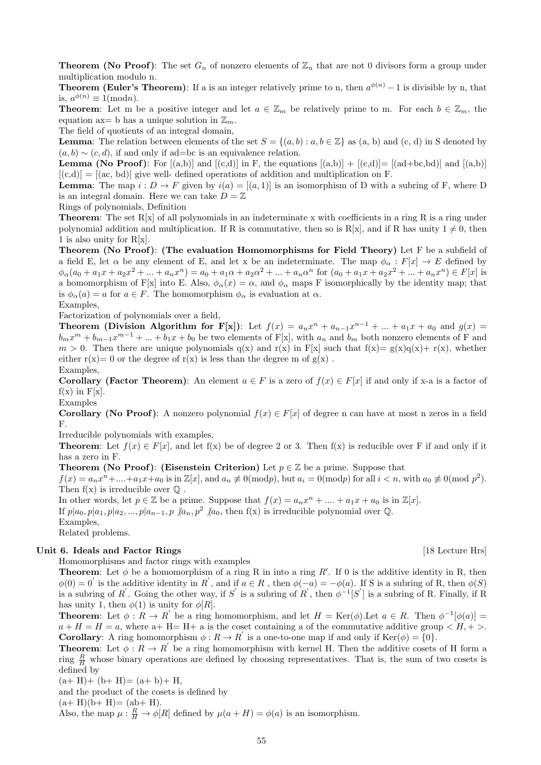**Theorem (No Proof):** The set  $G_n$  of nonzero elements of  $\mathbb{Z}_n$  that are not 0 divisors form a group under multiplication modulo n.

**Theorem (Euler's Theorem)**: If a is an integer relatively prime to n, then  $a^{\phi(n)} - 1$  is divisible by n, that is,  $a^{\phi(n)} \equiv 1 \pmod{n}$ .

**Theorem:** Let m be a positive integer and let  $a \in \mathbb{Z}_m$  be relatively prime to m. For each  $b \in \mathbb{Z}_m$ , the equation ax= b has a unique solution in  $\mathbb{Z}_m$ .

The field of quotients of an integral domain,

**Lemma**: The relation between elements of the set  $S = \{(a, b) : a, b \in \mathbb{Z}\}\)$  as  $(a, b)$  and  $(c, d)$  in S denoted by  $(a, b) \sim (c, d)$ , if and only if ad=bc is an equivalence relation.

**Lemma (No Proof):** For  $[(a,b)]$  and  $[(c,d)]$  in F, the equations  $[(a,b)] + [(c,d)] = [(ad+bc,bd)]$  and  $[(a,b)]$  $[(c,d)] = [(ac, bd)]$  give well- defined operations of addition and multiplication on F.

**Lemma**: The map  $i: D \to F$  given by  $i(a) = [(a, 1)]$  is an isomorphism of D with a subring of F, where D is an integral domain. Here we can take  $D = \mathbb{Z}$ 

Rings of polynomials, Definition

**Theorem:** The set  $R[x]$  of all polynomials in an indeterminate x with coefficients in a ring R is a ring under polynomial addition and multiplication. If R is commutative, then so is R[x], and if R has unity  $1 \neq 0$ , then 1 is also unity for R[x].

Theorem (No Proof): (The evaluation Homomorphisms for Field Theory) Let F be a subfield of a field E, let  $\alpha$  be any element of E, and let x be an indeterminate. The map  $\phi_{\alpha}: F[x] \to E$  defined by  $\phi_{\alpha}(a_0 + a_1x + a_2x^2 + ... + a_nx^n) = a_0 + a_1\alpha + a_2\alpha^2 + ... + a_n\alpha^n$  for  $(a_0 + a_1x + a_2x^2 + ... + a_nx^n) \in F[x]$  is a homomorphism of F[x] into E. Also,  $\phi_{\alpha}(x) = \alpha$ , and  $\phi_{\alpha}$  maps F isomorphically by the identity map; that is  $\phi_{\alpha}(a) = a$  for  $a \in F$ . The homomorphism  $\phi_{\alpha}$  is evaluation at  $\alpha$ . Examples,

Factorization of polynomials over a field,

Theorem (Division Algorithm for F[x]): Let  $f(x) = a_n x^n + a_{n-1} x^{n-1} + ... + a_1 x + a_0$  and  $g(x) =$  $b_m x^m + b_{m-1} x^{m-1} + \ldots + b_1 x + b_0$  be two elements of F[x], with  $a_n$  and  $b_m$  both nonzero elements of F and  $m > 0$ . Then there are unique polynomials q(x) and r(x) in F[x] such that  $f(x) = g(x)q(x) + r(x)$ , whether either  $r(x)=0$  or the degree of  $r(x)$  is less than the degree m of  $g(x)$ . Examples,

**Corollary (Factor Theorem):** An element  $a \in F$  is a zero of  $f(x) \in F[x]$  if and only if x-a is a factor of  $f(x)$  in  $F[x]$ .

Examples

**Corollary (No Proof):** A nonzero polynomial  $f(x) \in F[x]$  of degree n can have at most n zeros in a field F.

Irreducible polynomials with examples,

**Theorem:** Let  $f(x) \in F[x]$ , and let  $f(x)$  be of degree 2 or 3. Then  $f(x)$  is reducible over F if and only if it has a zero in F.

**Theorem (No Proof): (Eisenstein Criterion)** Let  $p \in \mathbb{Z}$  be a prime. Suppose that

 $f(x) = a_n x^n + \dots + a_1 x + a_0$  is in  $\mathbb{Z}[x]$ , and  $a_n \not\equiv 0 \pmod{p}$ , but  $a_i = 0 \pmod{p}$  for all  $i < n$ , with  $a_0 \not\equiv 0 \pmod{p^2}$ . Then  $f(x)$  is irreducible over  $\mathbb Q$ .

In other words, let  $p \in \mathbb{Z}$  be a prime. Suppose that  $f(x) = a_n x^n + \dots + a_1 x + a_0$  is in  $\mathbb{Z}[x]$ .

If  $p|a_0, p|a_1, p|a_2, \ldots, p|a_{n-1}, p \nmid a_n, p^2 \nmid a_0$ , then  $f(x)$  is irreducible polynomial over Q.

Examples,

Related problems.

## Unit 6. Ideals and Factor Rings [18 Lecture Hrs] [18 Lecture Hrs]

Homomorphisms and factor rings with examples

**Theorem:** Let  $\phi$  be a homomorphism of a ring R in into a ring R'. If 0 is the additive identity in R, then  $\phi(0) = 0$  is the additive identity in R', and if  $a \in R$ , then  $\phi(-a) = -\phi(a)$ . If S is a subring of R, then  $\phi(S)$ is a subring of R'. Going the other way, if S' is a subring of R', then  $\phi^{-1}[S']$  is a subring of R. Finally, if R has unity 1, then  $\phi(1)$  is unity for  $\phi[R]$ .

**Theorem:** Let  $\phi: R \to R'$  be a ring homomorphism, and let  $H = \text{Ker}(\phi)$ . Let  $a \in R$ . Then  $\phi^{-1}[\phi(a)] =$  $a + H = H = a$ , where  $a + H = H + a$  is the coset containing a of the commutative additive group  $\langle H, + \rangle$ . **Corollary**: A ring homomorphism  $\phi : R \to R'$  is a one-to-one map if and only if  $\text{Ker}(\phi) = \{0\}.$ 

**Theorem:** Let  $\phi: R \to R'$  be a ring homomorphism with kernel H. Then the additive cosets of H form a ring  $\frac{R}{H}$  whose binary operations are defined by choosing representatives. That is, the sum of two cosets is defined by

 $(a+ H) + (b+ H) = (a+ b) + H$ ,

and the product of the cosets is defined by

 $(a+ H)(b+ H) = (ab+ H).$ 

Also, the map  $\mu: \frac{R}{H} \to \phi[R]$  defined by  $\mu(a+H) = \phi(a)$  is an isomorphism.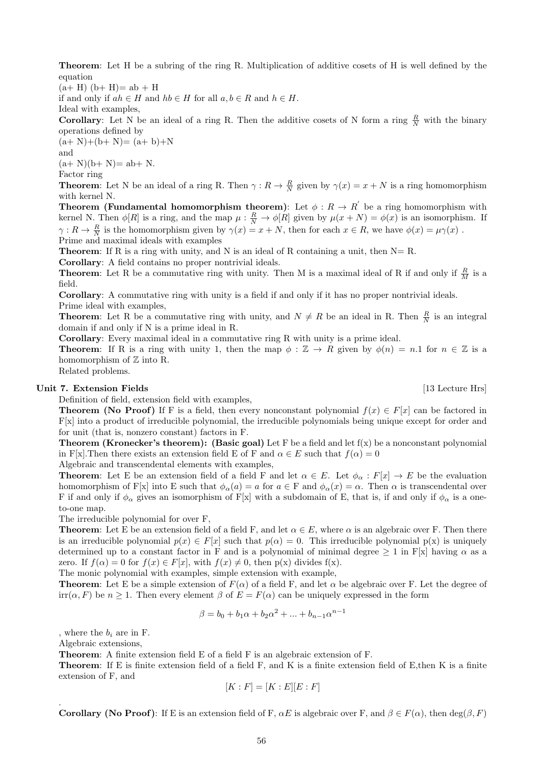Theorem: Let H be a subring of the ring R. Multiplication of additive cosets of H is well defined by the equation

 $(a+ H)$   $(b+ H) = ab + H$ 

if and only if  $ah \in H$  and  $hb \in H$  for all  $a, b \in R$  and  $h \in H$ .

Ideal with examples,

**Corollary**: Let N be an ideal of a ring R. Then the additive cosets of N form a ring  $\frac{R}{N}$  with the binary operations defined by

 $(a+N)+(b+N)=(a+b)+N$ and  $(a+N)(b+N) = ab + N.$ 

Factor ring

**Theorem:** Let N be an ideal of a ring R. Then  $\gamma: R \to \frac{R}{N}$  given by  $\gamma(x) = x + N$  is a ring homomorphism with kernel N.

**Theorem (Fundamental homomorphism theorem)**: Let  $\phi: R \to R'$  be a ring homomorphism with kernel N. Then  $\phi[R]$  is a ring, and the map  $\mu: \frac{R}{N} \to \phi[R]$  given by  $\mu(x+N) = \phi(x)$  is an isomorphism. If  $\gamma: R \to \frac{R}{N}$  is the homomorphism given by  $\gamma(x) = x + N$ , then for each  $x \in R$ , we have  $\phi(x) = \mu \gamma(x)$ . Prime and maximal ideals with examples

**Theorem:** If R is a ring with unity, and N is an ideal of R containing a unit, then  $N = R$ .

Corollary: A field contains no proper nontrivial ideals.

**Theorem:** Let R be a commutative ring with unity. Then M is a maximal ideal of R if and only if  $\frac{R}{M}$  is a field.

Corollary: A commutative ring with unity is a field if and only if it has no proper nontrivial ideals. Prime ideal with examples,

**Theorem:** Let R be a commutative ring with unity, and  $N \neq R$  be an ideal in R. Then  $\frac{R}{N}$  is an integral domain if and only if N is a prime ideal in R.

Corollary: Every maximal ideal in a commutative ring R with unity is a prime ideal.

**Theorem:** If R is a ring with unity 1, then the map  $\phi : \mathbb{Z} \to R$  given by  $\phi(n) = n.1$  for  $n \in \mathbb{Z}$  is a homomorphism of  $\mathbb Z$  into R.

Related problems.

## Unit 7. Extension Fields [13 Lecture Hrs]

Definition of field, extension field with examples,

**Theorem (No Proof)** If F is a field, then every nonconstant polynomial  $f(x) \in F[x]$  can be factored in F[x] into a product of irreducible polynomial, the irreducible polynomials being unique except for order and for unit (that is, nonzero constant) factors in F.

**Theorem (Kronecker's theorem):** (Basic goal) Let F be a field and let  $f(x)$  be a nonconstant polynomial in F[x]. Then there exists an extension field E of F and  $\alpha \in E$  such that  $f(\alpha) = 0$ 

Algebraic and transcendental elements with examples,

**Theorem:** Let E be an extension field of a field F and let  $\alpha \in E$ . Let  $\phi_{\alpha}: F[x] \to E$  be the evaluation homomorphism of F[x] into E such that  $\phi_{\alpha}(a) = a$  for  $a \in F$  and  $\phi_{\alpha}(x) = \alpha$ . Then  $\alpha$  is transcendental over F if and only if  $\phi_{\alpha}$  gives an isomorphism of F[x] with a subdomain of E, that is, if and only if  $\phi_{\alpha}$  is a oneto-one map.

The irreducible polynomial for over F,

**Theorem:** Let E be an extension field of a field F, and let  $\alpha \in E$ , where  $\alpha$  is an algebraic over F. Then there is an irreducible polynomial  $p(x) \in F[x]$  such that  $p(\alpha) = 0$ . This irreducible polynomial  $p(x)$  is uniquely determined up to a constant factor in F and is a polynomial of minimal degree  $\geq 1$  in F[x] having  $\alpha$  as a zero. If  $f(\alpha) = 0$  for  $f(x) \in F[x]$ , with  $f(x) \neq 0$ , then  $p(x)$  divides  $f(x)$ .

The monic polynomial with examples, simple extension with example,

**Theorem:** Let E be a simple extension of  $F(\alpha)$  of a field F, and let  $\alpha$  be algebraic over F. Let the degree of  $irr(\alpha, F)$  be  $n \geq 1$ . Then every element  $\beta$  of  $E = F(\alpha)$  can be uniquely expressed in the form

$$
\beta = b_0 + b_1 \alpha + b_2 \alpha^2 + \dots + b_{n-1} \alpha^{n-1}
$$

, where the  $b_i$  are in F.

Algebraic extensions,

.

Theorem: A finite extension field E of a field F is an algebraic extension of F.

Theorem: If E is finite extension field of a field F, and K is a finite extension field of E,then K is a finite extension of F, and

$$
[K:F] = [K:E][E:F]
$$

**Corollary (No Proof):** If E is an extension field of F,  $\alpha E$  is algebraic over F, and  $\beta \in F(\alpha)$ , then deg( $\beta, F$ )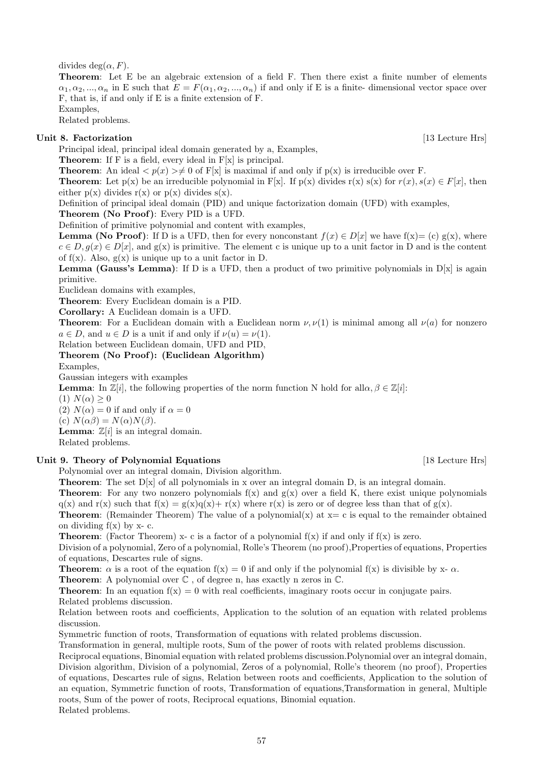divides deg( $\alpha$ , F).

Theorem: Let E be an algebraic extension of a field F. Then there exist a finite number of elements  $\alpha_1, \alpha_2, ..., \alpha_n$  in E such that  $E = F(\alpha_1, \alpha_2, ..., \alpha_n)$  if and only if E is a finite-dimensional vector space over F, that is, if and only if E is a finite extension of F.

Examples, Related problems.

Unit 8. Factorization [13] Lecture Hrs]

Principal ideal, principal ideal domain generated by a, Examples,

Theorem: If F is a field, every ideal in F[x] is principal.

**Theorem:** An ideal  $\langle p(x) \rangle \neq 0$  of F[x] is maximal if and only if  $p(x)$  is irreducible over F.

**Theorem:** Let  $p(x)$  be an irreducible polynomial in F[x]. If  $p(x)$  divides  $r(x) s(x)$  for  $r(x), s(x) \in F[x]$ , then either  $p(x)$  divides  $r(x)$  or  $p(x)$  divides  $s(x)$ .

Definition of principal ideal domain (PID) and unique factorization domain (UFD) with examples,

Theorem (No Proof): Every PID is a UFD.

Definition of primitive polynomial and content with examples,

**Lemma (No Proof):** If D is a UFD, then for every nonconstant  $f(x) \in D[x]$  we have  $f(x) = (c) g(x)$ , where  $c \in D, q(x) \in D[x],$  and  $g(x)$  is primitive. The element c is unique up to a unit factor in D and is the content of  $f(x)$ . Also,  $g(x)$  is unique up to a unit factor in D.

**Lemma (Gauss's Lemma)**: If D is a UFD, then a product of two primitive polynomials in  $D[x]$  is again primitive.

Euclidean domains with examples,

Theorem: Every Euclidean domain is a PID.

Corollary: A Euclidean domain is a UFD.

**Theorem:** For a Euclidean domain with a Euclidean norm  $\nu$ ,  $\nu(1)$  is minimal among all  $\nu(a)$  for nonzero  $a \in D$ , and  $u \in D$  is a unit if and only if  $\nu(u) = \nu(1)$ .

Relation between Euclidean domain, UFD and PID,

Theorem (No Proof): (Euclidean Algorithm)

Examples,

Gaussian integers with examples

**Lemma**: In  $\mathbb{Z}[i]$ , the following properties of the norm function N hold for all $\alpha, \beta \in \mathbb{Z}[i]$ :

(1)  $N(\alpha) \geq 0$ 

(2)  $N(\alpha) = 0$  if and only if  $\alpha = 0$ 

(c)  $N(\alpha\beta) = N(\alpha)N(\beta)$ .

**Lemma:**  $\mathbb{Z}[i]$  is an integral domain.

Related problems.

## Unit 9. Theory of Polynomial Equations [18 Lecture Hrs]

Polynomial over an integral domain, Division algorithm.

**Theorem:** The set  $D[x]$  of all polynomials in x over an integral domain D, is an integral domain.

**Theorem:** For any two nonzero polynomials  $f(x)$  and  $g(x)$  over a field K, there exist unique polynomials  $q(x)$  and  $r(x)$  such that  $f(x) = g(x)q(x) + r(x)$  where  $r(x)$  is zero or of degree less than that of  $g(x)$ .

**Theorem:** (Remainder Theorem) The value of a polynomial(x) at  $x = c$  is equal to the remainder obtained on dividing  $f(x)$  by x- c.

**Theorem:** (Factor Theorem) x-c is a factor of a polynomial  $f(x)$  if and only if  $f(x)$  is zero.

Division of a polynomial, Zero of a polynomial, Rolle's Theorem (no proof),Properties of equations, Properties of equations, Descartes rule of signs.

**Theorem:**  $\alpha$  is a root of the equation  $f(x) = 0$  if and only if the polynomial  $f(x)$  is divisible by x-  $\alpha$ .

**Theorem:** A polynomial over  $\mathbb{C}$ , of degree n, has exactly n zeros in  $\mathbb{C}$ .

**Theorem:** In an equation  $f(x) = 0$  with real coefficients, imaginary roots occur in conjugate pairs. Related problems discussion.

Relation between roots and coefficients, Application to the solution of an equation with related problems discussion.

Symmetric function of roots, Transformation of equations with related problems discussion.

Transformation in general, multiple roots, Sum of the power of roots with related problems discussion.

Reciprocal equations, Binomial equation with related problems discussion.Polynomial over an integral domain, Division algorithm, Division of a polynomial, Zeros of a polynomial, Rolle's theorem (no proof), Properties of equations, Descartes rule of signs, Relation between roots and coefficients, Application to the solution of an equation, Symmetric function of roots, Transformation of equations,Transformation in general, Multiple roots, Sum of the power of roots, Reciprocal equations, Binomial equation.

Related problems.

57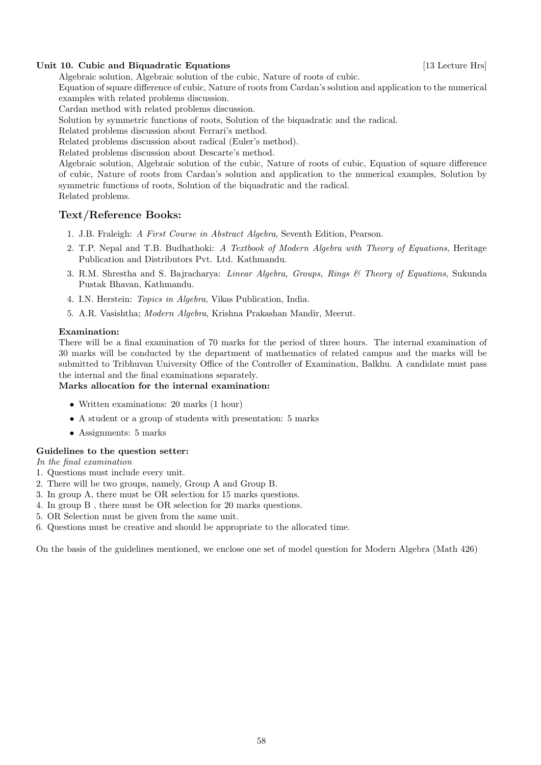## Unit 10. Cubic and Biquadratic Equations [13] Lecture Hrs]

Algebraic solution, Algebraic solution of the cubic, Nature of roots of cubic.

Equation of square difference of cubic, Nature of roots from Cardan's solution and application to the numerical examples with related problems discussion.

Cardan method with related problems discussion.

Solution by symmetric functions of roots, Solution of the biquadratic and the radical.

Related problems discussion about Ferrari's method.

Related problems discussion about radical (Euler's method).

Related problems discussion about Descarte's method.

Algebraic solution, Algebraic solution of the cubic, Nature of roots of cubic, Equation of square difference of cubic, Nature of roots from Cardan's solution and application to the numerical examples, Solution by symmetric functions of roots, Solution of the biquadratic and the radical. Related problems.

# Text/Reference Books:

- 1. J.B. Fraleigh: A First Course in Abstract Algebra, Seventh Edition, Pearson.
- 2. T.P. Nepal and T.B. Budhathoki: A Textbook of Modern Algebra with Theory of Equations, Heritage Publication and Distributors Pvt. Ltd. Kathmandu.
- 3. R.M. Shrestha and S. Bajracharya: Linear Algebra, Groups, Rings & Theory of Equations, Sukunda Pustak Bhavan, Kathmandu.
- 4. I.N. Herstein: Topics in Algebra, Vikas Publication, India.
- 5. A.R. Vasishtha; Modern Algebra, Krishna Prakashan Mandir, Meerut.

# Examination:

There will be a final examination of 70 marks for the period of three hours. The internal examination of 30 marks will be conducted by the department of mathematics of related campus and the marks will be submitted to Tribhuvan University Office of the Controller of Examination, Balkhu. A candidate must pass the internal and the final examinations separately.

## Marks allocation for the internal examination:

- Written examinations: 20 marks (1 hour)
- A student or a group of students with presentation: 5 marks
- Assignments: 5 marks

# Guidelines to the question setter:

In the final examination

- 1. Questions must include every unit.
- 2. There will be two groups, namely, Group A and Group B.
- 3. In group A, there must be OR selection for 15 marks questions.
- 4. In group B , there must be OR selection for 20 marks questions.
- 5. OR Selection must be given from the same unit.
- 6. Questions must be creative and should be appropriate to the allocated time.

On the basis of the guidelines mentioned, we enclose one set of model question for Modern Algebra (Math 426)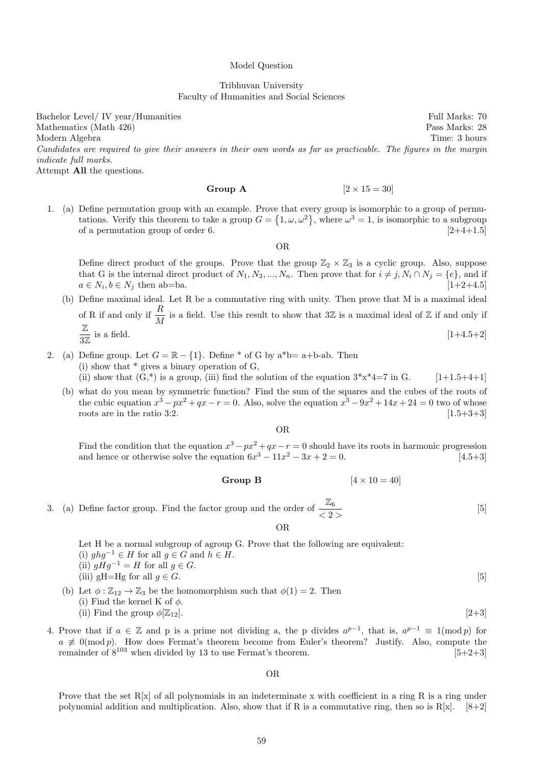#### Model Question

## Tribhuvan University Faculty of Humanities and Social Sciences

Bachelor Level/ IV year/Humanities Full Marks: 70 Mathematics (Math 426) Pass Marks: 28 Modern Algebra Time: 3 hours Candidates are required to give their answers in their own words as far as practicable. The figures in the margin indicate full marks.

Attempt All the questions.

## Group A  $[2 \times 15 = 30]$

1. (a) Define permutation group with an example. Prove that every group is isomorphic to a group of permutations. Verify this theorem to take a group  $G = \{1, \omega, \omega^2\}$ , where  $\omega^3 = 1$ , is isomorphic to a subgroup of a permutation group of order 6.  $[2+4+1.5]$ 

OR

Define direct product of the groups. Prove that the group  $\mathbb{Z}_2 \times \mathbb{Z}_3$  is a cyclic group. Also, suppose that G is the internal direct product of  $N_1, N_2, ..., N_n$ . Then prove that for  $i \neq j, N_i \cap N_j = \{e\}$ , and if  $a \in N_i, b \in N_j$  then ab=ba. [1+2+4.5]

(b) Define maximal ideal. Let R be a commutative ring with unity. Then prove that M is a maximal ideal of R if and only if  $\frac{R}{M}$  is a field. Use this result to show that  $3\mathbb{Z}$  is a maximal ideal of  $\mathbb{Z}$  if and only if Z 3Z is a field.  $[1+4.5+2]$ 

\n- 2. (a) Define group. Let 
$$
G = \mathbb{R} - \{1\}
$$
. Define  $^*$  of G by  $a^*b = a+b$ -ab. Then
\n- (i) show that  $^*$  gives a binary operation of G,
\n- (ii) show that  $(G,^*)$  is a group, (iii) find the solution of the equation  $3*x^*4=7$  in G.
\n

(b) what do you mean by symmetric function? Find the sum of the squares and the cubes of the roots of the cubic equation  $x^3 - px^2 + qx - r = 0$ . Also, solve the equation  $x^3 - 9x^2 + 14x + 24 = 0$  two of whose roots are in the ratio 3:2.  $[1.5+3+3]$ 

OR

Find the condition that the equation  $x^3 - px^2 + qx - r = 0$  should have its roots in harmonic progression and hence or otherwise solve the equation  $6x^3 - 11x^2 - 3x + 2 = 0$ . [4.5+3]

Group B  $[4 \times 10 = 40]$ 

 $|5|$ 

3. (a) Define factor group. Find the factor group and the order of  $\frac{\mathbb{Z}_6}{\langle 2 \rangle}$ 

OR

- Let H be a normal subgroup of agroup G. Prove that the following are equivalent: (i)  $ghg^{-1} \in H$  for all  $g \in G$  and  $h \in H$ . (ii)  $qHq^{-1} = H$  for all  $q \in G$ . (iii) gH=Hg for all  $g \in G$ . [5] (b) Let  $\phi : \mathbb{Z}_{12} \to \mathbb{Z}_3$  be the homomorphism such that  $\phi(1) = 2$ . Then
	- (i) Find the kernel K of  $\phi$ . (ii) Find the group  $\phi[\mathbb{Z}_{12}]$ . [2+3]
- 4. Prove that if  $a \in \mathbb{Z}$  and p is a prime not dividing a, the p divides  $a^{p-1}$ , that is,  $a^{p-1} \equiv 1 \pmod{p}$  for  $a \not\equiv 0 \pmod{p}$ . How does Fermat's theorem become from Euler's theorem? Justify. Also, compute the remainder of  $8^{103}$  when divided by 13 to use Fermat's theorem. [5+2+3]

OR

Prove that the set  $R[x]$  of all polynomials in an indeterminate x with coefficient in a ring R is a ring under polynomial addition and multiplication. Also, show that if R is a commutative ring, then so is  $R[x]$ . [8+2]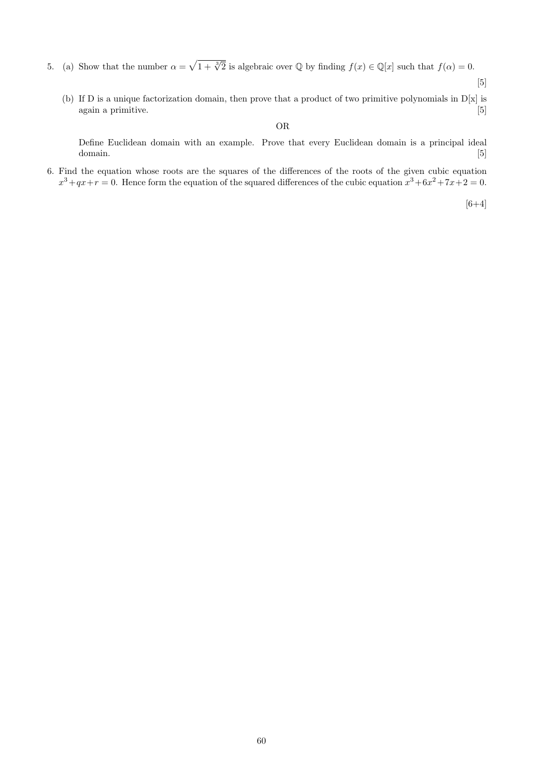- 5. (a) Show that the number  $\alpha = \sqrt{1 + \sqrt[3]{2}}$  is algebraic over Q by finding  $f(x) \in \mathbb{Q}[x]$  such that  $f(\alpha) = 0$ .
	- [5]
	- (b) If D is a unique factorization domain, then prove that a product of two primitive polynomials in  $D[x]$  is again a primitive. [5]

# OR

Define Euclidean domain with an example. Prove that every Euclidean domain is a principal ideal domain. [5] [5]  $\sim$  [5]  $\sim$  [5]  $\sim$  [5]  $\sim$  [5]  $\sim$  [5]  $\sim$  [5]  $\sim$  [5]  $\sim$  [5]  $\sim$  [5]  $\sim$  [5]  $\sim$  [5]  $\sim$  [5]  $\sim$  [5]  $\sim$  [5]  $\sim$  [5]  $\sim$  [5]  $\sim$  [5]  $\sim$  [5]  $\sim$  [5]  $\sim$  [5]  $\sim$  [5]  $\sim$  [5]  $\sim$  [5]

6. Find the equation whose roots are the squares of the differences of the roots of the given cubic equation  $x^3+qx+r=0$ . Hence form the equation of the squared differences of the cubic equation  $x^3+6x^2+7x+2=0$ .

 $[6+4]$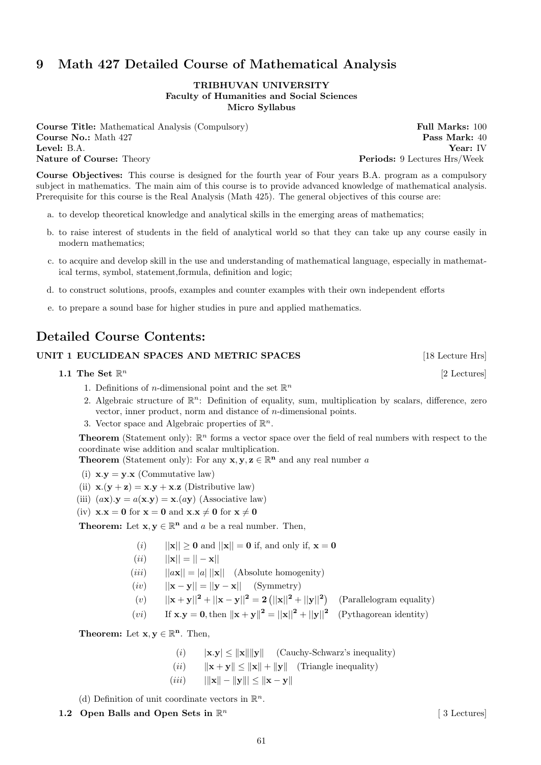# 9 Math 427 Detailed Course of Mathematical Analysis

## TRIBHUVAN UNIVERSITY Faculty of Humanities and Social Sciences Micro Syllabus

**Course Title:** Mathematical Analysis (Compulsory) Full Marks: 100 Course No.: Math 427 Pass Mark: 40 Level: B.A. Year: IV Nature of Course: Theory extends the periods: 9 Lectures Hrs/Week

Course Objectives: This course is designed for the fourth year of Four years B.A. program as a compulsory subject in mathematics. The main aim of this course is to provide advanced knowledge of mathematical analysis. Prerequisite for this course is the Real Analysis (Math 425). The general objectives of this course are:

- a. to develop theoretical knowledge and analytical skills in the emerging areas of mathematics;
- b. to raise interest of students in the field of analytical world so that they can take up any course easily in modern mathematics;
- c. to acquire and develop skill in the use and understanding of mathematical language, especially in mathematical terms, symbol, statement,formula, definition and logic;
- d. to construct solutions, proofs, examples and counter examples with their own independent efforts
- e. to prepare a sound base for higher studies in pure and applied mathematics.

# Detailed Course Contents:

# UNIT 1 EUCLIDEAN SPACES AND METRIC SPACES [18 Lecture Hrs]

1.1 The Set  $\mathbb{R}^n$ 

- 1. Definitions of *n*-dimensional point and the set  $\mathbb{R}^n$
- 2. Algebraic structure of  $\mathbb{R}^n$ : Definition of equality, sum, multiplication by scalars, difference, zero vector, inner product, norm and distance of n-dimensional points.
- 3. Vector space and Algebraic properties of  $\mathbb{R}^n$ .

**Theorem** (Statement only):  $\mathbb{R}^n$  forms a vector space over the field of real numbers with respect to the coordinate wise addition and scalar multiplication.

**Theorem** (Statement only): For any  $x, y, z \in \mathbb{R}^n$  and any real number a

- (i)  $\mathbf{x} \cdot \mathbf{v} = \mathbf{v} \cdot \mathbf{x}$  (Commutative law)
- (ii)  $\mathbf{x} \cdot (\mathbf{y} + \mathbf{z}) = \mathbf{x} \cdot \mathbf{y} + \mathbf{x} \cdot \mathbf{z}$  (Distributive law)
- (iii)  $(a\mathbf{x}).\mathbf{y} = a(\mathbf{x}.\mathbf{y}) = \mathbf{x}.(a\mathbf{y})$  (Associative law)
- (iv)  $x.x = 0$  for  $x = 0$  and  $x.x \neq 0$  for  $x \neq 0$

**Theorem:** Let  $\mathbf{x}, \mathbf{y} \in \mathbb{R}^n$  and a be a real number. Then,

- (i)  $||\mathbf{x}|| \geq 0$  and  $||\mathbf{x}|| = 0$  if, and only if,  $\mathbf{x} = 0$
- $(ii)$   $||\mathbf{x}|| = || \mathbf{x}||$
- (*iii*)  $||ax|| = |a| ||x||$  (Absolute homogenity)
- $(iv)$   $||\mathbf{x} \mathbf{y}|| = ||\mathbf{y} \mathbf{x}||$  (Symmetry)
- (v)  $||\mathbf{x} + \mathbf{y}||^2 + ||\mathbf{x} \mathbf{y}||^2 = 2(||\mathbf{x}||^2 + ||\mathbf{y}||^2)$  (Parallelogram equality)
- (*vi*) If  $\mathbf{x} \cdot \mathbf{y} = \mathbf{0}$ , then  $\|\mathbf{x} + \mathbf{y}\|^2 = \|\mathbf{x}\|^2 + \|\mathbf{y}\|^2$  (Pythagorean identity)

**Theorem:** Let  $\mathbf{x}, \mathbf{y} \in \mathbb{R}^n$ . Then,

- (i)  $|\mathbf{x}.\mathbf{y}| \leq ||\mathbf{x}|| ||\mathbf{y}||$  (Cauchy-Schwarz's inequality)
- (*ii*)  $\|\mathbf{x} + \mathbf{y}\| \le \|\mathbf{x}\| + \|\mathbf{y}\|$  (Triangle inequality)
- (iii)  $||\mathbf{x}|| ||\mathbf{y}||| \le ||\mathbf{x} \mathbf{y}||$

(d) Definition of unit coordinate vectors in  $\mathbb{R}^n$ .

1.2 Open Balls and Open Sets in  $\mathbb{R}^n$ 

[ 3 Lectures]

[2 Lectures]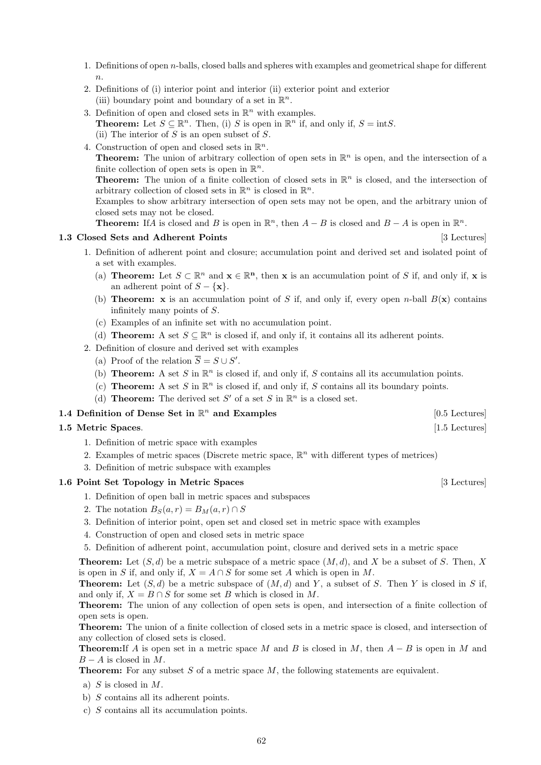- 1. Definitions of open  $n$ -balls, closed balls and spheres with examples and geometrical shape for different  $n$
- 2. Definitions of (i) interior point and interior (ii) exterior point and exterior (iii) boundary point and boundary of a set in  $\mathbb{R}^n$ .
- 3. Definition of open and closed sets in  $\mathbb{R}^n$  with examples. **Theorem:** Let  $S \subseteq \mathbb{R}^n$ . Then, (i) S is open in  $\mathbb{R}^n$  if, and only if,  $S = \text{int}S$ . (ii) The interior of  $S$  is an open subset of  $S$ .
- 4. Construction of open and closed sets in  $\mathbb{R}^n$ . **Theorem:** The union of arbitrary collection of open sets in  $\mathbb{R}^n$  is open, and the intersection of a finite collection of open sets is open in  $\mathbb{R}^n$ . **Theorem:** The union of a finite collection of closed sets in  $\mathbb{R}^n$  is closed, and the intersection of arbitrary collection of closed sets in  $\mathbb{R}^n$  is closed in  $\mathbb{R}^n$ . Examples to show arbitrary intersection of open sets may not be open, and the arbitrary union of closed sets may not be closed.

**Theorem:** If A is closed and B is open in  $\mathbb{R}^n$ , then  $A - B$  is closed and  $B - A$  is open in  $\mathbb{R}^n$ .

## 1.3 Closed Sets and Adherent Points [3] Lectures]

- 1. Definition of adherent point and closure; accumulation point and derived set and isolated point of a set with examples.
	- (a) **Theorem:** Let  $S \subset \mathbb{R}^n$  and  $\mathbf{x} \in \mathbb{R}^n$ , then x is an accumulation point of S if, and only if, x is an adherent point of  $S - \{x\}.$
	- (b) **Theorem:** x is an accumulation point of S if, and only if, every open n-ball  $B(x)$  contains infinitely many points of S.
	- (c) Examples of an infinite set with no accumulation point.
	- (d) **Theorem:** A set  $S \subseteq \mathbb{R}^n$  is closed if, and only if, it contains all its adherent points.
- 2. Definition of closure and derived set with examples
	- (a) Proof of the relation  $\overline{S} = S \cup S'$ .
	- (b) **Theorem:** A set S in  $\mathbb{R}^n$  is closed if, and only if, S contains all its accumulation points.
	- (c) **Theorem:** A set S in  $\mathbb{R}^n$  is closed if, and only if, S contains all its boundary points.
	- (d) **Theorem:** The derived set S' of a set S in  $\mathbb{R}^n$  is a closed set.

# **1.4 Definition of Dense Set in**  $\mathbb{R}^n$  **and Examples** [0.5 Lectures]

## 1.5 Metric Spaces. [1.5 Lectures] [1.5 Lectures]

- 1. Definition of metric space with examples
- 2. Examples of metric spaces (Discrete metric space,  $\mathbb{R}^n$  with different types of metrices)
- 3. Definition of metric subspace with examples

# 1.6 Point Set Topology in Metric Spaces [3 Lectures]

- 1. Definition of open ball in metric spaces and subspaces
- 2. The notation  $B_S(a, r) = B_M(a, r) \cap S$
- 3. Definition of interior point, open set and closed set in metric space with examples
- 4. Construction of open and closed sets in metric space
- 5. Definition of adherent point, accumulation point, closure and derived sets in a metric space

**Theorem:** Let  $(S, d)$  be a metric subspace of a metric space  $(M, d)$ , and X be a subset of S. Then, X is open in S if, and only if,  $X = A \cap S$  for some set A which is open in M.

**Theorem:** Let  $(S, d)$  be a metric subspace of  $(M, d)$  and Y, a subset of S. Then Y is closed in S if, and only if,  $X = B \cap S$  for some set B which is closed in M.

Theorem: The union of any collection of open sets is open, and intersection of a finite collection of open sets is open.

Theorem: The union of a finite collection of closed sets in a metric space is closed, and intersection of any collection of closed sets is closed.

**Theorem:**If A is open set in a metric space M and B is closed in M, then  $A - B$  is open in M and  $B - A$  is closed in M.

**Theorem:** For any subset  $S$  of a metric space  $M$ , the following statements are equivalent.

- a)  $S$  is closed in  $M$ .
- b) S contains all its adherent points.
- c) S contains all its accumulation points.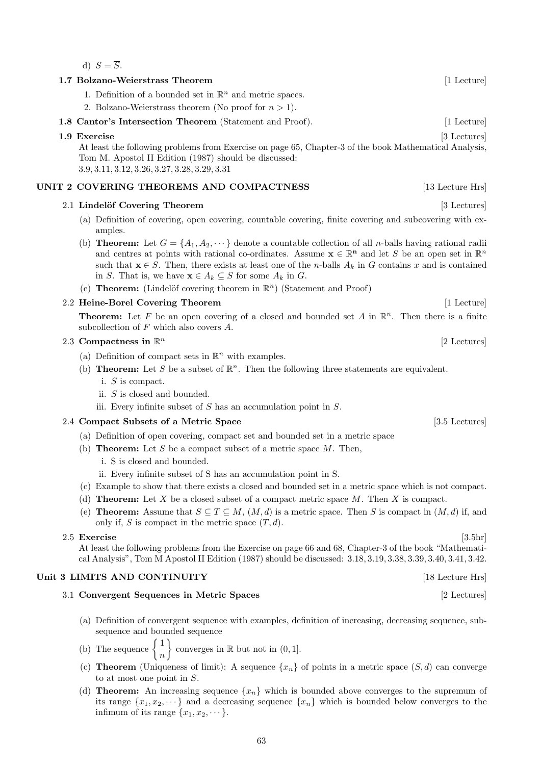d)  $S = \overline{S}$ .

## 1.7 Bolzano-Weierstrass Theorem [1 Lecture] [1 Lecture]

1. Definition of a bounded set in  $\mathbb{R}^n$  and metric spaces.

2. Bolzano-Weierstrass theorem (No proof for  $n > 1$ ).

1.8 Cantor's Intersection Theorem (Statement and Proof). [1 Lecture]

## 1.9 Exercise [3 Lectures]

At least the following problems from Exercise on page 65, Chapter-3 of the book Mathematical Analysis, Tom M. Apostol II Edition (1987) should be discussed: 3.9, 3.11, 3.12, 3.26, 3.27, 3.28, 3.29, 3.31

# UNIT 2 COVERING THEOREMS AND COMPACTNESS [13 Lecture Hrs]

## 2.1 Lindelöf Covering Theorem [3 Lectures]

- (a) Definition of covering, open covering, countable covering, finite covering and subcovering with examples.
- (b) **Theorem:** Let  $G = \{A_1, A_2, \dots\}$  denote a countable collection of all *n*-balls having rational radii and centres at points with rational co-ordinates. Assume  $\mathbf{x} \in \mathbb{R}^n$  and let S be an open set in  $\mathbb{R}^n$ such that  $\mathbf{x} \in S$ . Then, there exists at least one of the *n*-balls  $A_k$  in G contains x and is contained in S. That is, we have  $\mathbf{x} \in A_k \subseteq S$  for some  $A_k$  in G.
- (c) **Theorem:** (Lindelöf covering theorem in  $\mathbb{R}^n$ ) (Statement and Proof)

## 2.2 Heine-Borel Covering Theorem [1 Lecture] [1 Lecture]

**Theorem:** Let F be an open covering of a closed and bounded set A in  $\mathbb{R}^n$ . Then there is a finite subcollection of F which also covers A.

## 2.3 Compactness in  $\mathbb{R}^n$

- (a) Definition of compact sets in  $\mathbb{R}^n$  with examples.
- (b) **Theorem:** Let S be a subset of  $\mathbb{R}^n$ . Then the following three statements are equivalent.
	- i. S is compact.
	- ii. S is closed and bounded.
	- iii. Every infinite subset of  $S$  has an accumulation point in  $S$ .

## 2.4 Compact Subsets of a Metric Space [3.5 Lectures]

- (a) Definition of open covering, compact set and bounded set in a metric space
- (b) **Theorem:** Let S be a compact subset of a metric space  $M$ . Then,
	- i. S is closed and bounded.
	- ii. Every infinite subset of S has an accumulation point in S.
- (c) Example to show that there exists a closed and bounded set in a metric space which is not compact.
- (d) **Theorem:** Let X be a closed subset of a compact metric space  $M$ . Then X is compact.
- (e) **Theorem:** Assume that  $S \subseteq T \subseteq M$ ,  $(M, d)$  is a metric space. Then S is compact in  $(M, d)$  if, and only if, S is compact in the metric space  $(T, d)$ .

## $2.5$  Exercise [3.5hr]

At least the following problems from the Exercise on page 66 and 68, Chapter-3 of the book "Mathematical Analysis", Tom M Apostol II Edition (1987) should be discussed: 3.18, 3.19, 3.38, 3.39, 3.40, 3.41, 3.42.

# Unit 3 LIMITS AND CONTINUITY [18 Lecture Hrs]

## 3.1 Convergent Sequences in Metric Spaces [2 Lectures]

- (a) Definition of convergent sequence with examples, definition of increasing, decreasing sequence, subsequence and bounded sequence
- (b) The sequence  $\begin{cases} 1 \end{cases}$ n  $\}$  converges in  $\mathbb R$  but not in  $(0, 1]$ .
- (c) **Theorem** (Uniqueness of limit): A sequence  $\{x_n\}$  of points in a metric space  $(S, d)$  can converge to at most one point in S.
- (d) **Theorem:** An increasing sequence  $\{x_n\}$  which is bounded above converges to the supremum of its range  $\{x_1, x_2, \dots\}$  and a decreasing sequence  $\{x_n\}$  which is bounded below converges to the infimum of its range  $\{x_1, x_2, \dots\}$ .

[2 Lectures]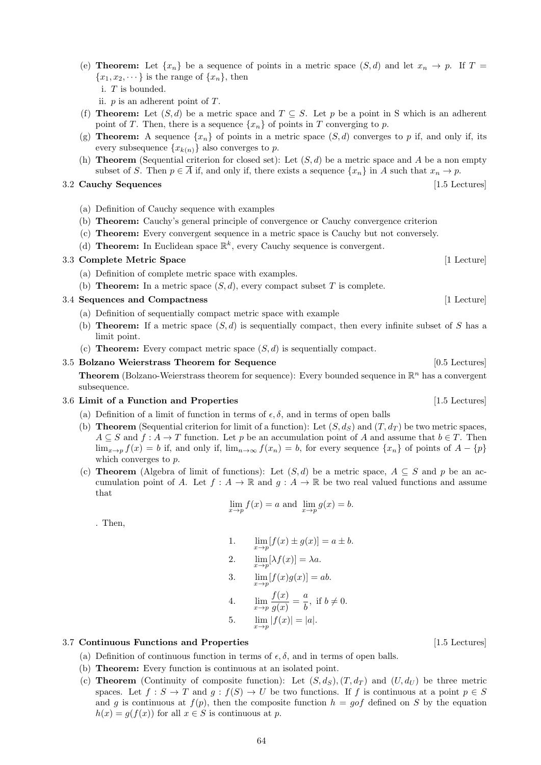(e) **Theorem:** Let  $\{x_n\}$  be a sequence of points in a metric space  $(S, d)$  and let  $x_n \to p$ . If  $T =$  ${x_1, x_2, \dots}$  is the range of  ${x_n}$ , then i. T is bounded.

ii.  $p$  is an adherent point of  $T$ .

- (f) **Theorem:** Let  $(S, d)$  be a metric space and  $T \subseteq S$ . Let p be a point in S which is an adherent point of T. Then, there is a sequence  $\{x_n\}$  of points in T converging to p.
- (g) **Theorem:** A sequence  $\{x_n\}$  of points in a metric space  $(S, d)$  converges to p if, and only if, its every subsequence  $\{x_{k(n)}\}$  also converges to p.
- (h) **Theorem** (Sequential criterion for closed set): Let  $(S, d)$  be a metric space and A be a non empty subset of S. Then  $p \in \overline{A}$  if, and only if, there exists a sequence  $\{x_n\}$  in A such that  $x_n \to p$ .

# 3.2 Cauchy Sequences [1.5 Lectures]

- (a) Definition of Cauchy sequence with examples
- (b) Theorem: Cauchy's general principle of convergence or Cauchy convergence criterion
- (c) Theorem: Every convergent sequence in a metric space is Cauchy but not conversely.
- (d) **Theorem:** In Euclidean space  $\mathbb{R}^k$ , every Cauchy sequence is convergent.

# 3.3 Complete Metric Space [1 Lecture]

- (a) Definition of complete metric space with examples.
- (b) **Theorem:** In a metric space  $(S, d)$ , every compact subset T is complete.

# 3.4 Sequences and Compactness [1 Lecture]

- (a) Definition of sequentially compact metric space with example
- (b) **Theorem:** If a metric space  $(S, d)$  is sequentially compact, then every infinite subset of S has a limit point.
- (c) **Theorem:** Every compact metric space  $(S, d)$  is sequentially compact.

# 3.5 Bolzano Weierstrass Theorem for Sequence [0.5 Lectures] [0.5 Lectures]

**Theorem** (Bolzano-Weierstrass theorem for sequence): Every bounded sequence in  $\mathbb{R}^n$  has a convergent subsequence.

# 3.6 Limit of a Function and Properties [1.5 Lectures] [1.5 Lectures]

- (a) Definition of a limit of function in terms of  $\epsilon, \delta$ , and in terms of open balls
- (b) **Theorem** (Sequential criterion for limit of a function): Let  $(S, d_S)$  and  $(T, d_T)$  be two metric spaces,  $A \subseteq S$  and  $f : A \to T$  function. Let p be an accumulation point of A and assume that  $b \in T$ . Then  $\lim_{x\to p} f(x) = b$  if, and only if,  $\lim_{n\to\infty} f(x_n) = b$ , for every sequence  $\{x_n\}$  of points of  $A - \{p\}$ which converges to p.
- (c) Theorem (Algebra of limit of functions): Let  $(S, d)$  be a metric space,  $A \subseteq S$  and p be an accumulation point of A. Let  $f: A \to \mathbb{R}$  and  $q: A \to \mathbb{R}$  be two real valued functions and assume that

$$
\lim_{x \to p} f(x) = a
$$
 and 
$$
\lim_{x \to p} g(x) = b.
$$

. Then,

1. 
$$
\lim_{x \to p} [f(x) \pm g(x)] = a \pm b.
$$
  
\n2. 
$$
\lim_{x \to p} [\lambda f(x)] = \lambda a.
$$
  
\n3. 
$$
\lim_{x \to p} [f(x)g(x)] = ab.
$$
  
\n4. 
$$
\lim_{x \to p} \frac{f(x)}{g(x)} = \frac{a}{b}, \text{ if } b \neq 0.
$$
  
\n5. 
$$
\lim_{x \to p} |f(x)| = |a|.
$$

## 3.7 Continuous Functions and Properties [1.5 Lectures]

- (a) Definition of continuous function in terms of  $\epsilon, \delta$ , and in terms of open balls.
- (b) Theorem: Every function is continuous at an isolated point.
- (c) **Theorem** (Continuity of composite function): Let  $(S, d_S)$ ,  $(T, d_T)$  and  $(U, d_U)$  be three metric spaces. Let  $f : S \to T$  and  $g : f(S) \to U$  be two functions. If f is continuous at a point  $p \in S$ and g is continuous at  $f(p)$ , then the composite function  $h = gof$  defined on S by the equation  $h(x) = g(f(x))$  for all  $x \in S$  is continuous at p.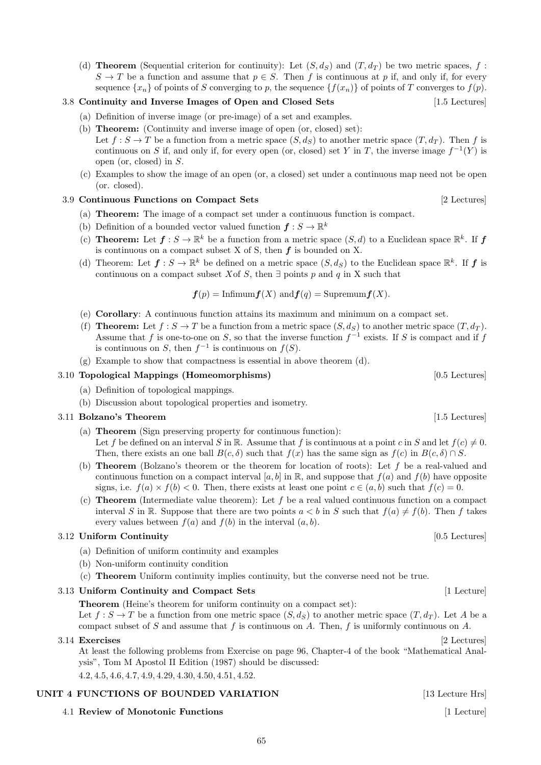(d) **Theorem** (Sequential criterion for continuity): Let  $(S, d_S)$  and  $(T, d_T)$  be two metric spaces, f:  $S \to T$  be a function and assume that  $p \in S$ . Then f is continuous at p if, and only if, for every sequence  $\{x_n\}$  of points of S converging to p, the sequence  $\{f(x_n)\}$  of points of T converges to  $f(p)$ .

# 3.8 Continuity and Inverse Images of Open and Closed Sets [1.5 Lectures]

- (a) Definition of inverse image (or pre-image) of a set and examples.
- (b) Theorem: (Continuity and inverse image of open (or, closed) set): Let  $f : S \to T$  be a function from a metric space  $(S, d_S)$  to another metric space  $(T, d_T)$ . Then f is continuous on S if, and only if, for every open (or, closed) set Y in T, the inverse image  $f^{-1}(Y)$  is open (or, closed) in S.
- (c) Examples to show the image of an open (or, a closed) set under a continuous map need not be open (or. closed).

# 3.9 Continuous Functions on Compact Sets [2 Lectures]

- (a) Theorem: The image of a compact set under a continuous function is compact.
- (b) Definition of a bounded vector valued function  $f: S \to \mathbb{R}^k$
- (c) **Theorem:** Let  $f: S \to \mathbb{R}^k$  be a function from a metric space  $(S, d)$  to a Euclidean space  $\mathbb{R}^k$ . If f is continuous on a compact subset  $X$  of  $S$ , then  $f$  is bounded on  $X$ .
- (d) Theorem: Let  $f: S \to \mathbb{R}^k$  be defined on a metric space  $(S, d_S)$  to the Euclidean space  $\mathbb{R}^k$ . If f is continuous on a compact subset Xof S, then  $\exists$  points p and q in X such that

$$
f(p) = \text{Infimum} f(X) \text{ and } f(q) = \text{Supremum} f(X).
$$

- (e) Corollary: A continuous function attains its maximum and minimum on a compact set.
- (f) **Theorem:** Let  $f : S \to T$  be a function from a metric space  $(S, d_S)$  to another metric space  $(T, d_T)$ . Assume that f is one-to-one on S, so that the inverse function  $f^{-1}$  exists. If S is compact and if f is continuous on S, then  $f^{-1}$  is continuous on  $f(S)$ .
- (g) Example to show that compactness is essential in above theorem (d).

# 3.10 Topological Mappings (Homeomorphisms) [0.5 Lectures]

- (a) Definition of topological mappings.
- (b) Discussion about topological properties and isometry.

# 3.11 Bolzano's Theorem [1.5 Lectures] [1.5 Lectures]

- (a) Theorem (Sign preserving property for continuous function): Let f be defined on an interval S in R. Assume that f is continuous at a point c in S and let  $f(c) \neq 0$ . Then, there exists an one ball  $B(c, \delta)$  such that  $f(x)$  has the same sign as  $f(c)$  in  $B(c, \delta) \cap S$ .
- (b) **Theorem** (Bolzano's theorem or the theorem for location of roots): Let f be a real-valued and continuous function on a compact interval [a, b] in R, and suppose that  $f(a)$  and  $f(b)$  have opposite signs, i.e.  $f(a) \times f(b) < 0$ . Then, there exists at least one point  $c \in (a, b)$  such that  $f(c) = 0$ .
- (c) **Theorem** (Intermediate value theorem): Let f be a real valued continuous function on a compact interval S in R. Suppose that there are two points  $a < b$  in S such that  $f(a) \neq f(b)$ . Then f takes every values between  $f(a)$  and  $f(b)$  in the interval  $(a, b)$ .

# 3.12 Uniform Continuity [0.5 Lectures]

- (a) Definition of uniform continuity and examples
- (b) Non-uniform continuity condition
- (c) Theorem Uniform continuity implies continuity, but the converse need not be true.

# 3.13 Uniform Continuity and Compact Sets [1 Lecture]

Theorem (Heine's theorem for uniform continuity on a compact set): Let  $f: S \to T$  be a function from one metric space  $(S, d_S)$  to another metric space  $(T, d_T)$ . Let A be a compact subset of S and assume that f is continuous on A. Then, f is uniformly continuous on A.

3.14 Exercises [2 Lectures] At least the following problems from Exercise on page 96, Chapter-4 of the book "Mathematical Analysis", Tom M Apostol II Edition (1987) should be discussed:

65

4.2, 4.5, 4.6, 4.7, 4.9, 4.29, 4.30, 4.50, 4.51, 4.52.

# UNIT 4 FUNCTIONS OF BOUNDED VARIATION [13 Lecture Hrs]

4.1 Review of Monotonic Functions [1 Lecture] [1 Lecture]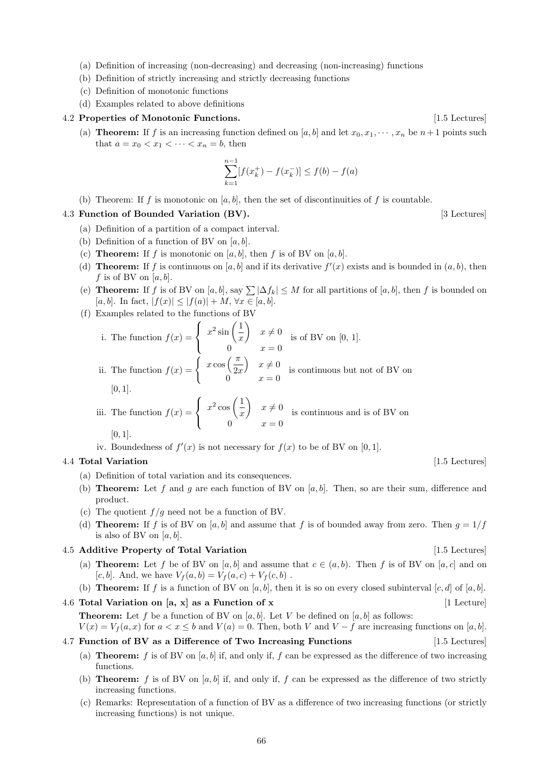- (a) Definition of increasing (non-decreasing) and decreasing (non-increasing) functions
- (b) Definition of strictly increasing and strictly decreasing functions
- (c) Definition of monotonic functions
- (d) Examples related to above definitions

### 4.2 Properties of Monotonic Functions. [1.5 Lectures]

(a) **Theorem:** If f is an increasing function defined on [a, b] and let  $x_0, x_1, \dots, x_n$  be  $n+1$  points such that  $a = x_0 < x_1 < \cdots < x_n = b$ , then

$$
\sum_{k=1}^{n-1} [f(x_k^+) - f(x_k^-)] \le f(b) - f(a)
$$

(b) Theorem: If f is monotonic on [a, b], then the set of discontinuities of f is countable.

### 4.3 Function of Bounded Variation (BV). [3 Lectures]

- (a) Definition of a partition of a compact interval.
- (b) Definition of a function of BV on  $[a, b]$ .
- (c) **Theorem:** If f is monotonic on [a, b], then f is of BV on [a, b].
- (d) **Theorem:** If f is continuous on [a, b] and if its derivative  $f'(x)$  exists and is bounded in  $(a, b)$ , then f is of BV on  $[a, b]$ .
- (e) Theorem: If f is of BV on [a, b], say  $\sum |\Delta f_k| \leq M$  for all partitions of [a, b], then f is bounded on [a, b]. In fact,  $|f(x)| \leq |f(a)| + M$ ,  $\forall x \in [a, b]$ .
- (f) Examples related to the functions of BV

i. The function 
$$
f(x) = \begin{cases} x^2 \sin(\frac{1}{x}) & x \neq 0 \\ 0 & x = 0 \end{cases}
$$
 is of BV on [0, 1].  
ii. The function  $f(x) = \begin{cases} x \cos(\frac{\pi}{2x}) & x \neq 0 \\ \end{cases}$  is continuous but not of BV on

ii. The function 
$$
f(x) = \begin{cases} \cos \sqrt{2x} & \sin \sqrt{2x} \\ 0 & x = 0 \end{cases}
$$
 is continuous but not of BV on [0, 1].

iii. The function 
$$
f(x) = \begin{cases} x^2 \cos(\frac{1}{x}) & x \neq 0 \\ 0 & x = 0 \end{cases}
$$
 is continuous and is of BV on [0, 1].

iv. Boundedness of  $f'(x)$  is not necessary for  $f(x)$  to be of BV on [0, 1].

## 4.4 Total Variation [1.5 Lectures] [1.5 Lectures]

- (a) Definition of total variation and its consequences.
- (b) **Theorem:** Let f and g are each function of BV on  $[a, b]$ . Then, so are their sum, difference and product.
- (c) The quotient  $f/g$  need not be a function of BV.
- (d) **Theorem:** If f is of BV on [a, b] and assume that f is of bounded away from zero. Then  $g = 1/f$ is also of BV on  $[a, b]$ .

## 4.5 Additive Property of Total Variation [1.5 Lectures] [1.5 Lectures]

- (a) **Theorem:** Let f be of BV on [a, b] and assume that  $c \in (a, b)$ . Then f is of BV on [a, c] and on [c, b]. And, we have  $V_f(a, b) = V_f(a, c) + V_f(c, b)$ .
- (b) **Theorem:** If f is a function of BV on  $[a, b]$ , then it is so on every closed subinterval  $[c, d]$  of  $[a, b]$ .
- 4.6 Total Variation on [a, x] as a Function of x [1 Lecture] **Theorem:** Let f be a function of BV on  $[a, b]$ . Let V be defined on  $[a, b]$  as follows:
	- $V(x) = V_f(a, x)$  for  $a < x \le b$  and  $V(a) = 0$ . Then, both V and  $V f$  are increasing functions on [a, b].

## 4.7 Function of BV as a Difference of Two Increasing Functions [1.5 Lectures]

- (a) **Theorem:** f is of BV on [a, b] if, and only if, f can be expressed as the difference of two increasing functions.
- (b) **Theorem:** f is of BV on  $[a, b]$  if, and only if, f can be expressed as the difference of two strictly increasing functions.
- (c) Remarks: Representation of a function of BV as a difference of two increasing functions (or strictly increasing functions) is not unique.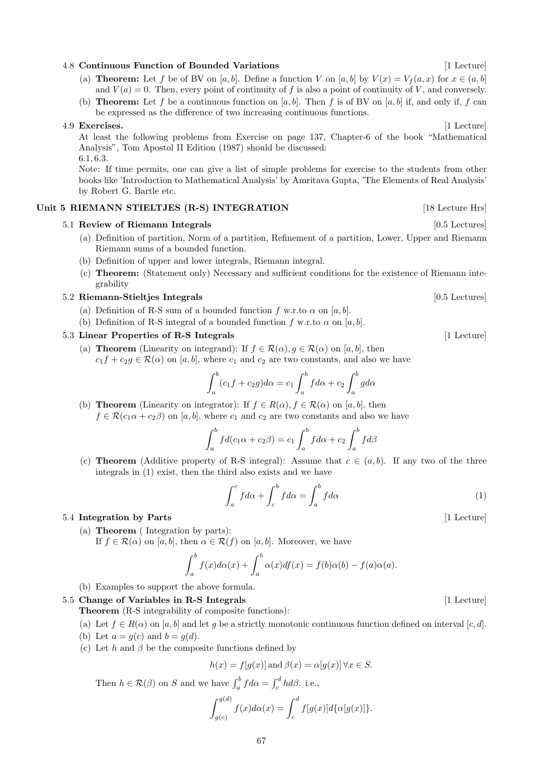## 4.8 Continuous Function of Bounded Variations [1 Lecture] [1 Lecture]

- (a) **Theorem:** Let f be of BV on [a, b]. Define a function V on [a, b] by  $V(x) = V_f(a, x)$  for  $x \in (a, b]$ and  $V(a) = 0$ . Then, every point of continuity of f is also a point of continuity of V, and conversely.
- (b) **Theorem:** Let f be a continuous function on [a, b]. Then f is of BV on [a, b] if, and only if, f can be expressed as the difference of two increasing continuous functions.

### 4.9 Exercises. [1 Lecture]

At least the following problems from Exercise on page 137, Chapter-6 of the book "Mathematical Analysis", Tom Apostol II Edition (1987) should be discussed: 6.1, 6.3.

Note: If time permits, one can give a list of simple problems for exercise to the students from other books like 'Introduction to Mathematical Analysis' by Amritava Gupta, 'The Elements of Real Analysis' by Robert G. Bartle etc.

## Unit 5 RIEMANN STIELTJES (R-S) INTEGRATION [18 Lecture Hrs]

## 5.1 Review of Riemann Integrals [0.5 Lectures] [0.5 Lectures]

- (a) Definition of partition, Norm of a partition, Refinement of a partition, Lower, Upper and Riemann Riemann sums of a bounded function.
- (b) Definition of upper and lower integrals, Riemann integral.
- (c) Theorem: (Statement only) Necessary and sufficient conditions for the existence of Riemann integrability

## 5.2 Riemann-Stieltjes Integrals [0.5 Lectures]

(a) Definition of R-S sum of a bounded function f w.r.to  $\alpha$  on [a, b].

 $\overline{L}$ 

(b) Definition of R-S integral of a bounded function f w.r.to  $\alpha$  on [a, b].

## 5.3 Linear Properties of R-S Integrals [1 Lecture] [1 Lecture]

(a) **Theorem** (Linearity on integrand): If  $f \in \mathcal{R}(\alpha)$ ,  $g \in \mathcal{R}(\alpha)$  on [a, b], then  $c_1f + c_2g \in \mathcal{R}(\alpha)$  on [a, b], where  $c_1$  and  $c_2$  are two constants, and also we have

$$
\int_{a}^{b} (c_1 f + c_2 g) d\alpha = c_1 \int_{a}^{b} f d\alpha + c_2 \int_{a}^{b} g d\alpha
$$

(b) **Theorem** (Linearity on integrator): If  $f \in R(\alpha)$ ,  $f \in \mathcal{R}(\alpha)$  on [a, b], then  $f \in \mathcal{R}(c_1\alpha + c_2\beta)$  on [a, b], where  $c_1$  and  $c_2$  are two constants and also we have

$$
\int_{a}^{b} f d(c_1 \alpha + c_2 \beta) = c_1 \int_{a}^{b} f d\alpha + c_2 \int_{a}^{b} f d\beta
$$

(c) **Theorem** (Additive property of R-S integral): Assume that  $c \in (a, b)$ . If any two of the three integrals in (1) exist, then the third also exists and we have

$$
\int_{a}^{c} f d\alpha + \int_{c}^{b} f d\alpha = \int_{a}^{b} f d\alpha \tag{1}
$$

 $\overline{L}$ 

### 5.4 Integration by Parts [1 Lecture]

(a) Theorem ( Integration by parts):

If  $f \in \mathcal{R}(\alpha)$  on  $[a, b]$ , then  $\alpha \in \mathcal{R}(f)$  on  $[a, b]$ . Moreover, we have

$$
\int_a^b f(x)d\alpha(x) + \int_a^b \alpha(x)df(x) = f(b)\alpha(b) - f(a)\alpha(a).
$$

(b) Examples to support the above formula.

#### 5.5 Change of Variables in R-S Integrals [1 Lecture] [1 Lecture]

Theorem (R-S integrability of composite functions):

- (a) Let  $f \in R(\alpha)$  on [a, b] and let g be a strictly monotonic continuous function defined on interval [c, d].
- (b) Let  $a = g(c)$  and  $b = g(d)$ .
- (c) Let h and  $\beta$  be the composite functions defined by

$$
h(x) = f[g(x)] \text{ and } \beta(x) = \alpha[g(x)] \,\forall x \in S.
$$

Then  $h \in \mathcal{R}(\beta)$  on S and we have  $\int_a^b f d\alpha = \int_c^d h d\beta$ . i.e.,

$$
\int_{g(c)}^{g(d)} f(x)d\alpha(x) = \int_c^d f[g(x)]d\{\alpha[g(x)]\}.
$$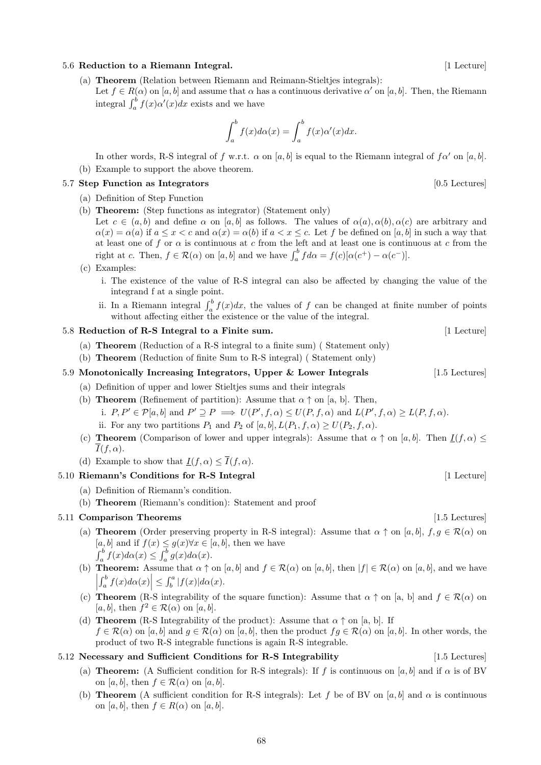### 68

## 5.6 Reduction to a Riemann Integral. [1 Lecture] [1 Lecture]

- (a) Theorem (Relation between Riemann and Reimann-Stieltjes integrals):
	- Let  $f \in R(\alpha)$  on [a, b] and assume that  $\alpha$  has a continuous derivative  $\alpha'$  on [a, b]. Then, the Riemann integral  $\int_a^b f(x) \alpha'(x) dx$  exists and we have

$$
\int_a^b f(x)d\alpha(x) = \int_a^b f(x)\alpha'(x)dx.
$$

In other words, R-S integral of f w.r.t.  $\alpha$  on [a, b] is equal to the Riemann integral of  $f\alpha'$  on [a, b].

(b) Example to support the above theorem.

## 5.7 Step Function as Integrators [0.5 Lectures] [0.5 Lectures]

- (a) Definition of Step Function
- (b) Theorem: (Step functions as integrator) (Statement only)
	- Let  $c \in (a, b)$  and define  $\alpha$  on [a, b] as follows. The values of  $\alpha(a), \alpha(b), \alpha(c)$  are arbitrary and  $\alpha(x) = \alpha(a)$  if  $a \leq x < c$  and  $\alpha(x) = \alpha(b)$  if  $a < x \leq c$ . Let f be defined on [a, b] in such a way that at least one of f or  $\alpha$  is continuous at c from the left and at least one is continuous at c from the right at c. Then,  $f \in \mathcal{R}(\alpha)$  on  $[a, b]$  and we have  $\int_a^b f d\alpha = f(c)[\alpha(c^+) - \alpha(c^-)].$
- (c) Examples:
	- i. The existence of the value of R-S integral can also be affected by changing the value of the integrand f at a single point.
	- ii. In a Riemann integral  $\int_a^b f(x)dx$ , the values of f can be changed at finite number of points without affecting either the existence or the value of the integral.

## 5.8 Reduction of R-S Integral to a Finite sum. [1 Lecture]

- (a) Theorem (Reduction of a R-S integral to a finite sum) ( Statement only)
- (b) Theorem (Reduction of finite Sum to R-S integral) ( Statement only)

# 5.9 Monotonically Increasing Integrators, Upper & Lower Integrals [1.5 Lectures]

- (a) Definition of upper and lower Stieltjes sums and their integrals
- (b) **Theorem** (Refinement of partition): Assume that  $\alpha \uparrow$  on [a, b]. Then,
	- i.  $P, P' \in \mathcal{P}[a, b]$  and  $P' \supseteq P \implies U(P', f, \alpha) \leq U(P, f, \alpha)$  and  $L(P', f, \alpha) \geq L(P, f, \alpha)$ .
	- ii. For any two partitions  $P_1$  and  $P_2$  of [a, b],  $L(P_1, f, \alpha) > U(P_2, f, \alpha)$ .
- (c) **Theorem** (Comparison of lower and upper integrals): Assume that  $\alpha \uparrow$  on [a, b]. Then  $I(f, \alpha) \leq$  $I(f,\alpha)$ .
- (d) Example to show that  $I(f, \alpha) < \overline{I}(f, \alpha)$ .

## 5.10 Riemann's Conditions for R-S Integral [1 Lecture] [1 Lecture]

- (a) Definition of Riemann's condition.
- (b) Theorem (Riemann's condition): Statement and proof

# 5.11 **Comparison Theorems** [1.5 Lectures] [1.5 Lectures]

- (a) **Theorem** (Order preserving property in R-S integral): Assume that  $\alpha \uparrow$  on [a, b],  $f, g \in \mathcal{R}(\alpha)$  on  $[a, b]$  and if  $f(x) \leq g(x) \forall x \in [a, b]$ , then we have  $\int_a^b f(x) d\alpha(x) \leq \int_a^b g(x) d\alpha(x).$
- (b) **Theorem:** Assume that  $\alpha \uparrow$  on [a, b] and  $f \in \mathcal{R}(\alpha)$  on [a, b], then  $|f| \in \mathcal{R}(\alpha)$  on [a, b], and we have  $\begin{array}{c} \begin{array}{c} \begin{array}{c} \end{array} \\ \begin{array}{c} \end{array} \end{array} \end{array}$  $\left| \int_a^b f(x) d\alpha(x) \right| \leq \int_b^a |f(x)| d\alpha(x).$
- (c) Theorem (R-S integrability of the square function): Assume that  $\alpha \uparrow$  on [a, b] and  $f \in \mathcal{R}(\alpha)$  on [a, b], then  $f^2 \in \mathcal{R}(\alpha)$  on [a, b].
- (d) **Theorem** (R-S Integrability of the product): Assume that  $\alpha \uparrow$  on [a, b]. If  $f \in \mathcal{R}(\alpha)$  on [a, b] and  $q \in \mathcal{R}(\alpha)$  on [a, b], then the product  $fq \in \mathcal{R}(\alpha)$  on [a, b]. In other words, the product of two R-S integrable functions is again R-S integrable.

# 5.12 Necessary and Sufficient Conditions for R-S Integrability [1.5 Lectures]

- (a) Theorem: (A Sufficient condition for R-S integrals): If f is continuous on [a, b] and if  $\alpha$  is of BV on [a, b], then  $f \in \mathcal{R}(\alpha)$  on [a, b].
- (b) Theorem (A sufficient condition for R-S integrals): Let f be of BV on [a, b] and  $\alpha$  is continuous on [a, b], then  $f \in R(\alpha)$  on [a, b].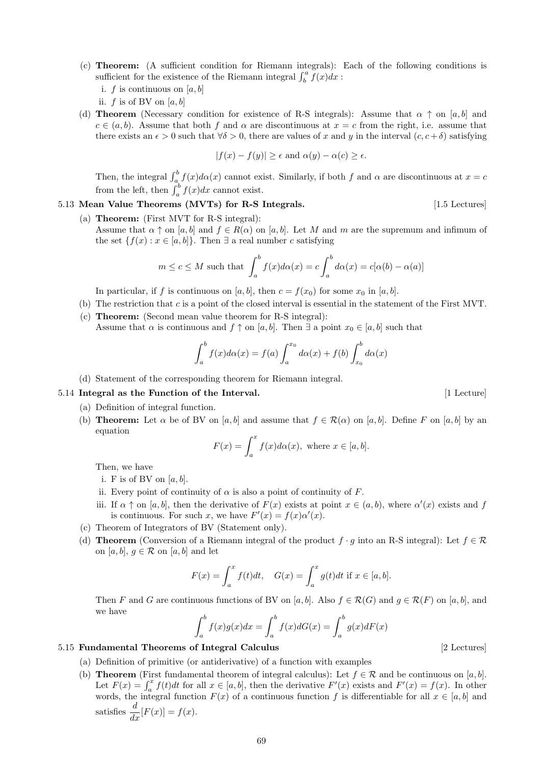- (c) Theorem: (A sufficient condition for Riemann integrals): Each of the following conditions is sufficient for the existence of the Riemann integral  $\int_b^a \breve{f}(x)dx$ :
	- i. f is continuous on  $[a, b]$
	- ii.  $f$  is of BV on  $[a, b]$
- (d) **Theorem** (Necessary condition for existence of R-S integrals): Assume that  $\alpha \uparrow$  on [a, b] and  $c \in (a, b)$ . Assume that both f and  $\alpha$  are discontinuous at  $x = c$  from the right, i.e. assume that there exists an  $\epsilon > 0$  such that  $\forall \delta > 0$ , there are values of x and y in the interval  $(c, c + \delta)$  satisfying

$$
|f(x) - f(y)| \ge \epsilon \text{ and } \alpha(y) - \alpha(c) \ge \epsilon.
$$

Then, the integral  $\int_a^b f(x)d\alpha(x)$  cannot exist. Similarly, if both f and  $\alpha$  are discontinuous at  $x = c$ from the left, then  $\int_a^b f(x)dx$  cannot exist.

- 5.13 Mean Value Theorems (MVTs) for R-S Integrals. [1.5 Lectures] [1.5 Lectures]
	- (a) Theorem: (First MVT for R-S integral):

Assume that  $\alpha \uparrow$  on [a, b] and  $f \in R(\alpha)$  on [a, b]. Let M and m are the supremum and infimum of the set  $\{f(x) : x \in [a, b]\}.$  Then  $\exists$  a real number c satisfying

$$
m \le c \le M
$$
 such that  $\int_a^b f(x)d\alpha(x) = c \int_a^b d\alpha(x) = c[\alpha(b) - \alpha(a)]$ 

In particular, if f is continuous on [a, b], then  $c = f(x_0)$  for some  $x_0$  in [a, b].

- (b) The restriction that c is a point of the closed interval is essential in the statement of the First MVT.
- (c) Theorem: (Second mean value theorem for R-S integral): Assume that  $\alpha$  is continuous and  $f \uparrow$  on [a, b]. Then  $\exists$  a point  $x_0 \in [a, b]$  such that

$$
\int_a^b f(x)d\alpha(x) = f(a)\int_a^{x_0} d\alpha(x) + f(b)\int_{x_0}^b d\alpha(x)
$$

(d) Statement of the corresponding theorem for Riemann integral.

## 5.14 Integral as the Function of the Interval. [1 Lecture] [1 Lecture]

- (a) Definition of integral function.
- (b) **Theorem:** Let  $\alpha$  be of BV on [a, b] and assume that  $f \in \mathcal{R}(\alpha)$  on [a, b]. Define F on [a, b] by an equation

$$
F(x) = \int_{a}^{x} f(x) d\alpha(x), \text{ where } x \in [a, b].
$$

Then, we have

- i. F is of BV on  $[a, b]$ .
- ii. Every point of continuity of  $\alpha$  is also a point of continuity of F.
- iii. If  $\alpha \uparrow$  on [a, b], then the derivative of  $F(x)$  exists at point  $x \in (a, b)$ , where  $\alpha'(x)$  exists and f is continuous. For such x, we have  $F'(x) = f(x)\alpha'(x)$ .
- (c) Theorem of Integrators of BV (Statement only).
- (d) **Theorem** (Conversion of a Riemann integral of the product  $f \cdot g$  into an R-S integral): Let  $f \in \mathcal{R}$ on  $[a, b], g \in \mathcal{R}$  on  $[a, b]$  and let

$$
F(x) = \int_a^x f(t)dt, \quad G(x) = \int_a^x g(t)dt \text{ if } x \in [a, b].
$$

Then F and G are continuous functions of BV on [a, b]. Also  $f \in \mathcal{R}(G)$  and  $g \in \mathcal{R}(F)$  on [a, b], and we have

$$
\int_a^b f(x)g(x)dx = \int_a^b f(x)dG(x) = \int_a^b g(x)dF(x)
$$

### 5.15 Fundamental Theorems of Integral Calculus [2 Lectures]

- (a) Definition of primitive (or antiderivative) of a function with examples
- (b) **Theorem** (First fundamental theorem of integral calculus): Let  $f \in \mathcal{R}$  and be continuous on [a, b]. Let  $F(x) = \int_a^x f(t)dt$  for all  $x \in [a, b]$ , then the derivative  $F'(x)$  exists and  $F'(x) = f(x)$ . In other words, the integral function  $F(x)$  of a continuous function f is differentiable for all  $x \in [a, b]$  and satisfies  $\frac{d}{dx}[F(x)] = f(x)$ .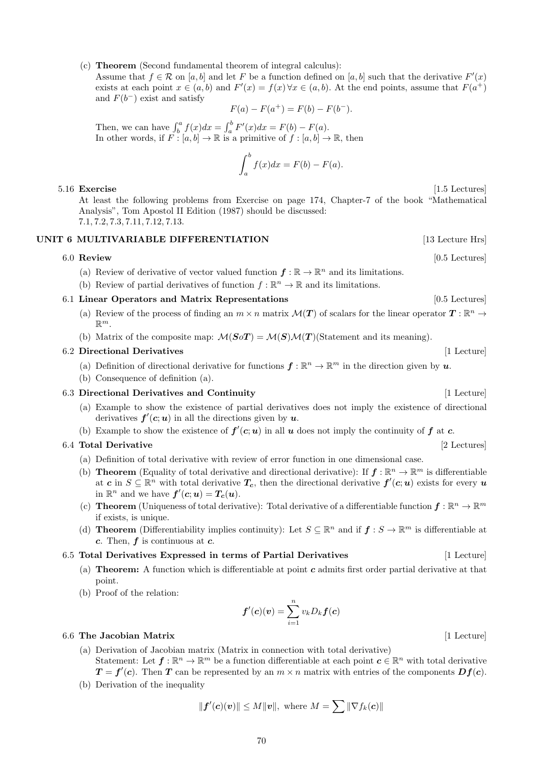70

(c) Theorem (Second fundamental theorem of integral calculus):

Assume that  $f \in \mathcal{R}$  on  $[a, b]$  and let F be a function defined on  $[a, b]$  such that the derivative  $F'(x)$ exists at each point  $x \in (a, b)$  and  $F'(x) = f(x) \forall x \in (a, b)$ . At the end points, assume that  $F(a^+)$ and  $F(b^-)$  exist and satisfy

$$
F(a) - F(a^+) = F(b) - F(b^-).
$$

Then, we can have  $\int_b^a f(x)dx = \int_a^b F'(x)dx = F(b) - F(a)$ . In other words, if  $F : [a, b] \to \mathbb{R}$  is a primitive of  $f : [a, b] \to \mathbb{R}$ , then

$$
\int_{a}^{b} f(x)dx = F(b) - F(a).
$$

### 5.16 Exercise [1.5 Lectures]

At least the following problems from Exercise on page 174, Chapter-7 of the book "Mathematical Analysis", Tom Apostol II Edition (1987) should be discussed: 7.1, 7.2, 7.3, 7.11, 7.12, 7.13.

## UNIT 6 MULTIVARIABLE DIFFERENTIATION [13 Lecture Hrs]

(a) Review of derivative of vector valued function  $f : \mathbb{R} \to \mathbb{R}^n$  and its limitations.

(b) Review of partial derivatives of function  $f : \mathbb{R}^n \to \mathbb{R}$  and its limitations.

# 6.1 Linear Operators and Matrix Representations [0.5 Lectures] [0.5 Lectures]

- (a) Review of the process of finding an  $m \times n$  matrix  $\mathcal{M}(T)$  of scalars for the linear operator  $T : \mathbb{R}^n \to$  $\mathbb{R}^m$ .
- (b) Matrix of the composite map:  $\mathcal{M}(S \circ T) = \mathcal{M}(S) \mathcal{M}(T)$  (Statement and its meaning).

## 6.2 Directional Derivatives [1 Lecture]

- (a) Definition of directional derivative for functions  $\mathbf{f} : \mathbb{R}^n \to \mathbb{R}^m$  in the direction given by  $\mathbf{u}$ .
- (b) Consequence of definition (a).

## 6.3 Directional Derivatives and Continuity [1 Lecture] [1 Lecture]

- (a) Example to show the existence of partial derivatives does not imply the existence of directional derivatives  $f'(c;u)$  in all the directions given by  $u$ .
- (b) Example to show the existence of  $f'(c;u)$  in all u does not imply the continuity of f at c.

## 6.4 Total Derivative [2 Lectures]

- (a) Definition of total derivative with review of error function in one dimensional case.
- (b) **Theorem** (Equality of total derivative and directional derivative): If  $f : \mathbb{R}^n \to \mathbb{R}^m$  is differentiable at  $c$  in  $S \subseteq \mathbb{R}^n$  with total derivative  $T_c$ , then the directional derivative  $f'(c;u)$  exists for every u in  $\mathbb{R}^n$  and we have  $f'(c;u) = T_c(u)$ .
- (c) **Theorem** (Uniqueness of total derivative): Total derivative of a differentiable function  $f : \mathbb{R}^n \to \mathbb{R}^m$ if exists, is unique.
- (d) **Theorem** (Differentiability implies continuity): Let  $S \subseteq \mathbb{R}^n$  and if  $f : S \to \mathbb{R}^m$  is differentiable at c. Then,  $f$  is continuous at  $c$ .

#### $6.5$  Total Derivatives Expressed in terms of Partial Derivatives

- (a) **Theorem:** A function which is differentiable at point  $c$  admits first order partial derivative at that point.
- (b) Proof of the relation:

### 6.6 The Jacobian Matrix [1 Lecture] [1 Lecture]

(a) Derivation of Jacobian matrix (Matrix in connection with total derivative) Statement: Let  $f: \mathbb{R}^n \to \mathbb{R}^m$  be a function differentiable at each point  $c \in \mathbb{R}^n$  with total derivative  $T = f'(c)$ . Then T can be represented by an  $m \times n$  matrix with entries of the components  $Df(c)$ .

 $\boldsymbol{f}'(\boldsymbol{c})(\boldsymbol{v})=\sum^{n}_{n}% \boldsymbol{v}^{T}(\boldsymbol{c})\left(\boldsymbol{v}^{\prime}\right)^{-1}e^{-i\boldsymbol{f}(\boldsymbol{c})}\left(\boldsymbol{v}^{\prime}\right)^{-1}\boldsymbol{v}$ 

(b) Derivation of the inequality

$$
\|\mathbf{f}'(\mathbf{c})(\mathbf{v})\| \le M \|\mathbf{v}\|, \text{ where } M = \sum \|\nabla f_k(\mathbf{c})\|
$$

 $i=1$ 

 $v_kD_k\boldsymbol f(\boldsymbol c)$ 

6.0 Review [0.5 Lectures]

$$
[4, 7, 4, 1]
$$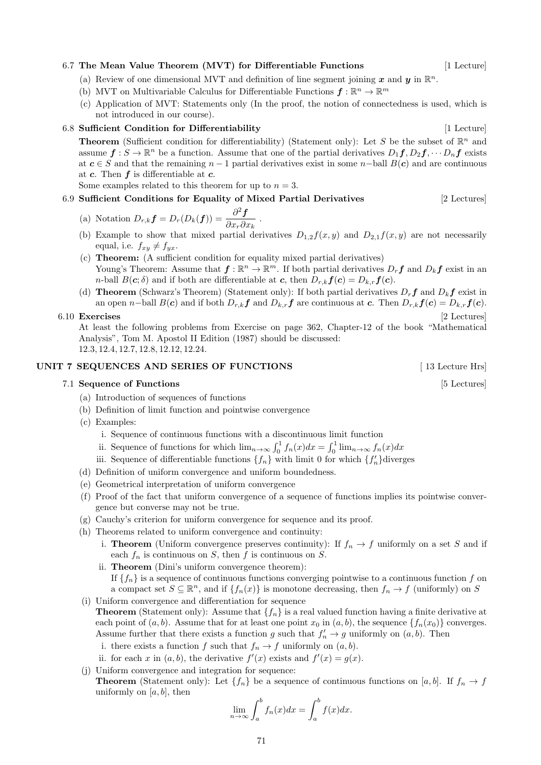#### 6.7 The Mean Value Theorem (MVT) for Differentiable Functions [1 Lecture]

- (a) Review of one dimensional MVT and definition of line segment joining x and y in  $\mathbb{R}^n$ .
- (b) MVT on Multivariable Calculus for Differentiable Functions  $f: \mathbb{R}^n \to \mathbb{R}^m$
- (c) Application of MVT: Statements only (In the proof, the notion of connectedness is used, which is not introduced in our course).

#### 6.8 Sufficient Condition for Differentiability [1 Lecture] [1 Lecture]

**Theorem** (Sufficient condition for differentiability) (Statement only): Let S be the subset of  $\mathbb{R}^n$  and assume  $\mathbf{f}: S \to \mathbb{R}^n$  be a function. Assume that one of the partial derivatives  $D_1\mathbf{f}, D_2\mathbf{f}, \cdots D_n\mathbf{f}$  exists at  $c \in S$  and that the remaining  $n-1$  partial derivatives exist in some n-ball  $B(c)$  and are continuous at  $c$ . Then  $f$  is differentiable at  $c$ .

Some examples related to this theorem for up to  $n = 3$ .

#### 6.9 Sufficient Conditions for Equality of Mixed Partial Derivatives [2 Lectures]

(a) Notation 
$$
D_{r,k}f = D_r(D_k(f)) = \frac{\partial^2 f}{\partial x_r \partial x_k}
$$

(b) Example to show that mixed partial derivatives  $D_{1,2}f(x, y)$  and  $D_{2,1}f(x, y)$  are not necessarily equal, i.e.  $f_{xy} \neq f_{yx}$ .

.

- (c) Theorem: (A sufficient condition for equality mixed partial derivatives) Young's Theorem: Assume that  $f: \mathbb{R}^n \to \mathbb{R}^m$ . If both partial derivatives  $D_r f$  and  $D_k f$  exist in an *n*-ball  $B(c; \delta)$  and if both are differentiable at c, then  $D_{r,k}f(c) = D_{k,r}f(c)$ .
- (d) **Theorem** (Schwarz's Theorem) (Statement only): If both partial derivatives  $D_r f$  and  $D_k f$  exist in an open n–ball  $B(c)$  and if both  $D_{r,k}f$  and  $D_{k,r}f$  are continuous at c. Then  $D_{r,k}f(c) = D_{k,r}f(c)$ .

#### 6.10 Exercises [2 Lectures]

At least the following problems from Exercise on page 362, Chapter-12 of the book "Mathematical Analysis", Tom M. Apostol II Edition (1987) should be discussed: 12.3, 12.4, 12.7, 12.8, 12.12, 12.24.

#### UNIT 7 SEQUENCES AND SERIES OF FUNCTIONS [13 Lecture Hrs]

#### 7.1 Sequence of Functions [5 Lectures]

- (a) Introduction of sequences of functions
- (b) Definition of limit function and pointwise convergence
- (c) Examples:
	- i. Sequence of continuous functions with a discontinuous limit function
	- ii. Sequence of functions for which  $\lim_{n\to\infty} \int_0^1 f_n(x)dx = \int_0^1 \lim_{n\to\infty} f_n(x)dx$
	- iii. Sequence of differentiable functions  $\{f_n\}$  with limit 0 for which  $\{f'_n\}$  diverges
- (d) Definition of uniform convergence and uniform boundedness.
- (e) Geometrical interpretation of uniform convergence
- (f) Proof of the fact that uniform convergence of a sequence of functions implies its pointwise convergence but converse may not be true.
- (g) Cauchy's criterion for uniform convergence for sequence and its proof.
- (h) Theorems related to uniform convergence and continuity:
	- i. **Theorem** (Uniform convergence preserves continuity): If  $f_n \to f$  uniformly on a set S and if each  $f_n$  is continuous on S, then f is continuous on S.
	- ii. Theorem (Dini's uniform convergence theorem): If  ${f_n}$  is a sequence of continuous functions converging pointwise to a continuous function f on a compact set  $S \subseteq \mathbb{R}^n$ , and if  $\{f_n(x)\}\$ is monotone decreasing, then  $f_n \to f$  (uniformly) on S
- (i) Uniform convergence and differentiation for sequence
- **Theorem** (Statement only): Assume that  $\{f_n\}$  is a real valued function having a finite derivative at each point of  $(a, b)$ . Assume that for at least one point  $x_0$  in  $(a, b)$ , the sequence  $\{f_n(x_0)\}$  converges. Assume further that there exists a function g such that  $f'_n \to g$  uniformly on  $(a, b)$ . Then
	- i. there exists a function f such that  $f_n \to f$  uniformly on  $(a, b)$ .
	- ii. for each x in  $(a, b)$ , the derivative  $f'(x)$  exists and  $f'(x) = g(x)$ .
- (j) Uniform convergence and integration for sequence:
- **Theorem** (Statement only): Let  $\{f_n\}$  be a sequence of continuous functions on [a, b]. If  $f_n \to f$ uniformly on  $[a, b]$ , then

$$
\lim_{n \to \infty} \int_{a}^{b} f_n(x) dx = \int_{a}^{b} f(x) dx.
$$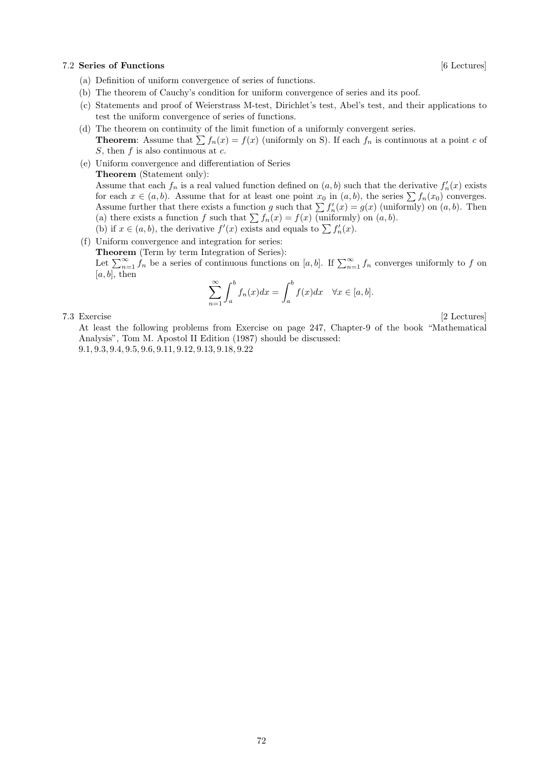#### 7.2 Series of Functions [6 Lectures]

- (a) Definition of uniform convergence of series of functions.
- (b) The theorem of Cauchy's condition for uniform convergence of series and its poof.
- (c) Statements and proof of Weierstrass M-test, Dirichlet's test, Abel's test, and their applications to test the uniform convergence of series of functions.
- (d) The theorem on continuity of the limit function of a uniformly convergent series. **Theorem:** Assume that  $\sum f_n(x) = f(x)$  (uniformly on S). If each  $f_n$  is continuous at a point c of S, then  $f$  is also continuous at  $c$ .
- (e) Uniform convergence and differentiation of Series Theorem (Statement only): Assume that each  $f_n$  is a real valued function defined on  $(a, b)$  such that the derivative  $f'_n(x)$  exists for each  $x \in (a, b)$ . Assume that for at least one point  $x_0$  in  $(a, b)$ , the series  $\sum f_n(x_0)$  converges. Assume further that there exists a function g such that  $\sum f'_n(x) = g(x)$  (uniformly) on  $(a, b)$ . Then (a) there exists a function f such that  $\sum f_n(x) = f(x)$  (uniformly) on  $(a, b)$ .
	- (b) if  $x \in (a, b)$ , the derivative  $f'(x)$  exists and equals to  $\sum f'_n(x)$ .
- (f) Uniform convergence and integration for series: Theorem (Term by term Integration of Series):

Let  $\sum_{n=1}^{\infty} f_n$  be a series of continuous functions on [a, b]. If  $\sum_{n=1}^{\infty} f_n$  converges uniformly to f on  $[a, b]$ , then

$$
\sum_{n=1}^{\infty} \int_{a}^{b} f_n(x) dx = \int_{a}^{b} f(x) dx \quad \forall x \in [a, b].
$$

7.3 Exercise [2 Lectures]

At least the following problems from Exercise on page 247, Chapter-9 of the book "Mathematical Analysis", Tom M. Apostol II Edition (1987) should be discussed: 9.1, 9.3, 9.4, 9.5, 9.6, 9.11, 9.12, 9.13, 9.18, 9.22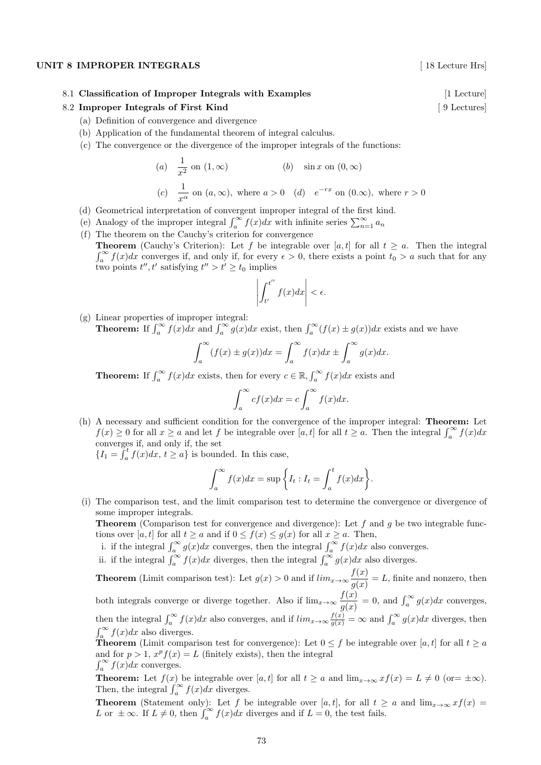#### UNIT 8 IMPROPER INTEGRALS [18 Lecture Hrs]

8.1 Classification of Improper Integrals with Examples [1 Lecture] [1 Lecture]

#### 8.2 Improper Integrals of First Kind [ 9 Lectures]

- (a) Definition of convergence and divergence
- (b) Application of the fundamental theorem of integral calculus.
- (c) The convergence or the divergence of the improper integrals of the functions:

(a) 
$$
\frac{1}{x^2}
$$
 on  $(1, \infty)$    
\n(b)  $\sin x$  on  $(0, \infty)$   
\n(c)  $\frac{1}{x^{\alpha}}$  on  $(a, \infty)$ , where  $a > 0$    
\n(d)  $e^{-rx}$  on  $(0, \infty)$ , where  $r > 0$ 

- (d) Geometrical interpretation of convergent improper integral of the first kind.
- (e) Analogy of the improper integral  $\int_a^{\infty} f(x)dx$  with infinite series  $\sum_{n=1}^{\infty} a_n$
- (f) The theorem on the Cauchy's criterion for convergence

**Theorem** (Cauchy's Criterion): Let f be integrable over [a, t] for all  $t \ge a$ . Then the integral  $\int_a^{\infty} f(x)dx$  converges if, and only if, for every  $\epsilon > 0$ , there exists a point  $t_0 > a$  such that for any two points  $t'', t'$  satisfying  $t'' > t' \geq t_0$  implies

$$
\left| \int_{t'}^{t''} f(x) dx \right| < \epsilon.
$$

(g) Linear properties of improper integral: **Theorem:** If  $\int_a^{\infty} f(x)dx$  and  $\int_a^{\infty} g(x)dx$  exist, then  $\int_a^{\infty} (f(x) \pm g(x))dx$  exists and we have

$$
\int_{a}^{\infty} (f(x) \pm g(x)) dx = \int_{a}^{\infty} f(x) dx \pm \int_{a}^{\infty} g(x) dx.
$$

**Theorem:** If  $\int_a^{\infty} f(x)dx$  exists, then for every  $c \in \mathbb{R}$ ,  $\int_a^{\infty} f(x)dx$  exists and

$$
\int_{a}^{\infty} cf(x)dx = c \int_{a}^{\infty} f(x)dx.
$$

(h) A necessary and sufficient condition for the convergence of the improper integral: Theorem: Let  $f(x) \geq 0$  for all  $x \geq a$  and let f be integrable over  $[a, t]$  for all  $t \geq a$ . Then the integral  $\int_a^{\infty} f(x) dx$ converges if, and only if, the set

 ${I_1 = \int_a^t f(x)dx, t \ge a}$  is bounded. In this case,

$$
\int_{a}^{\infty} f(x)dx = \sup \left\{ I_{t} : I_{t} = \int_{a}^{t} f(x)dx \right\}.
$$

(i) The comparison test, and the limit comparison test to determine the convergence or divergence of some improper integrals.

**Theorem** (Comparison test for convergence and divergence): Let  $f$  and  $g$  be two integrable functions over [a, t] for all  $t \ge a$  and if  $0 \le f(x) \le g(x)$  for all  $x \ge a$ . Then,

- i. if the integral  $\int_a^{\infty} g(x)dx$  converges, then the integral  $\int_a^{\infty} f(x)dx$  also converges.
- ii. if the integral  $\int_a^{\infty} f(x)dx$  diverges, then the integral  $\int_a^{\infty} g(x)dx$  also diverges.

**Theorem** (Limit comparison test): Let  $g(x) > 0$  and if  $\lim_{x \to \infty} \frac{f(x)}{g(x)}$  $\frac{f(x)}{g(x)} = L$ , finite and nonzero, then both integrals converge or diverge together. Also if  $\lim_{x\to\infty} \frac{f(x)}{f(x)}$  $\frac{f(x)}{g(x)} = 0$ , and  $\int_a^{\infty} g(x) dx$  converges, then the integral  $\int_a^{\infty} f(x)dx$  also converges, and if  $\lim_{x\to\infty} \frac{f(x)}{g(x)} = \infty$  and  $\int_a^{\infty} g(x)dx$  diverges, then  $f(x)$  $\int_a^{\infty} f(x)dx$  also diverges.

**Theorem** (Limit comparison test for convergence): Let  $0 \leq f$  be integrable over [a, t] for all  $t \geq a$ and for  $p > 1$ ,  $x^p f(x) = L$  (finitely exists), then the integral  $\int_a^{\infty} f(x)dx$  converges.

**Theorem:** Let  $f(x)$  be integrable over [a, t] for all  $t \ge a$  and  $\lim_{x \to \infty} x f(x) = L \ne 0$  (or=  $\pm \infty$ ). Then, the integral  $\int_{a}^{\infty} f(x)dx$  diverges.

**Theorem** (Statement only): Let f be integrable over [a, t], for all  $t \ge a$  and  $\lim_{x\to\infty} x f(x) =$ L or  $\pm \infty$ . If  $L \neq 0$ , then  $\int_{a}^{\infty} f(x)dx$  diverges and if  $L = 0$ , the test fails.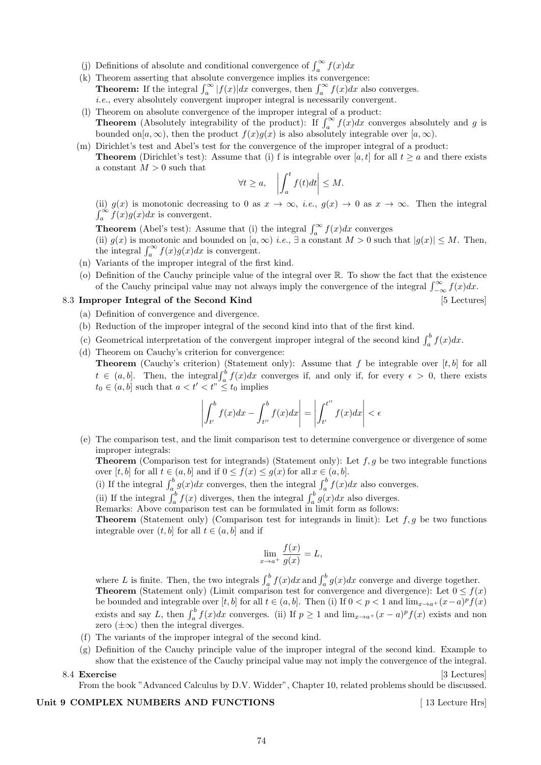- (j) Definitions of absolute and conditional convergence of  $\int_a^{\infty} f(x) dx$
- (k) Theorem asserting that absolute convergence implies its convergence: **Theorem:** If the integral  $\int_a^{\infty} |f(x)|dx$  converges, then  $\int_a^{\infty} f(x)dx$  also converges. i.e., every absolutely convergent improper integral is necessarily convergent.
- (l) Theorem on absolute convergence of the improper integral of a product: **Theorem** (Absolutely integrability of the product): If  $\int_{a}^{\infty} f(x)dx$  converges absolutely and g is bounded on[a, ∞), then the product  $f(x)g(x)$  is also absolutely integrable over [a, ∞).
- (m) Dirichlet's test and Abel's test for the convergence of the improper integral of a product: **Theorem** (Dirichlet's test): Assume that (i) f is integrable over [a, t] for all  $t \ge a$  and there exists a constant  $M > 0$  such that

$$
\forall t \ge a, \quad \left| \int_a^t f(t)dt \right| \le M.
$$

(ii)  $g(x)$  is monotonic decreasing to 0 as  $x \to \infty$ , *i.e.*,  $g(x) \to 0$  as  $x \to \infty$ . Then the integral  $\int_{a}^{\infty} f(x)g(x)dx$  is convergent.

**Theorem** (Abel's test): Assume that (i) the integral  $\int_a^{\infty} f(x)dx$  converges (ii)  $g(x)$  is monotonic and bounded on  $[a, \infty)$  *i.e.*,  $\exists$  a constant  $M > 0$  such that  $|g(x)| \leq M$ . Then, the integral  $\int_a^{\infty} f(x)g(x)dx$  is convergent.

- (n) Variants of the improper integral of the first kind.
- (o) Definition of the Cauchy principle value of the integral over R. To show the fact that the existence of the Cauchy principal value may not always imply the convergence of the integral  $\int_{-\infty}^{\infty} f(x) dx$ .

## 8.3 Improper Integral of the Second Kind [5 Lectures]

- (a) Definition of convergence and divergence.
- (b) Reduction of the improper integral of the second kind into that of the first kind.
- (c) Geometrical interpretation of the convergent improper integral of the second kind  $\int_a^b f(x)dx$ .
- (d) Theorem on Cauchy's criterion for convergence: **Theorem** (Cauchy's criterion) (Statement only): Assume that  $f$  be integrable over  $[t, b]$  for all  $t \in (a, b]$ . Then, the integral  $\int_a^b f(x)dx$  converges if, and only if, for every  $\epsilon > 0$ , there exists  $t_0 \in (a, b]$  such that  $a < t' < t^{\prime\prime} \leq t_0$  implies

$$
\left| \int_{t'}^{b} f(x)dx - \int_{t''}^{b} f(x)dx \right| = \left| \int_{t'}^{t''} f(x)dx \right| < \epsilon
$$

(e) The comparison test, and the limit comparison test to determine convergence or divergence of some improper integrals:

**Theorem** (Comparison test for integrands) (Statement only): Let  $f, g$  be two integrable functions over  $[t, b]$  for all  $t \in (a, b]$  and if  $0 \le f(x) \le g(x)$  for all  $x \in (a, b]$ .

- (i) If the integral  $\int_a^b g(x)dx$  converges, then the integral  $\int_a^b f(x)dx$  also converges.
- (ii) If the integral  $\int_a^b f(x)$  diverges, then the integral  $\int_a^b g(x)dx$  also diverges.
- Remarks: Above comparison test can be formulated in limit form as follows:

**Theorem** (Statement only) (Comparison test for integrands in limit): Let  $f, g$  be two functions integrable over  $(t, b]$  for all  $t \in (a, b]$  and if

$$
\lim_{x \to a^+} \frac{f(x)}{g(x)} = L,
$$

where L is finite. Then, the two integrals  $\int_a^b f(x)dx$  and  $\int_a^b g(x)dx$  converge and diverge together. **Theorem** (Statement only) (Limit comparison test for convergence and divergence): Let  $0 \le f(x)$ be bounded and integrable over [t, b] for all  $t \in (a, b]$ . Then (i) If  $0 < p < 1$  and  $\lim_{x \to a^+} (x - a)^p f(x)$ exists and say L, then  $\int_a^b f(x)dx$  converges. (ii) If  $p \ge 1$  and  $\lim_{x \to a^+} (x-a)^p f(x)$  exists and non zero  $(\pm \infty)$  then the integral diverges.

- (f) The variants of the improper integral of the second kind.
- (g) Definition of the Cauchy principle value of the improper integral of the second kind. Example to show that the existence of the Cauchy principal value may not imply the convergence of the integral. 8.4 Exercise [3] Lectures]
- 

From the book "Advanced Calculus by D.V. Widder", Chapter 10, related problems should be discussed.

## Unit 9 COMPLEX NUMBERS AND FUNCTIONS [13 Lecture Hrs]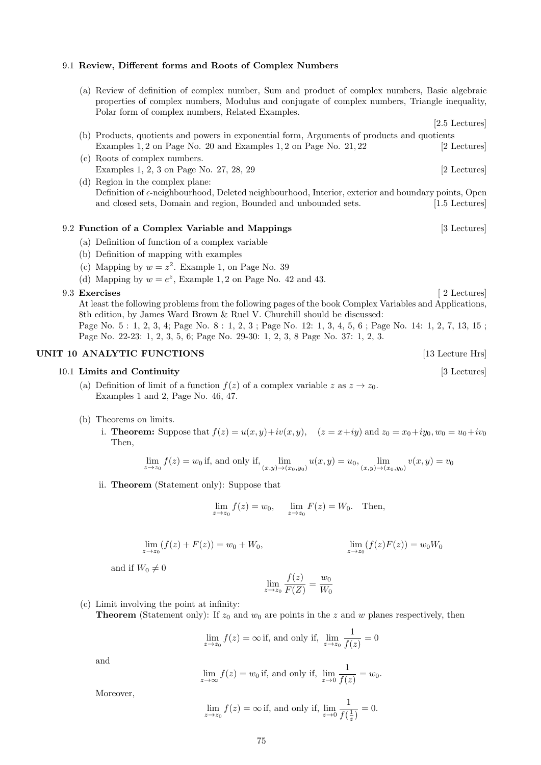## 9.1 Review, Different forms and Roots of Complex Numbers

(a) Review of definition of complex number, Sum and product of complex numbers, Basic algebraic properties of complex numbers, Modulus and conjugate of complex numbers, Triangle inequality, Polar form of complex numbers, Related Examples.

 $[2.5$  Lectures $]$ 

- (b) Products, quotients and powers in exponential form, Arguments of products and quotients Examples 1, 2 on Page No. 20 and Examples 1, 2 on Page No. 21, 22 [2 Lectures]
- (c) Roots of complex numbers. Examples 1, 2, 3 on Page No. 27, 28, 29 [2 Lectures]
- (d) Region in the complex plane: Definition of  $\epsilon$ -neighbourhood, Deleted neighbourhood, Interior, exterior and boundary points, Open and closed sets, Domain and region, Bounded and unbounded sets. [1.5 Lectures]

## 9.2 Function of a Complex Variable and Mappings [3] Lectures]

- (a) Definition of function of a complex variable
- (b) Definition of mapping with examples
- (c) Mapping by  $w = z^2$ . Example 1, on Page No. 39
- (d) Mapping by  $w = e^z$ , Example 1, 2 on Page No. 42 and 43.

#### 9.3 Exercises [ 2 Lectures]

At least the following problems from the following pages of the book Complex Variables and Applications, 8th edition, by James Ward Brown & Ruel V. Churchill should be discussed: Page No. 5 : 1, 2, 3, 4; Page No. 8 : 1, 2, 3 ; Page No. 12: 1, 3, 4, 5, 6 ; Page No. 14: 1, 2, 7, 13, 15 ; Page No. 22-23: 1, 2, 3, 5, 6; Page No. 29-30: 1, 2, 3, 8 Page No. 37: 1, 2, 3.

#### UNIT 10 ANALYTIC FUNCTIONS [13 Lecture Hrs]

#### 10.1 Limits and Continuity [3 Lectures]

- (a) Definition of limit of a function  $f(z)$  of a complex variable  $z$  as  $z \to z_0$ . Examples 1 and 2, Page No. 46, 47.
- (b) Theorems on limits.
	- i. **Theorem:** Suppose that  $f(z) = u(x, y) + iv(x, y)$ ,  $(z = x + iy)$  and  $z_0 = x_0 + iy_0$ ,  $w_0 = u_0 + iv_0$ Then,

$$
\lim_{z \to z_0} f(z) = w_0
$$
 if, and only if,  $\lim_{(x,y) \to (x_0,y_0)} u(x,y) = u_0$ ,  $\lim_{(x,y) \to (x_0,y_0)} v(x,y) = v_0$ 

ii. Theorem (Statement only): Suppose that

$$
\lim_{z \to z_0} f(z) = w_0, \quad \lim_{z \to z_0} F(z) = W_0.
$$
 Then,

 $f(z)$ 

$$
\lim_{z \to z_0} (f(z) + F(z)) = w_0 + W_0, \qquad \lim_{z \to z_0} (f(z)F(z)) =
$$

and if  $W_0 \neq 0$ 

$$
\lim_{z \to z_0} \frac{f(z)}{F(Z)} = \frac{w_0}{W_0}
$$

- (c) Limit involving the point at infinity:
	- **Theorem** (Statement only): If  $z_0$  and  $w_0$  are points in the z and w planes respectively, then

$$
\lim_{z \to z_0} f(z) = \infty
$$
 if, and only if,  $\lim_{z \to z_0} \frac{1}{f(z)} = 0$ 

and

$$
\lim_{z \to \infty} f(z) = w_0
$$
 if, and only if,  $\lim_{z \to 0} \frac{1}{f(z)} = w_0$ .

Moreover,

# $\lim_{z \to z_0} f(z) = \infty$  if, and only if,  $\lim_{z \to 0} \frac{1}{f(z)}$  $\frac{1}{f(\frac{1}{z})}=0.$

 $w_0W_0$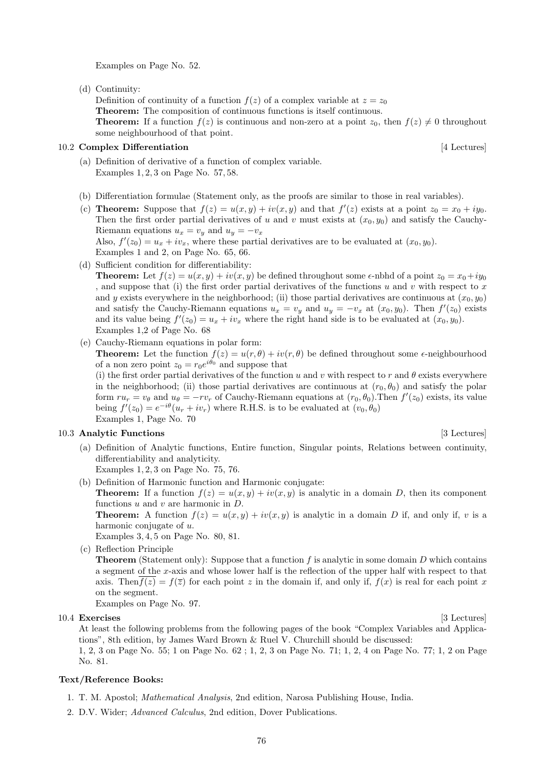Examples on Page No. 52.

(d) Continuity:

Definition of continuity of a function  $f(z)$  of a complex variable at  $z = z_0$ Theorem: The composition of continuous functions is itself continuous. **Theorem:** If a function  $f(z)$  is continuous and non-zero at a point  $z_0$ , then  $f(z) \neq 0$  throughout some neighbourhood of that point.

## 10.2 Complex Differentiation [4 Lectures]

- (a) Definition of derivative of a function of complex variable. Examples 1, 2, 3 on Page No. 57, 58.
- (b) Differentiation formulae (Statement only, as the proofs are similar to those in real variables).
- (c) **Theorem:** Suppose that  $f(z) = u(x, y) + iv(x, y)$  and that  $f'(z)$  exists at a point  $z_0 = x_0 + iy_0$ . Then the first order partial derivatives of u and v must exists at  $(x_0, y_0)$  and satisfy the Cauchy-Riemann equations  $u_x = v_y$  and  $u_y = -v_x$ Also,  $f'(z_0) = u_x + iv_x$ , where these partial derivatives are to be evaluated at  $(x_0, y_0)$ . Examples 1 and 2, on Page No. 65, 66.
- (d) Sufficient condition for differentiability:

**Theorem:** Let  $f(z) = u(x, y) + iv(x, y)$  be defined throughout some  $\epsilon$ -nbhd of a point  $z_0 = x_0 + iy_0$ , and suppose that (i) the first order partial derivatives of the functions u and v with respect to x and y exists everywhere in the neighborhood; (ii) those partial derivatives are continuous at  $(x_0, y_0)$ and satisfy the Cauchy-Riemann equations  $u_x = v_y$  and  $u_y = -v_x$  at  $(x_0, y_0)$ . Then  $f'(z_0)$  exists and its value being  $f'(z_0) = u_x + iv_x$  where the right hand side is to be evaluated at  $(x_0, y_0)$ . Examples 1,2 of Page No. 68

(e) Cauchy-Riemann equations in polar form:

**Theorem:** Let the function  $f(z) = u(r, \theta) + iv(r, \theta)$  be defined throughout some  $\epsilon$ -neighbourhood of a non zero point  $z_0 = r_0 e^{i\theta_0}$  and suppose that

(i) the first order partial derivatives of the function u and v with respect to r and  $\theta$  exists everywhere in the neighborhood; (ii) those partial derivatives are continuous at  $(r_0, \theta_0)$  and satisfy the polar form  $ru_r = v_\theta$  and  $u_\theta = -rv_r$  of Cauchy-Riemann equations at  $(r_0, \theta_0)$ . Then  $f'(z_0)$  exists, its value being  $f'(z_0) = e^{-i\theta}(u_r + iv_r)$  where R.H.S. is to be evaluated at  $(v_0, \theta_0)$ Examples 1, Page No. 70

#### 10.3 Analytic Functions [3] Lectures] [3] Lectures]

(a) Definition of Analytic functions, Entire function, Singular points, Relations between continuity, differentiability and analyticity.

Examples 1, 2, 3 on Page No. 75, 76.

(b) Definition of Harmonic function and Harmonic conjugate:

**Theorem:** If a function  $f(z) = u(x, y) + iv(x, y)$  is analytic in a domain D, then its component functions  $u$  and  $v$  are harmonic in  $D$ .

**Theorem:** A function  $f(z) = u(x, y) + iv(x, y)$  is analytic in a domain D if, and only if, v is a harmonic conjugate of u.

Examples 3, 4, 5 on Page No. 80, 81.

(c) Reflection Principle

**Theorem** (Statement only): Suppose that a function f is analytic in some domain D which contains a segment of the x-axis and whose lower half is the reflection of the upper half with respect to that axis. Then  $f(z) = f(\overline{z})$  for each point z in the domain if, and only if,  $f(x)$  is real for each point x on the segment.

Examples on Page No. 97.

10.4 Exercises [3 Lectures]

At least the following problems from the following pages of the book "Complex Variables and Applications", 8th edition, by James Ward Brown & Ruel V. Churchill should be discussed:

1, 2, 3 on Page No. 55; 1 on Page No. 62 ; 1, 2, 3 on Page No. 71; 1, 2, 4 on Page No. 77; 1, 2 on Page No. 81.

#### Text/Reference Books:

- 1. T. M. Apostol; Mathematical Analysis, 2nd edition, Narosa Publishing House, India.
- 2. D.V. Wider; Advanced Calculus, 2nd edition, Dover Publications.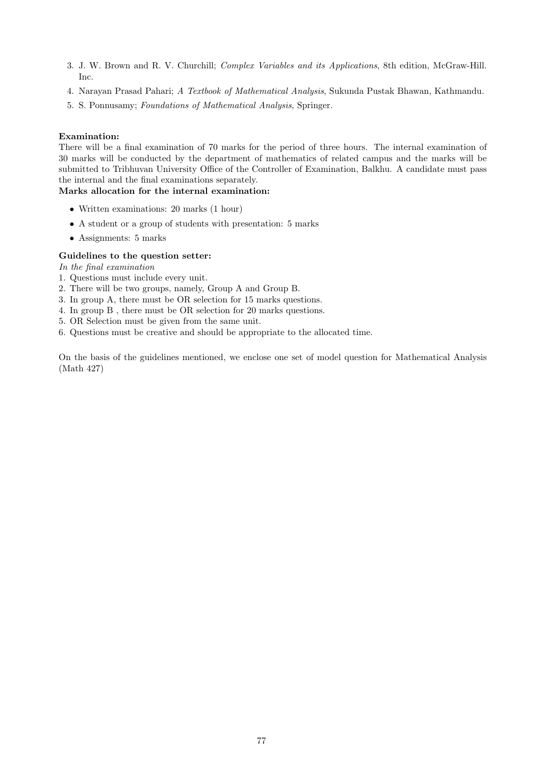- 3. J. W. Brown and R. V. Churchill; Complex Variables and its Applications, 8th edition, McGraw-Hill. Inc.
- 4. Narayan Prasad Pahari; A Textbook of Mathematical Analysis, Sukunda Pustak Bhawan, Kathmandu.
- 5. S. Ponnusamy; Foundations of Mathematical Analysis, Springer.

## Examination:

There will be a final examination of 70 marks for the period of three hours. The internal examination of 30 marks will be conducted by the department of mathematics of related campus and the marks will be submitted to Tribhuvan University Office of the Controller of Examination, Balkhu. A candidate must pass the internal and the final examinations separately.

## Marks allocation for the internal examination:

- Written examinations: 20 marks (1 hour)
- A student or a group of students with presentation: 5 marks
- Assignments: 5 marks

## Guidelines to the question setter:

In the final examination

- 1. Questions must include every unit.
- 2. There will be two groups, namely, Group A and Group B.
- 3. In group A, there must be OR selection for 15 marks questions.
- 4. In group B , there must be OR selection for 20 marks questions.
- 5. OR Selection must be given from the same unit.
- 6. Questions must be creative and should be appropriate to the allocated time.

On the basis of the guidelines mentioned, we enclose one set of model question for Mathematical Analysis (Math 427)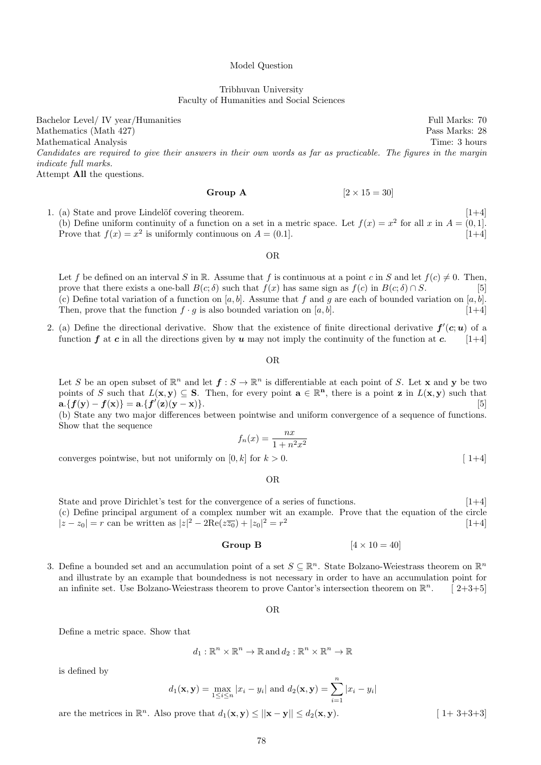#### Model Question

### Tribhuvan University Faculty of Humanities and Social Sciences

Bachelor Level/ IV year/Humanities Full Marks: 70 Mathematics (Math 427) Pass Marks: 28 Mathematical Analysis Time: 3 hours Candidates are required to give their answers in their own words as far as practicable. The figures in the margin indicate full marks. Attempt All the questions.

Group A  $[2 \times 15 = 30]$ 

1. (a) State and prove Lindelöf covering theorem.  $[1+4]$ (b) Define uniform continuity of a function on a set in a metric space. Let  $f(x) = x^2$  for all x in  $A = (0, 1]$ . Prove that  $f(x) = x^2$  is uniformly continuous on  $A = (0.1]$ . [1+4]

OR

Let f be defined on an interval S in R. Assume that f is continuous at a point c in S and let  $f(c) \neq 0$ . Then, prove that there exists a one-ball  $B(c; \delta)$  such that  $f(x)$  has same sign as  $f(c)$  in  $B(c; \delta) \cap S$ . [5] (c) Define total variation of a function on  $[a, b]$ . Assume that f and g are each of bounded variation on  $[a, b]$ . Then, prove that the function  $f \cdot g$  is also bounded variation on [a, b]. [1+4]

2. (a) Define the directional derivative. Show that the existence of finite directional derivative  $f'(c;u)$  of a function f at c in all the directions given by u may not imply the continuity of the function at c.  $[1+4]$ 

#### OR

Let S be an open subset of  $\mathbb{R}^n$  and let  $f: S \to \mathbb{R}^n$  is differentiable at each point of S. Let **x** and **y** be two points of S such that  $L(\mathbf{x}, \mathbf{y}) \subseteq S$ . Then, for every point  $\mathbf{a} \in \mathbb{R}^n$ , there is a point **z** in  $L(\mathbf{x}, \mathbf{y})$  such that  $a. \{f(y) - f(x)\} = a. \{f'(z)(y - x)\}.$  [5]

(b) State any two major differences between pointwise and uniform convergence of a sequence of functions. Show that the sequence

$$
f_n(x) = \frac{nx}{1 + n^2 x^2}
$$

converges pointwise, but not uniformly on  $[0, k]$  for  $k > 0$ . [1+4]

OR

State and prove Dirichlet's test for the convergence of a series of functions. [1+4] (c) Define principal argument of a complex number wit an example. Prove that the equation of the circle  $|z - z_0| = r$  can be written as  $|z|^2 - 2\text{Re}(z\overline{z_0}) + |z_0|^2 = r^2$  $[1+4]$ 

## Group B  $[4 \times 10 = 40]$

3. Define a bounded set and an accumulation point of a set  $S \subseteq \mathbb{R}^n$ . State Bolzano-Weiestrass theorem on  $\mathbb{R}^n$ and illustrate by an example that boundedness is not necessary in order to have an accumulation point for an infinite set. Use Bolzano-Weiestrass theorem to prove Cantor's intersection theorem on  $\mathbb{R}^n$ .  $\lceil 2+3+5\rceil$ 

#### OR

Define a metric space. Show that

$$
d_1: \mathbb{R}^n \times \mathbb{R}^n \to \mathbb{R}
$$
 and  $d_2: \mathbb{R}^n \times \mathbb{R}^n \to \mathbb{R}$ 

is defined by

$$
d_1(\mathbf{x}, \mathbf{y}) = \max_{1 \le i \le n} |x_i - y_i| \text{ and } d_2(\mathbf{x}, \mathbf{y}) = \sum_{i=1}^n |x_i - y_i|
$$

are the metrices in  $\mathbb{R}^n$ . Also prove that  $d_1(\mathbf{x}, \mathbf{y}) \le ||\mathbf{x} - \mathbf{y}|| \le d_2(\mathbf{x}, \mathbf{y})$ . [1+ 3+3+3]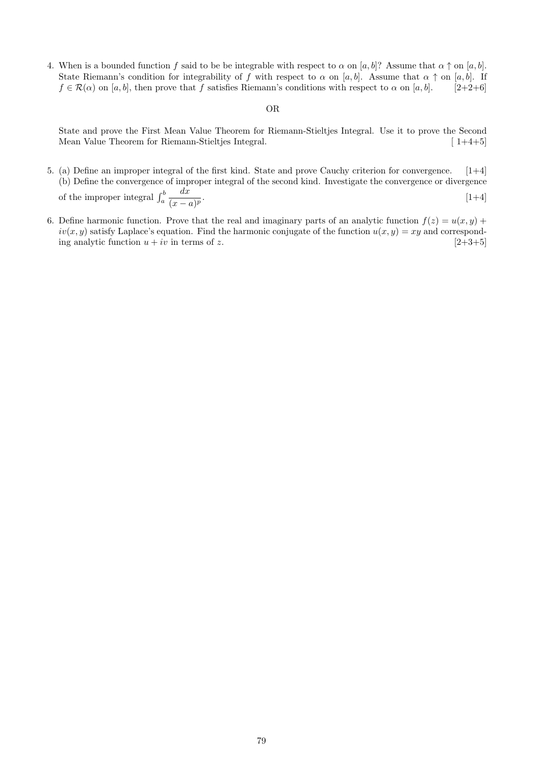4. When is a bounded function f said to be be integrable with respect to  $\alpha$  on [a, b]? Assume that  $\alpha \uparrow$  on [a, b]. State Riemann's condition for integrability of f with respect to  $\alpha$  on [a, b]. Assume that  $\alpha \uparrow$  on [a, b]. If  $f \in \mathcal{R}(\alpha)$  on [a, b], then prove that f satisfies Riemann's conditions with respect to  $\alpha$  on [a, b]. [2+2+6]

#### OR

State and prove the First Mean Value Theorem for Riemann-Stieltjes Integral. Use it to prove the Second Mean Value Theorem for Riemann-Stieltjes Integral. [ 1+4+5]

- 5. (a) Define an improper integral of the first kind. State and prove Cauchy criterion for convergence. [1+4] (b) Define the convergence of improper integral of the second kind. Investigate the convergence or divergence of the improper integral  $\int_a^b$  $dx$  $(x-a)^p$ .  $[1+4]$
- 6. Define harmonic function. Prove that the real and imaginary parts of an analytic function  $f(z) = u(x, y) +$  $iv(x, y)$  satisfy Laplace's equation. Find the harmonic conjugate of the function  $u(x, y) = xy$  and corresponding analytic function  $u + iv$  in terms of z. [2+3+5]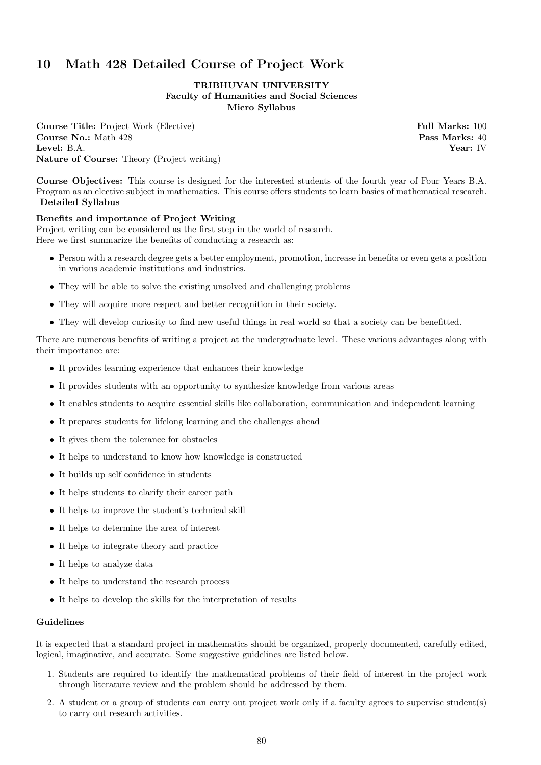# 10 Math 428 Detailed Course of Project Work

## TRIBHUVAN UNIVERSITY Faculty of Humanities and Social Sciences Micro Syllabus

**Course Title:** Project Work (Elective) **Full Marks: 100 Course No.:** Math 428 **Pass Marks: 40** Level: B.A. Year: IV Nature of Course: Theory (Project writing)

Course Objectives: This course is designed for the interested students of the fourth year of Four Years B.A. Program as an elective subject in mathematics. This course offers students to learn basics of mathematical research. Detailed Syllabus

## Benefits and importance of Project Writing

Project writing can be considered as the first step in the world of research. Here we first summarize the benefits of conducting a research as:

- Person with a research degree gets a better employment, promotion, increase in benefits or even gets a position in various academic institutions and industries.
- They will be able to solve the existing unsolved and challenging problems
- They will acquire more respect and better recognition in their society.
- They will develop curiosity to find new useful things in real world so that a society can be benefitted.

There are numerous benefits of writing a project at the undergraduate level. These various advantages along with their importance are:

- It provides learning experience that enhances their knowledge
- It provides students with an opportunity to synthesize knowledge from various areas
- It enables students to acquire essential skills like collaboration, communication and independent learning
- It prepares students for lifelong learning and the challenges ahead
- It gives them the tolerance for obstacles
- It helps to understand to know how knowledge is constructed
- It builds up self confidence in students
- It helps students to clarify their career path
- It helps to improve the student's technical skill
- It helps to determine the area of interest
- It helps to integrate theory and practice
- It helps to analyze data
- It helps to understand the research process
- It helps to develop the skills for the interpretation of results

## Guidelines

It is expected that a standard project in mathematics should be organized, properly documented, carefully edited, logical, imaginative, and accurate. Some suggestive guidelines are listed below.

- 1. Students are required to identify the mathematical problems of their field of interest in the project work through literature review and the problem should be addressed by them.
- 2. A student or a group of students can carry out project work only if a faculty agrees to supervise student(s) to carry out research activities.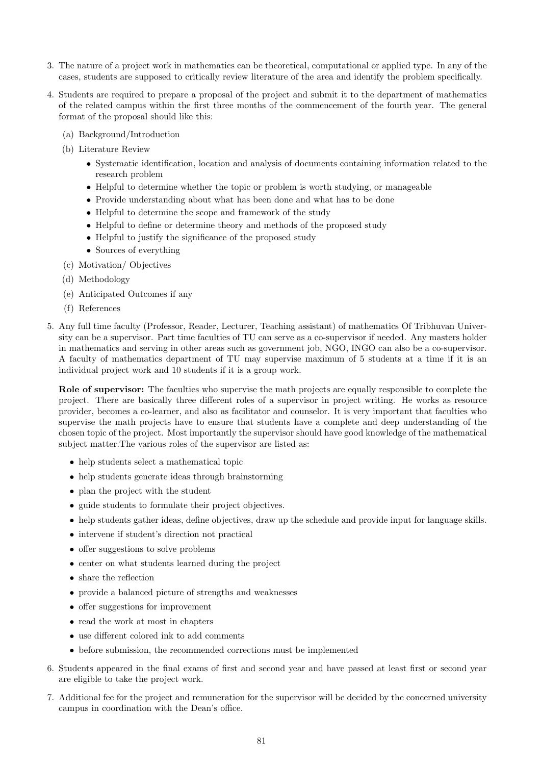- 3. The nature of a project work in mathematics can be theoretical, computational or applied type. In any of the cases, students are supposed to critically review literature of the area and identify the problem specifically.
- 4. Students are required to prepare a proposal of the project and submit it to the department of mathematics of the related campus within the first three months of the commencement of the fourth year. The general format of the proposal should like this:
	- (a) Background/Introduction
	- (b) Literature Review
		- Systematic identification, location and analysis of documents containing information related to the research problem
		- Helpful to determine whether the topic or problem is worth studying, or manageable
		- Provide understanding about what has been done and what has to be done
		- Helpful to determine the scope and framework of the study
		- Helpful to define or determine theory and methods of the proposed study
		- Helpful to justify the significance of the proposed study
		- Sources of everything
	- (c) Motivation/ Objectives
	- (d) Methodology
	- (e) Anticipated Outcomes if any
	- (f) References
- 5. Any full time faculty (Professor, Reader, Lecturer, Teaching assistant) of mathematics Of Tribhuvan University can be a supervisor. Part time faculties of TU can serve as a co-supervisor if needed. Any masters holder in mathematics and serving in other areas such as government job, NGO, INGO can also be a co-supervisor. A faculty of mathematics department of TU may supervise maximum of 5 students at a time if it is an individual project work and 10 students if it is a group work.

Role of supervisor: The faculties who supervise the math projects are equally responsible to complete the project. There are basically three different roles of a supervisor in project writing. He works as resource provider, becomes a co-learner, and also as facilitator and counselor. It is very important that faculties who supervise the math projects have to ensure that students have a complete and deep understanding of the chosen topic of the project. Most importantly the supervisor should have good knowledge of the mathematical subject matter.The various roles of the supervisor are listed as:

- help students select a mathematical topic
- help students generate ideas through brainstorming
- plan the project with the student
- guide students to formulate their project objectives.
- help students gather ideas, define objectives, draw up the schedule and provide input for language skills.
- intervene if student's direction not practical
- offer suggestions to solve problems
- center on what students learned during the project
- share the reflection
- provide a balanced picture of strengths and weaknesses
- offer suggestions for improvement
- read the work at most in chapters
- use different colored ink to add comments
- before submission, the recommended corrections must be implemented
- 6. Students appeared in the final exams of first and second year and have passed at least first or second year are eligible to take the project work.
- 7. Additional fee for the project and remuneration for the supervisor will be decided by the concerned university campus in coordination with the Dean's office.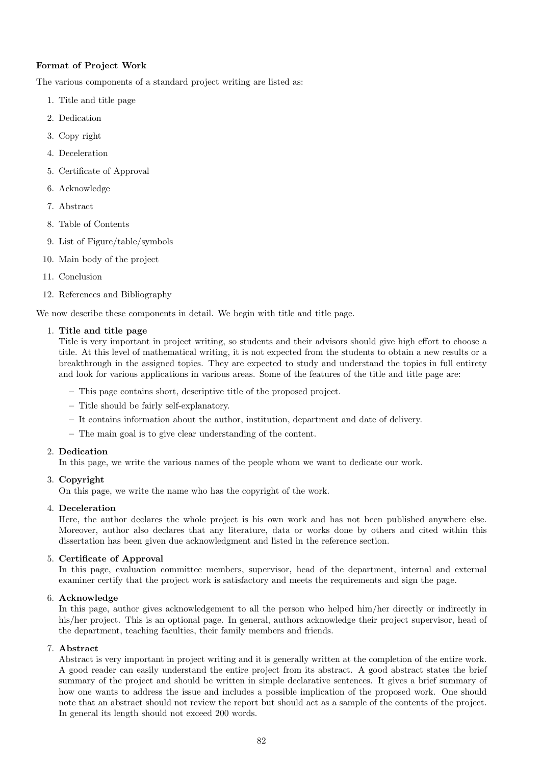## Format of Project Work

The various components of a standard project writing are listed as:

- 1. Title and title page
- 2. Dedication
- 3. Copy right
- 4. Deceleration
- 5. Certificate of Approval
- 6. Acknowledge
- 7. Abstract
- 8. Table of Contents
- 9. List of Figure/table/symbols
- 10. Main body of the project
- 11. Conclusion
- 12. References and Bibliography

We now describe these components in detail. We begin with title and title page.

## 1. Title and title page

Title is very important in project writing, so students and their advisors should give high effort to choose a title. At this level of mathematical writing, it is not expected from the students to obtain a new results or a breakthrough in the assigned topics. They are expected to study and understand the topics in full entirety and look for various applications in various areas. Some of the features of the title and title page are:

- This page contains short, descriptive title of the proposed project.
- Title should be fairly self-explanatory.
- It contains information about the author, institution, department and date of delivery.
- The main goal is to give clear understanding of the content.

## 2. Dedication

In this page, we write the various names of the people whom we want to dedicate our work.

## 3. Copyright

On this page, we write the name who has the copyright of the work.

## 4. Deceleration

Here, the author declares the whole project is his own work and has not been published anywhere else. Moreover, author also declares that any literature, data or works done by others and cited within this dissertation has been given due acknowledgment and listed in the reference section.

## 5. Certificate of Approval

In this page, evaluation committee members, supervisor, head of the department, internal and external examiner certify that the project work is satisfactory and meets the requirements and sign the page.

## 6. Acknowledge

In this page, author gives acknowledgement to all the person who helped him/her directly or indirectly in his/her project. This is an optional page. In general, authors acknowledge their project supervisor, head of the department, teaching faculties, their family members and friends.

## 7. Abstract

Abstract is very important in project writing and it is generally written at the completion of the entire work. A good reader can easily understand the entire project from its abstract. A good abstract states the brief summary of the project and should be written in simple declarative sentences. It gives a brief summary of how one wants to address the issue and includes a possible implication of the proposed work. One should note that an abstract should not review the report but should act as a sample of the contents of the project. In general its length should not exceed 200 words.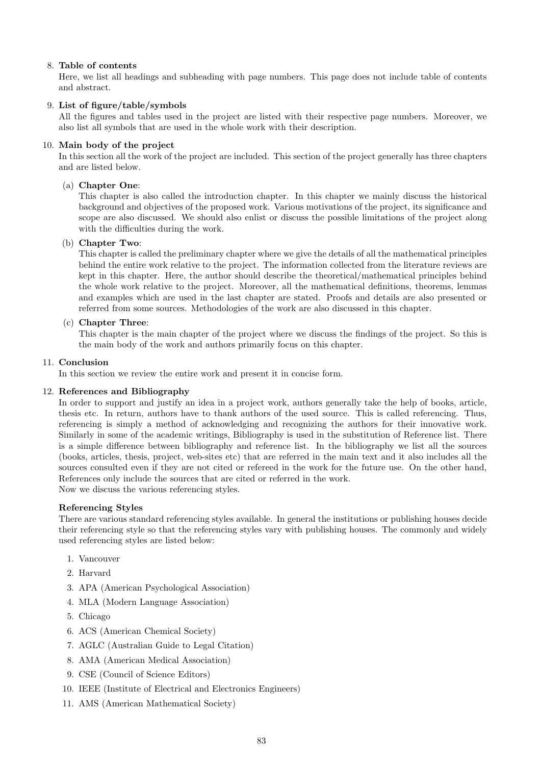## 8. Table of contents

Here, we list all headings and subheading with page numbers. This page does not include table of contents and abstract.

## 9. List of figure/table/symbols

All the figures and tables used in the project are listed with their respective page numbers. Moreover, we also list all symbols that are used in the whole work with their description.

## 10. Main body of the project

In this section all the work of the project are included. This section of the project generally has three chapters and are listed below.

## (a) Chapter One:

This chapter is also called the introduction chapter. In this chapter we mainly discuss the historical background and objectives of the proposed work. Various motivations of the project, its significance and scope are also discussed. We should also enlist or discuss the possible limitations of the project along with the difficulties during the work.

## (b) Chapter Two:

This chapter is called the preliminary chapter where we give the details of all the mathematical principles behind the entire work relative to the project. The information collected from the literature reviews are kept in this chapter. Here, the author should describe the theoretical/mathematical principles behind the whole work relative to the project. Moreover, all the mathematical definitions, theorems, lemmas and examples which are used in the last chapter are stated. Proofs and details are also presented or referred from some sources. Methodologies of the work are also discussed in this chapter.

## (c) Chapter Three:

This chapter is the main chapter of the project where we discuss the findings of the project. So this is the main body of the work and authors primarily focus on this chapter.

## 11. Conclusion

In this section we review the entire work and present it in concise form.

## 12. References and Bibliography

In order to support and justify an idea in a project work, authors generally take the help of books, article, thesis etc. In return, authors have to thank authors of the used source. This is called referencing. Thus, referencing is simply a method of acknowledging and recognizing the authors for their innovative work. Similarly in some of the academic writings, Bibliography is used in the substitution of Reference list. There is a simple difference between bibliography and reference list. In the bibliography we list all the sources (books, articles, thesis, project, web-sites etc) that are referred in the main text and it also includes all the sources consulted even if they are not cited or refereed in the work for the future use. On the other hand, References only include the sources that are cited or referred in the work. Now we discuss the various referencing styles.

## Referencing Styles

There are various standard referencing styles available. In general the institutions or publishing houses decide their referencing style so that the referencing styles vary with publishing houses. The commonly and widely used referencing styles are listed below:

- 1. Vancouver
- 2. Harvard
- 3. APA (American Psychological Association)
- 4. MLA (Modern Language Association)
- 5. Chicago
- 6. ACS (American Chemical Society)
- 7. AGLC (Australian Guide to Legal Citation)
- 8. AMA (American Medical Association)
- 9. CSE (Council of Science Editors)
- 10. IEEE (Institute of Electrical and Electronics Engineers)
- 11. AMS (American Mathematical Society)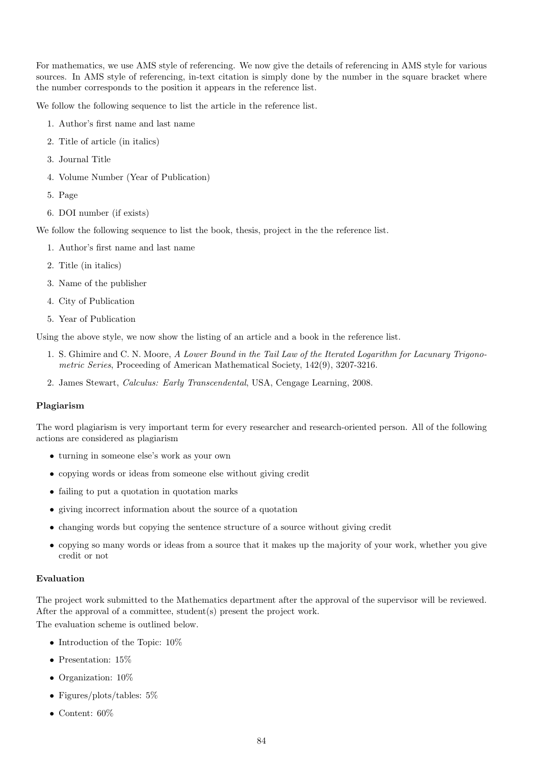For mathematics, we use AMS style of referencing. We now give the details of referencing in AMS style for various sources. In AMS style of referencing, in-text citation is simply done by the number in the square bracket where the number corresponds to the position it appears in the reference list.

We follow the following sequence to list the article in the reference list.

- 1. Author's first name and last name
- 2. Title of article (in italics)
- 3. Journal Title
- 4. Volume Number (Year of Publication)
- 5. Page
- 6. DOI number (if exists)

We follow the following sequence to list the book, thesis, project in the the reference list.

- 1. Author's first name and last name
- 2. Title (in italics)
- 3. Name of the publisher
- 4. City of Publication
- 5. Year of Publication

Using the above style, we now show the listing of an article and a book in the reference list.

- 1. S. Ghimire and C. N. Moore, A Lower Bound in the Tail Law of the Iterated Logarithm for Lacunary Trigonometric Series, Proceeding of American Mathematical Society, 142(9), 3207-3216.
- 2. James Stewart, Calculus: Early Transcendental, USA, Cengage Learning, 2008.

#### Plagiarism

The word plagiarism is very important term for every researcher and research-oriented person. All of the following actions are considered as plagiarism

- turning in someone else's work as your own
- copying words or ideas from someone else without giving credit
- failing to put a quotation in quotation marks
- giving incorrect information about the source of a quotation
- changing words but copying the sentence structure of a source without giving credit
- copying so many words or ideas from a source that it makes up the majority of your work, whether you give credit or not

#### Evaluation

The project work submitted to the Mathematics department after the approval of the supervisor will be reviewed. After the approval of a committee, student(s) present the project work. The evaluation scheme is outlined below.

- Introduction of the Topic:  $10\%$
- Presentation: 15%
- Organization: 10%
- Figures/plots/tables: 5%
- Content: 60%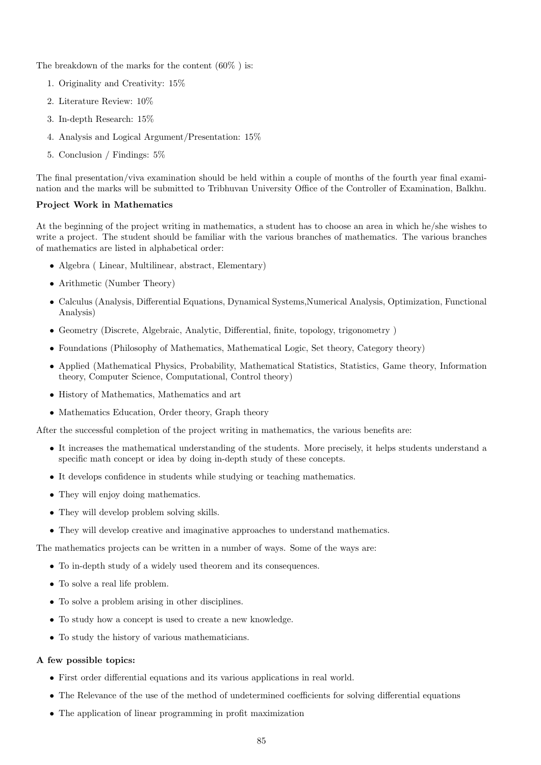The breakdown of the marks for the content  $(60\%)$  is:

- 1. Originality and Creativity: 15%
- 2. Literature Review: 10%
- 3. In-depth Research: 15%
- 4. Analysis and Logical Argument/Presentation: 15%
- 5. Conclusion / Findings: 5%

The final presentation/viva examination should be held within a couple of months of the fourth year final examination and the marks will be submitted to Tribhuvan University Office of the Controller of Examination, Balkhu.

#### Project Work in Mathematics

At the beginning of the project writing in mathematics, a student has to choose an area in which he/she wishes to write a project. The student should be familiar with the various branches of mathematics. The various branches of mathematics are listed in alphabetical order:

- Algebra ( Linear, Multilinear, abstract, Elementary)
- Arithmetic (Number Theory)
- Calculus (Analysis, Differential Equations, Dynamical Systems,Numerical Analysis, Optimization, Functional Analysis)
- Geometry (Discrete, Algebraic, Analytic, Differential, finite, topology, trigonometry )
- Foundations (Philosophy of Mathematics, Mathematical Logic, Set theory, Category theory)
- Applied (Mathematical Physics, Probability, Mathematical Statistics, Statistics, Game theory, Information theory, Computer Science, Computational, Control theory)
- History of Mathematics, Mathematics and art
- Mathematics Education, Order theory, Graph theory

After the successful completion of the project writing in mathematics, the various benefits are:

- It increases the mathematical understanding of the students. More precisely, it helps students understand a specific math concept or idea by doing in-depth study of these concepts.
- It develops confidence in students while studying or teaching mathematics.
- They will enjoy doing mathematics.
- They will develop problem solving skills.
- They will develop creative and imaginative approaches to understand mathematics.

The mathematics projects can be written in a number of ways. Some of the ways are:

- To in-depth study of a widely used theorem and its consequences.
- To solve a real life problem.
- To solve a problem arising in other disciplines.
- To study how a concept is used to create a new knowledge.
- To study the history of various mathematicians.

#### A few possible topics:

- First order differential equations and its various applications in real world.
- The Relevance of the use of the method of undetermined coefficients for solving differential equations
- The application of linear programming in profit maximization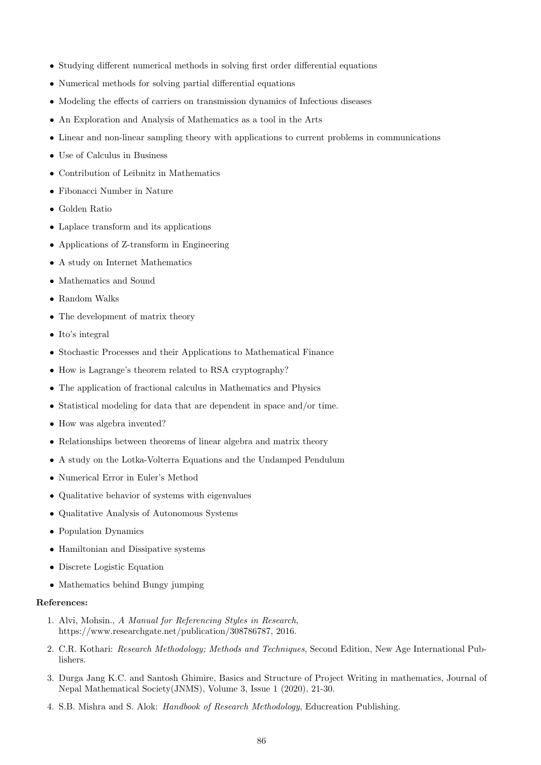- Studying different numerical methods in solving first order differential equations
- Numerical methods for solving partial differential equations
- Modeling the effects of carriers on transmission dynamics of Infectious diseases
- An Exploration and Analysis of Mathematics as a tool in the Arts
- Linear and non-linear sampling theory with applications to current problems in communications
- Use of Calculus in Business
- Contribution of Leibnitz in Mathematics
- Fibonacci Number in Nature
- Golden Ratio
- Laplace transform and its applications
- Applications of Z-transform in Engineering
- A study on Internet Mathematics
- Mathematics and Sound
- Random Walks
- The development of matrix theory
- Ito's integral
- Stochastic Processes and their Applications to Mathematical Finance
- How is Lagrange's theorem related to RSA cryptography?
- The application of fractional calculus in Mathematics and Physics
- Statistical modeling for data that are dependent in space and/or time.
- How was algebra invented?
- Relationships between theorems of linear algebra and matrix theory
- A study on the Lotka-Volterra Equations and the Undamped Pendulum
- Numerical Error in Euler's Method
- Qualitative behavior of systems with eigenvalues
- Qualitative Analysis of Autonomous Systems
- Population Dynamics
- Hamiltonian and Dissipative systems
- Discrete Logistic Equation
- Mathematics behind Bungy jumping

## References:

- 1. Alvi, Mohsin., A Manual for Referencing Styles in Research, https://www.researchgate.net/publication/308786787, 2016.
- 2. C.R. Kothari: Research Methodology; Methods and Techniques, Second Edition, New Age International Publishers.
- 3. Durga Jang K.C. and Santosh Ghimire, Basics and Structure of Project Writing in mathematics, Journal of Nepal Mathematical Society(JNMS), Volume 3, Issue 1 (2020), 21-30.
- 4. S.B. Mishra and S. Alok: Handbook of Research Methodology, Educreation Publishing.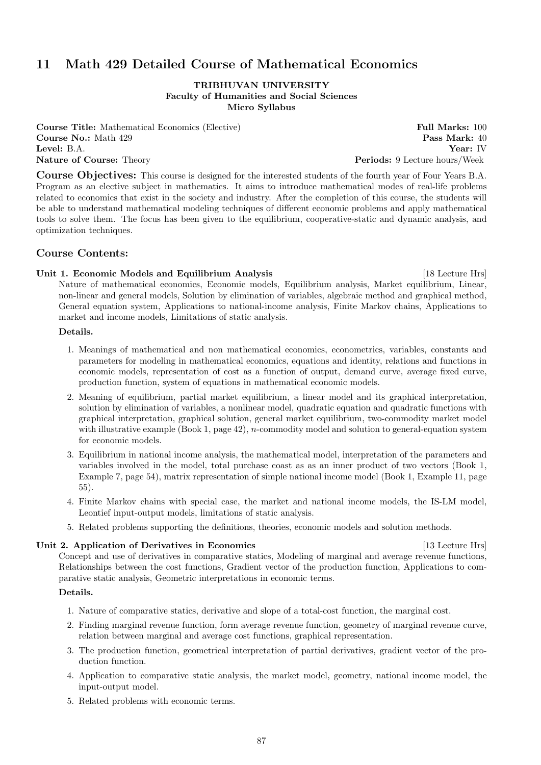# 11 Math 429 Detailed Course of Mathematical Economics

TRIBHUVAN UNIVERSITY Faculty of Humanities and Social Sciences Micro Syllabus

**Course Title:** Mathematical Economics (Elective) **Full Marks: 100** Course No.: Math 429 Pass Mark: 40 Level: B.A. Year: IV Nature of Course: Theory **Periods: 9 Lecture hours/Week** 

Course Objectives: This course is designed for the interested students of the fourth year of Four Years B.A. Program as an elective subject in mathematics. It aims to introduce mathematical modes of real-life problems related to economics that exist in the society and industry. After the completion of this course, the students will be able to understand mathematical modeling techniques of different economic problems and apply mathematical tools to solve them. The focus has been given to the equilibrium, cooperative-static and dynamic analysis, and optimization techniques.

## Course Contents:

## Unit 1. Economic Models and Equilibrium Analysis [18 Lecture Hrs]

Nature of mathematical economics, Economic models, Equilibrium analysis, Market equilibrium, Linear, non-linear and general models, Solution by elimination of variables, algebraic method and graphical method, General equation system, Applications to national-income analysis, Finite Markov chains, Applications to market and income models, Limitations of static analysis.

Details.

- 1. Meanings of mathematical and non mathematical economics, econometrics, variables, constants and parameters for modeling in mathematical economics, equations and identity, relations and functions in economic models, representation of cost as a function of output, demand curve, average fixed curve, production function, system of equations in mathematical economic models.
- 2. Meaning of equilibrium, partial market equilibrium, a linear model and its graphical interpretation, solution by elimination of variables, a nonlinear model, quadratic equation and quadratic functions with graphical interpretation, graphical solution, general market equilibrium, two-commodity market model with illustrative example (Book 1, page  $42$ ), *n*-commodity model and solution to general-equation system for economic models.
- 3. Equilibrium in national income analysis, the mathematical model, interpretation of the parameters and variables involved in the model, total purchase coast as as an inner product of two vectors (Book 1, Example 7, page 54), matrix representation of simple national income model (Book 1, Example 11, page 55).
- 4. Finite Markov chains with special case, the market and national income models, the IS-LM model, Leontief input-output models, limitations of static analysis.
- 5. Related problems supporting the definitions, theories, economic models and solution methods.

## Unit 2. Application of Derivatives in Economics [13 Lecture Hrs]

Concept and use of derivatives in comparative statics, Modeling of marginal and average revenue functions, Relationships between the cost functions, Gradient vector of the production function, Applications to comparative static analysis, Geometric interpretations in economic terms.

## Details.

- 1. Nature of comparative statics, derivative and slope of a total-cost function, the marginal cost.
- 2. Finding marginal revenue function, form average revenue function, geometry of marginal revenue curve, relation between marginal and average cost functions, graphical representation.
- 3. The production function, geometrical interpretation of partial derivatives, gradient vector of the production function.
- 4. Application to comparative static analysis, the market model, geometry, national income model, the input-output model.
- 5. Related problems with economic terms.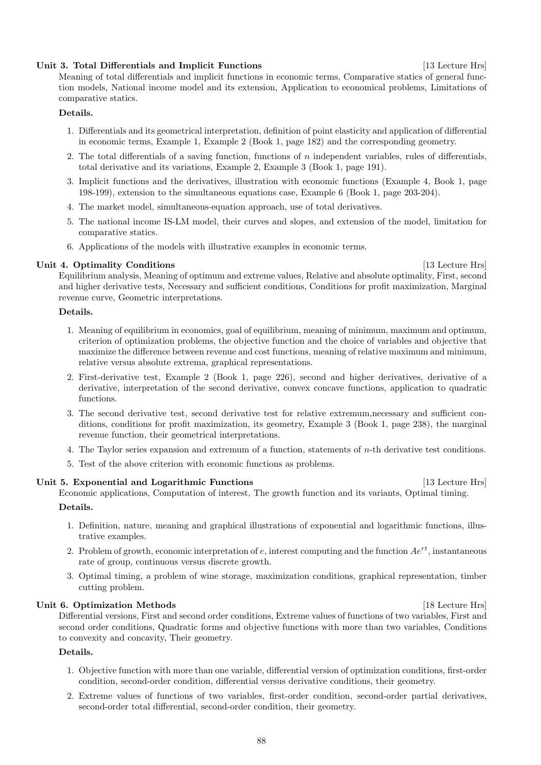#### 88

## Unit 3. Total Differentials and Implicit Functions [13 Lecture Hrs]

Meaning of total differentials and implicit functions in economic terms, Comparative statics of general function models, National income model and its extension, Application to economical problems, Limitations of comparative statics.

## Details.

- 1. Differentials and its geometrical interpretation, definition of point elasticity and application of differential in economic terms, Example 1, Example 2 (Book 1, page 182) and the corresponding geometry.
- 2. The total differentials of a saving function, functions of  $n$  independent variables, rules of differentials, total derivative and its variations, Example 2, Example 3 (Book 1, page 191).
- 3. Implicit functions and the derivatives, illustration with economic functions (Example 4, Book 1, page 198-199), extension to the simultaneous equations case, Example 6 (Book 1, page 203-204).
- 4. The market model, simultaneous-equation approach, use of total derivatives.
- 5. The national income IS-LM model, their curves and slopes, and extension of the model, limitation for comparative statics.
- 6. Applications of the models with illustrative examples in economic terms.

## Unit 4. Optimality Conditions [13 Lecture Hrs]

Equilibrium analysis, Meaning of optimum and extreme values, Relative and absolute optimality, First, second and higher derivative tests, Necessary and sufficient conditions, Conditions for profit maximization, Marginal revenue curve, Geometric interpretations.

## Details.

- 1. Meaning of equilibrium in economics, goal of equilibrium, meaning of minimum, maximum and optimum, criterion of optimization problems, the objective function and the choice of variables and objective that maximize the difference between revenue and cost functions, meaning of relative maximum and minimum, relative versus absolute extrema, graphical representations.
- 2. First-derivative test, Example 2 (Book 1, page 226), second and higher derivatives, derivative of a derivative, interpretation of the second derivative, convex concave functions, application to quadratic functions.
- 3. The second derivative test, second derivative test for relative extremum,necessary and sufficient conditions, conditions for profit maximization, its geometry, Example 3 (Book 1, page 238), the marginal revenue function, their geometrical interpretations.
- 4. The Taylor series expansion and extremum of a function, statements of n-th derivative test conditions.
- 5. Test of the above criterion with economic functions as problems.

## Unit 5. Exponential and Logarithmic Functions [13 Lecture Hrs]

Economic applications, Computation of interest, The growth function and its variants, Optimal timing.

## Details.

- 1. Definition, nature, meaning and graphical illustrations of exponential and logarithmic functions, illustrative examples.
- 2. Problem of growth, economic interpretation of e, interest computing and the function  $Ae^{rt}$ , instantaneous rate of group, continuous versus discrete growth.
- 3. Optimal timing, a problem of wine storage, maximization conditions, graphical representation, timber cutting problem.

## Unit 6. Optimization Methods [18 Lecture Hrs]

Differential versions, First and second order conditions, Extreme values of functions of two variables, First and second order conditions, Quadratic forms and objective functions with more than two variables, Conditions to convexity and concavity, Their geometry.

## Details.

- 1. Objective function with more than one variable, differential version of optimization conditions, first-order condition, second-order condition, differential versus derivative conditions, their geometry.
- 2. Extreme values of functions of two variables, first-order condition, second-order partial derivatives, second-order total differential, second-order condition, their geometry.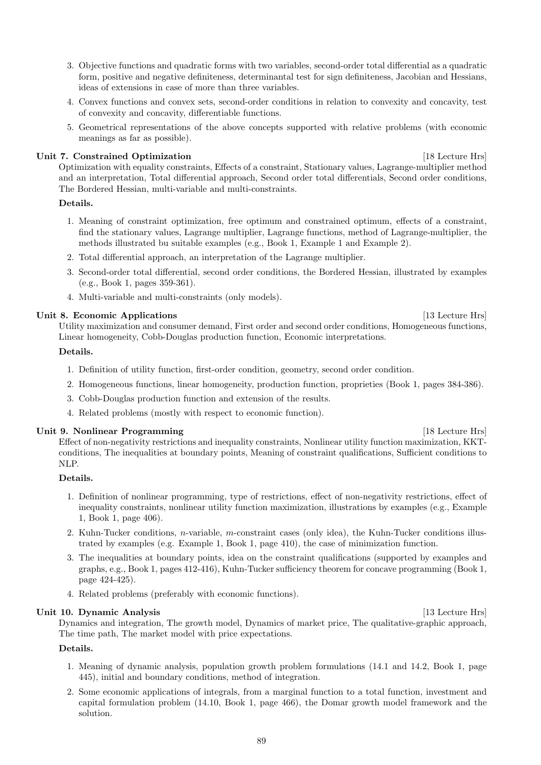- 3. Objective functions and quadratic forms with two variables, second-order total differential as a quadratic form, positive and negative definiteness, determinantal test for sign definiteness, Jacobian and Hessians, ideas of extensions in case of more than three variables.
- 4. Convex functions and convex sets, second-order conditions in relation to convexity and concavity, test of convexity and concavity, differentiable functions.
- 5. Geometrical representations of the above concepts supported with relative problems (with economic meanings as far as possible).

## Unit 7. Constrained Optimization [18 Lecture Hrs]

Optimization with equality constraints, Effects of a constraint, Stationary values, Lagrange-multiplier method and an interpretation, Total differential approach, Second order total differentials, Second order conditions, The Bordered Hessian, multi-variable and multi-constraints.

## Details.

- 1. Meaning of constraint optimization, free optimum and constrained optimum, effects of a constraint, find the stationary values, Lagrange multiplier, Lagrange functions, method of Lagrange-multiplier, the methods illustrated bu suitable examples (e.g., Book 1, Example 1 and Example 2).
- 2. Total differential approach, an interpretation of the Lagrange multiplier.
- 3. Second-order total differential, second order conditions, the Bordered Hessian, illustrated by examples (e.g., Book 1, pages 359-361).
- 4. Multi-variable and multi-constraints (only models).

## Unit 8. Economic Applications **Example 12** and the Unit of the Unit of the Hrs and the Hrs and the Hrs and the Hrs and the Hrs and the Hrs and the Hrs and the Hrs and the Hrs and the Hrs and the Hrs and the Hrs and the Hrs

Utility maximization and consumer demand, First order and second order conditions, Homogeneous functions, Linear homogeneity, Cobb-Douglas production function, Economic interpretations.

## Details.

- 1. Definition of utility function, first-order condition, geometry, second order condition.
- 2. Homogeneous functions, linear homogeneity, production function, proprieties (Book 1, pages 384-386).
- 3. Cobb-Douglas production function and extension of the results.
- 4. Related problems (mostly with respect to economic function).

## Unit 9. Nonlinear Programming **Exercise 2.1 Section** 18 Lecture Hrs

Effect of non-negativity restrictions and inequality constraints, Nonlinear utility function maximization, KKTconditions, The inequalities at boundary points, Meaning of constraint qualifications, Sufficient conditions to NLP.

## Details.

- 1. Definition of nonlinear programming, type of restrictions, effect of non-negativity restrictions, effect of inequality constraints, nonlinear utility function maximization, illustrations by examples (e.g., Example 1, Book 1, page 406).
- 2. Kuhn-Tucker conditions, n-variable, m-constraint cases (only idea), the Kuhn-Tucker conditions illustrated by examples (e.g. Example 1, Book 1, page 410), the case of minimization function.
- 3. The inequalities at boundary points, idea on the constraint qualifications (supported by examples and graphs, e.g., Book 1, pages 412-416), Kuhn-Tucker sufficiency theorem for concave programming (Book 1, page 424-425).
- 4. Related problems (preferably with economic functions).

## Unit 10. Dynamic Analysis [13 Lecture Hrs]

Dynamics and integration, The growth model, Dynamics of market price, The qualitative-graphic approach, The time path, The market model with price expectations.

## Details.

- 1. Meaning of dynamic analysis, population growth problem formulations (14.1 and 14.2, Book 1, page 445), initial and boundary conditions, method of integration.
- 2. Some economic applications of integrals, from a marginal function to a total function, investment and capital formulation problem (14.10, Book 1, page 466), the Domar growth model framework and the solution.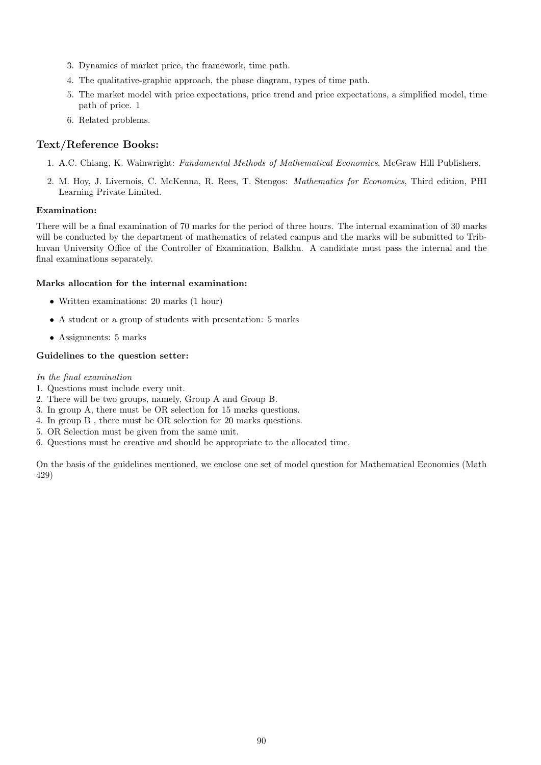- 3. Dynamics of market price, the framework, time path.
- 4. The qualitative-graphic approach, the phase diagram, types of time path.
- 5. The market model with price expectations, price trend and price expectations, a simplified model, time path of price. 1
- 6. Related problems.

## Text/Reference Books:

- 1. A.C. Chiang, K. Wainwright: Fundamental Methods of Mathematical Economics, McGraw Hill Publishers.
- 2. M. Hoy, J. Livernois, C. McKenna, R. Rees, T. Stengos: Mathematics for Economics, Third edition, PHI Learning Private Limited.

## Examination:

There will be a final examination of 70 marks for the period of three hours. The internal examination of 30 marks will be conducted by the department of mathematics of related campus and the marks will be submitted to Tribhuvan University Office of the Controller of Examination, Balkhu. A candidate must pass the internal and the final examinations separately.

## Marks allocation for the internal examination:

- Written examinations: 20 marks (1 hour)
- A student or a group of students with presentation: 5 marks
- Assignments: 5 marks

## Guidelines to the question setter:

## In the final examination

- 1. Questions must include every unit.
- 2. There will be two groups, namely, Group A and Group B.
- 3. In group A, there must be OR selection for 15 marks questions.
- 4. In group B , there must be OR selection for 20 marks questions.
- 5. OR Selection must be given from the same unit.
- 6. Questions must be creative and should be appropriate to the allocated time.

On the basis of the guidelines mentioned, we enclose one set of model question for Mathematical Economics (Math 429)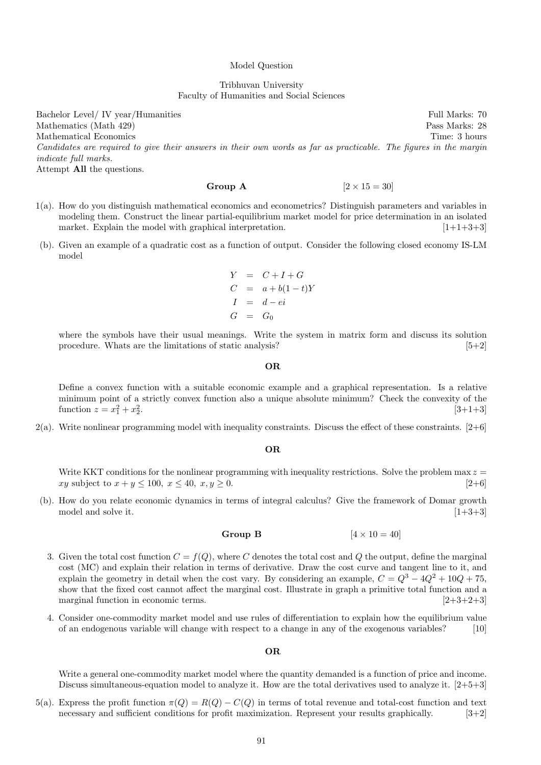#### Model Question

### Tribhuvan University Faculty of Humanities and Social Sciences

Bachelor Level/ IV year/Humanities Full Marks: 70 Mathematics (Math 429) Pass Marks: 28 Mathematical Economics Time: 3 hours Candidates are required to give their answers in their own words as far as practicable. The figures in the margin indicate full marks.

Attempt All the questions.

### Group A  $[2 \times 15 = 30]$

- 1(a). How do you distinguish mathematical economics and econometrics? Distinguish parameters and variables in modeling them. Construct the linear partial-equilibrium market model for price determination in an isolated market. Explain the model with graphical interpretation.  $[1+1+3+3]$
- (b). Given an example of a quadratic cost as a function of output. Consider the following closed economy IS-LM model

$$
Y = C + I + G
$$
  
\n
$$
C = a + b(1 - t)Y
$$
  
\n
$$
I = d - ei
$$
  
\n
$$
G = G_0
$$

where the symbols have their usual meanings. Write the system in matrix form and discuss its solution procedure. Whats are the limitations of static analysis?  $[5+2]$ 

#### OR

Define a convex function with a suitable economic example and a graphical representation. Is a relative minimum point of a strictly convex function also a unique absolute minimum? Check the convexity of the function  $z = x_1^2 + x_2^2$ .  $[3+1+3]$ 

 $2(a)$ . Write nonlinear programming model with inequality constraints. Discuss the effect of these constraints. [2+6]

#### OR

Write KKT conditions for the nonlinear programming with inequality restrictions. Solve the problem max  $z =$  $xy$  subject to  $x + y \le 100$ ,  $x \le 40$ ,  $x, y \ge 0$ . [2+6]

(b). How do you relate economic dynamics in terms of integral calculus? Give the framework of Domar growth model and solve it.  $[1+3+3]$ 

## Group B  $[4 \times 10 = 40]$

- 3. Given the total cost function  $C = f(Q)$ , where C denotes the total cost and Q the output, define the marginal cost (MC) and explain their relation in terms of derivative. Draw the cost curve and tangent line to it, and explain the geometry in detail when the cost vary. By considering an example,  $C = Q^3 - 4Q^2 + 10Q + 75$ , show that the fixed cost cannot affect the marginal cost. Illustrate in graph a primitive total function and a marginal function in economic terms. [2+3+2+3]
- 4. Consider one-commodity market model and use rules of differentiation to explain how the equilibrium value of an endogenous variable will change with respect to a change in any of the exogenous variables? [10]

#### OR

Write a general one-commodity market model where the quantity demanded is a function of price and income. Discuss simultaneous-equation model to analyze it. How are the total derivatives used to analyze it. [2+5+3]

5(a). Express the profit function  $\pi(Q) = R(Q) - C(Q)$  in terms of total revenue and total-cost function and text necessary and sufficient conditions for profit maximization. Represent your results graphically. [3+2]